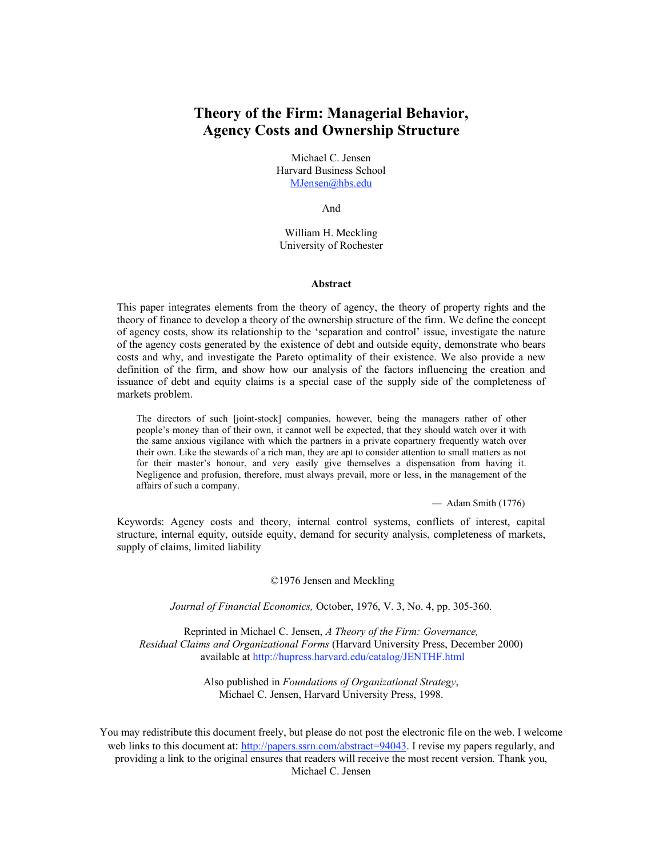# **Theory of the Firm: Managerial Behavior, Agency Costs and Ownership Structure**

Michael C. Jensen Harvard Business School MJensen@hbs.edu

And

William H. Meckling University of Rochester

#### **Abstract**

This paper integrates elements from the theory of agency, the theory of property rights and the theory of finance to develop a theory of the ownership structure of the firm. We define the concept of agency costs, show its relationship to the 'separation and control' issue, investigate the nature of the agency costs generated by the existence of debt and outside equity, demonstrate who bears costs and why, and investigate the Pareto optimality of their existence. We also provide a new definition of the firm, and show how our analysis of the factors influencing the creation and issuance of debt and equity claims is a special case of the supply side of the completeness of markets problem.

The directors of such [joint-stock] companies, however, being the managers rather of other people's money than of their own, it cannot well be expected, that they should watch over it with the same anxious vigilance with which the partners in a private copartnery frequently watch over their own. Like the stewards of a rich man, they are apt to consider attention to small matters as not for their master's honour, and very easily give themselves a dispensation from having it. Negligence and profusion, therefore, must always prevail, more or less, in the management of the affairs of such a company.

— Adam Smith (1776)

Keywords: Agency costs and theory, internal control systems, conflicts of interest, capital structure, internal equity, outside equity, demand for security analysis, completeness of markets, supply of claims, limited liability

#### ©1976 Jensen and Meckling

*Journal of Financial Economics,* October, 1976, V. 3, No. 4, pp. 305-360.

Reprinted in Michael C. Jensen, *A Theory of the Firm: Governance, Residual Claims and Organizational Forms* (Harvard University Press, December 2000) available at <http://hupress.harvard.edu/catalog/JENTHF.html>

> Also published in *Foundations of Organizational Strategy*, Michael C. Jensen, Harvard University Press, 1998.

You may redistribute this document freely, but please do not post the electronic file on the web. I welcome web links to this document at: [http://papers.ssrn.com/abstract=94043.](http://papers.ssrn.com/abstract=94043) I revise my papers regularly, and providing a link to the original ensures that readers will receive the most recent version. Thank you, Michael C. Jensen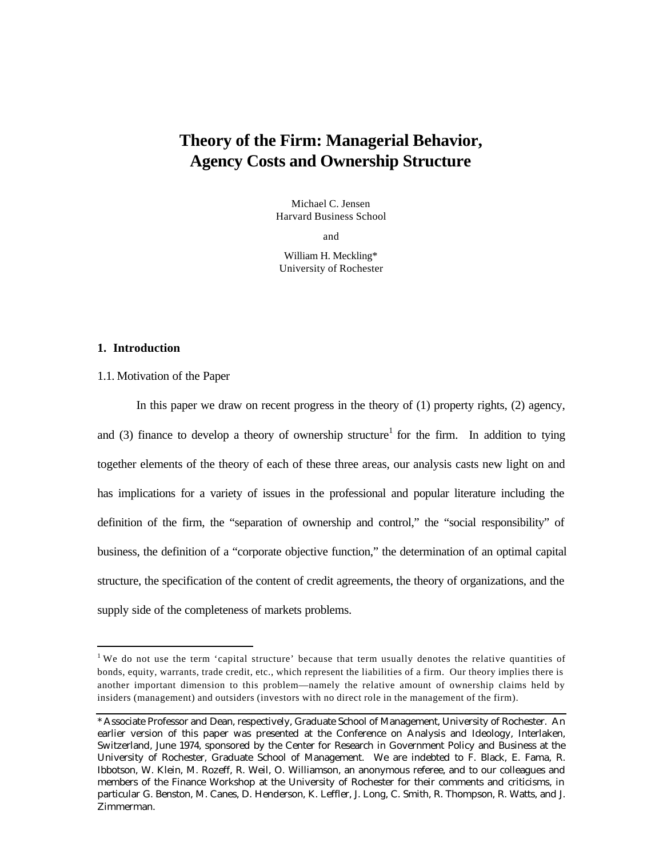# **Theory of the Firm: Managerial Behavior, Agency Costs and Ownership Structure**

Michael C. Jensen Harvard Business School

and

William H. Meckling\* University of Rochester

# **1. Introduction**

l

1.1. Motivation of the Paper

In this paper we draw on recent progress in the theory of (1) property rights, (2) agency, and (3) finance to develop a theory of ownership structure<sup>1</sup> for the firm. In addition to tying together elements of the theory of each of these three areas, our analysis casts new light on and has implications for a variety of issues in the professional and popular literature including the definition of the firm, the "separation of ownership and control," the "social responsibility" of business, the definition of a "corporate objective function," the determination of an optimal capital structure, the specification of the content of credit agreements, the theory of organizations, and the supply side of the completeness of markets problems.

<sup>&</sup>lt;sup>1</sup>We do not use the term 'capital structure' because that term usually denotes the relative quantities of bonds, equity, warrants, trade credit, etc., which represent the liabilities of a firm. Our theory implies there is another important dimension to this problem—namely the relative amount of ownership claims held by insiders (management) and outsiders (investors with no direct role in the management of the firm).

<sup>\*</sup> Associate Professor and Dean, respectively, Graduate School of Management, University of Rochester. An earlier version of this paper was presented at the Conference on Analysis and Ideology, Interlaken, Switzerland, June 1974, sponsored by the Center for Research in Government Policy and Business at the University of Rochester, Graduate School of Management. We are indebted to F. Black, E. Fama, R. Ibbotson, W. Klein, M. Rozeff, R. Weil, O. Williamson, an anonymous referee, and to our colleagues and members of the Finance Workshop at the University of Rochester for their comments and criticisms, in particular G. Benston, M. Canes, D. Henderson, K. Leffler, J. Long, C. Smith, R. Thompson, R. Watts, and J. Zimmerman.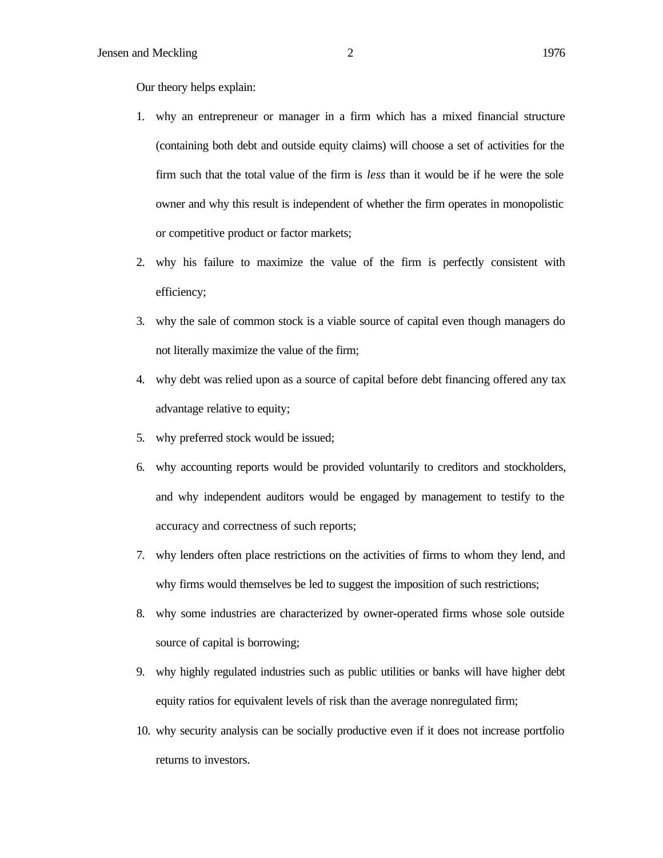Our theory helps explain:

- 1. why an entrepreneur or manager in a firm which has a mixed financial structure (containing both debt and outside equity claims) will choose a set of activities for the firm such that the total value of the firm is *less* than it would be if he were the sole owner and why this result is independent of whether the firm operates in monopolistic or competitive product or factor markets;
- 2. why his failure to maximize the value of the firm is perfectly consistent with efficiency;
- 3. why the sale of common stock is a viable source of capital even though managers do not literally maximize the value of the firm;
- 4. why debt was relied upon as a source of capital before debt financing offered any tax advantage relative to equity;
- 5. why preferred stock would be issued;
- 6. why accounting reports would be provided voluntarily to creditors and stockholders, and why independent auditors would be engaged by management to testify to the accuracy and correctness of such reports;
- 7. why lenders often place restrictions on the activities of firms to whom they lend, and why firms would themselves be led to suggest the imposition of such restrictions;
- 8. why some industries are characterized by owner-operated firms whose sole outside source of capital is borrowing;
- 9. why highly regulated industries such as public utilities or banks will have higher debt equity ratios for equivalent levels of risk than the average nonregulated firm;
- 10. why security analysis can be socially productive even if it does not increase portfolio returns to investors.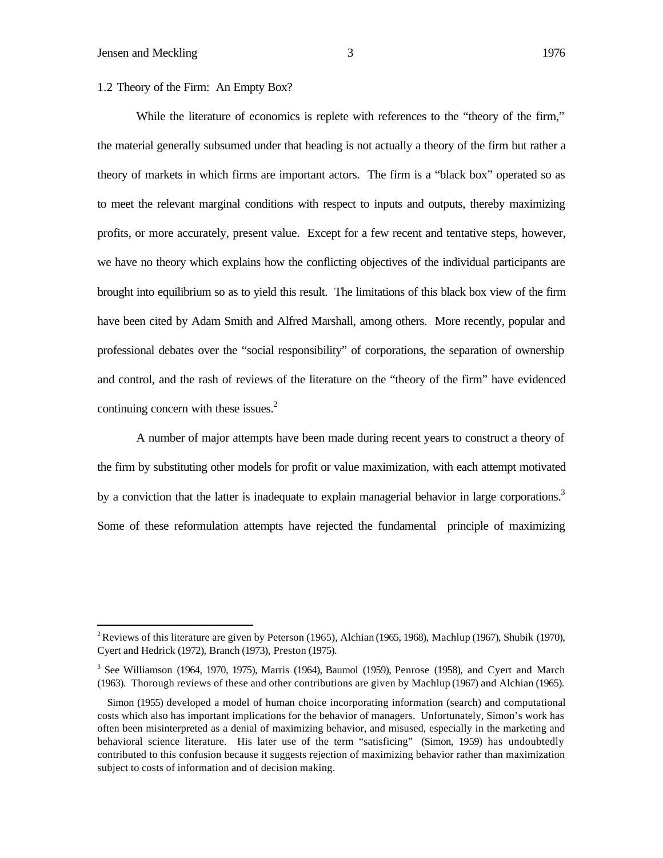1.2 Theory of the Firm: An Empty Box?

While the literature of economics is replete with references to the "theory of the firm," the material generally subsumed under that heading is not actually a theory of the firm but rather a theory of markets in which firms are important actors. The firm is a "black box" operated so as to meet the relevant marginal conditions with respect to inputs and outputs, thereby maximizing profits, or more accurately, present value. Except for a few recent and tentative steps, however, we have no theory which explains how the conflicting objectives of the individual participants are brought into equilibrium so as to yield this result. The limitations of this black box view of the firm have been cited by Adam Smith and Alfred Marshall, among others. More recently, popular and professional debates over the "social responsibility" of corporations, the separation of ownership and control, and the rash of reviews of the literature on the "theory of the firm" have evidenced continuing concern with these issues. $2$ 

A number of major attempts have been made during recent years to construct a theory of the firm by substituting other models for profit or value maximization, with each attempt motivated by a conviction that the latter is inadequate to explain managerial behavior in large corporations.<sup>3</sup> Some of these reformulation attempts have rejected the fundamental principle of maximizing

<sup>&</sup>lt;sup>2</sup> Reviews of this literature are given by Peterson (1965), Alchian (1965, 1968), Machlup (1967), Shubik (1970), Cyert and Hedrick (1972), Branch (1973), Preston (1975).

<sup>&</sup>lt;sup>3</sup> See Williamson (1964, 1970, 1975), Marris (1964), Baumol (1959), Penrose (1958), and Cyert and March (1963). Thorough reviews of these and other contributions are given by Machlup (1967) and Alchian (1965).

Simon (1955) developed a model of human choice incorporating information (search) and computational costs which also has important implications for the behavior of managers. Unfortunately, Simon's work has often been misinterpreted as a denial of maximizing behavior, and misused, especially in the marketing and behavioral science literature. His later use of the term "satisficing" (Simon, 1959) has undoubtedly contributed to this confusion because it suggests rejection of maximizing behavior rather than maximization subject to costs of information and of decision making.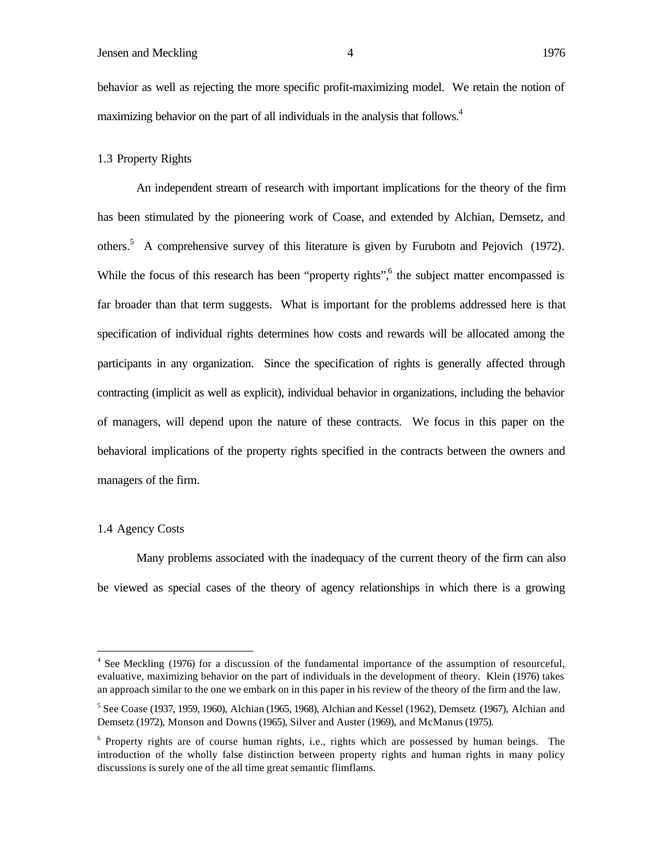behavior as well as rejecting the more specific profit-maximizing model. We retain the notion of maximizing behavior on the part of all individuals in the analysis that follows.<sup>4</sup>

## 1.3 Property Rights

An independent stream of research with important implications for the theory of the firm has been stimulated by the pioneering work of Coase, and extended by Alchian, Demsetz, and others.<sup>5</sup> A comprehensive survey of this literature is given by Furubotn and Pejovich (1972). While the focus of this research has been "property rights", the subject matter encompassed is far broader than that term suggests. What is important for the problems addressed here is that specification of individual rights determines how costs and rewards will be allocated among the participants in any organization. Since the specification of rights is generally affected through contracting (implicit as well as explicit), individual behavior in organizations, including the behavior of managers, will depend upon the nature of these contracts. We focus in this paper on the behavioral implications of the property rights specified in the contracts between the owners and managers of the firm.

#### 1.4 Agency Costs

l

Many problems associated with the inadequacy of the current theory of the firm can also be viewed as special cases of the theory of agency relationships in which there is a growing

<sup>&</sup>lt;sup>4</sup> See Meckling (1976) for a discussion of the fundamental importance of the assumption of resourceful, evaluative, maximizing behavior on the part of individuals in the development of theory. Klein (1976) takes an approach similar to the one we embark on in this paper in his review of the theory of the firm and the law.

<sup>&</sup>lt;sup>5</sup> See Coase (1937, 1959, 1960), Alchian (1965, 1968), Alchian and Kessel (1962), Demsetz (1967), Alchian and Demsetz (1972), Monson and Downs (1965), Silver and Auster (1969), and McManus (1975).

<sup>&</sup>lt;sup>6</sup> Property rights are of course human rights, i.e., rights which are possessed by human beings. The introduction of the wholly false distinction between property rights and human rights in many policy discussions is surely one of the all time great semantic flimflams.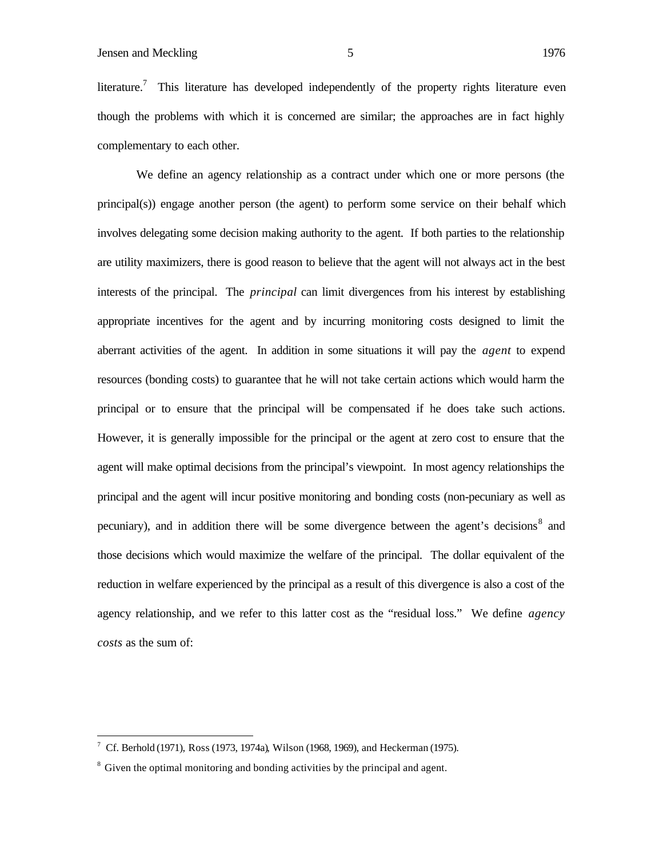literature.<sup>7</sup> This literature has developed independently of the property rights literature even though the problems with which it is concerned are similar; the approaches are in fact highly complementary to each other.

We define an agency relationship as a contract under which one or more persons (the principal(s)) engage another person (the agent) to perform some service on their behalf which involves delegating some decision making authority to the agent. If both parties to the relationship are utility maximizers, there is good reason to believe that the agent will not always act in the best interests of the principal. The *principal* can limit divergences from his interest by establishing appropriate incentives for the agent and by incurring monitoring costs designed to limit the aberrant activities of the agent. In addition in some situations it will pay the *agent* to expend resources (bonding costs) to guarantee that he will not take certain actions which would harm the principal or to ensure that the principal will be compensated if he does take such actions. However, it is generally impossible for the principal or the agent at zero cost to ensure that the agent will make optimal decisions from the principal's viewpoint. In most agency relationships the principal and the agent will incur positive monitoring and bonding costs (non-pecuniary as well as pecuniary), and in addition there will be some divergence between the agent's decisions<sup>8</sup> and those decisions which would maximize the welfare of the principal. The dollar equivalent of the reduction in welfare experienced by the principal as a result of this divergence is also a cost of the agency relationship, and we refer to this latter cost as the "residual loss." We define *agency costs* as the sum of:

l

<sup>&</sup>lt;sup>7</sup> Cf. Berhold (1971), Ross (1973, 1974a), Wilson (1968, 1969), and Heckerman (1975).

<sup>&</sup>lt;sup>8</sup> Given the optimal monitoring and bonding activities by the principal and agent.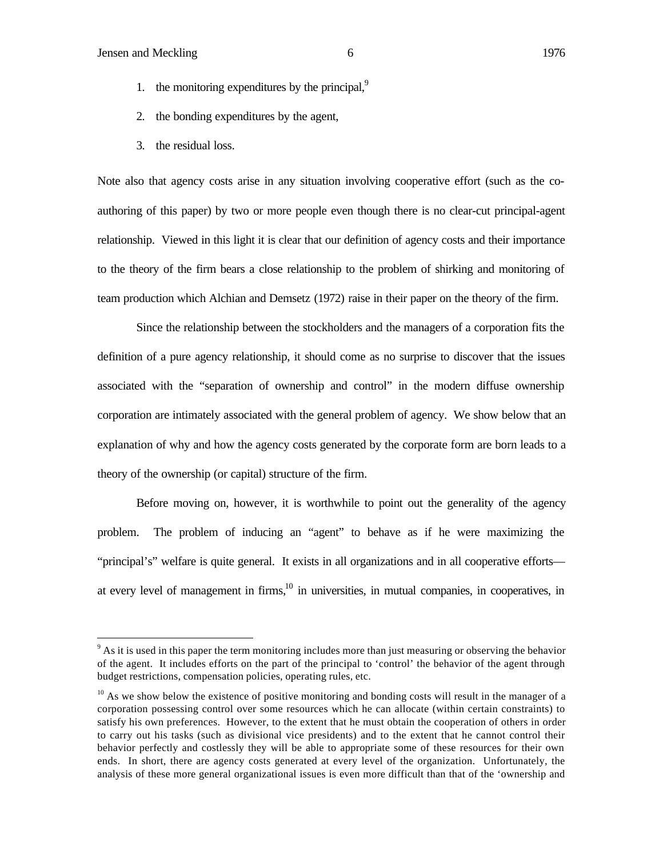- 1. the monitoring expenditures by the principal, $\frac{9}{2}$
- 2. the bonding expenditures by the agent,
- 3. the residual loss.

Note also that agency costs arise in any situation involving cooperative effort (such as the coauthoring of this paper) by two or more people even though there is no clear-cut principal-agent relationship. Viewed in this light it is clear that our definition of agency costs and their importance to the theory of the firm bears a close relationship to the problem of shirking and monitoring of team production which Alchian and Demsetz (1972) raise in their paper on the theory of the firm.

Since the relationship between the stockholders and the managers of a corporation fits the definition of a pure agency relationship, it should come as no surprise to discover that the issues associated with the "separation of ownership and control" in the modern diffuse ownership corporation are intimately associated with the general problem of agency. We show below that an explanation of why and how the agency costs generated by the corporate form are born leads to a theory of the ownership (or capital) structure of the firm.

Before moving on, however, it is worthwhile to point out the generality of the agency problem. The problem of inducing an "agent" to behave as if he were maximizing the "principal's" welfare is quite general. It exists in all organizations and in all cooperative efforts at every level of management in firms, $^{10}$  in universities, in mutual companies, in cooperatives, in

<sup>&</sup>lt;sup>9</sup> As it is used in this paper the term monitoring includes more than just measuring or observing the behavior of the agent. It includes efforts on the part of the principal to 'control' the behavior of the agent through budget restrictions, compensation policies, operating rules, etc.

 $10$  As we show below the existence of positive monitoring and bonding costs will result in the manager of a corporation possessing control over some resources which he can allocate (within certain constraints) to satisfy his own preferences. However, to the extent that he must obtain the cooperation of others in order to carry out his tasks (such as divisional vice presidents) and to the extent that he cannot control their behavior perfectly and costlessly they will be able to appropriate some of these resources for their own ends. In short, there are agency costs generated at every level of the organization. Unfortunately, the analysis of these more general organizational issues is even more difficult than that of the 'ownership and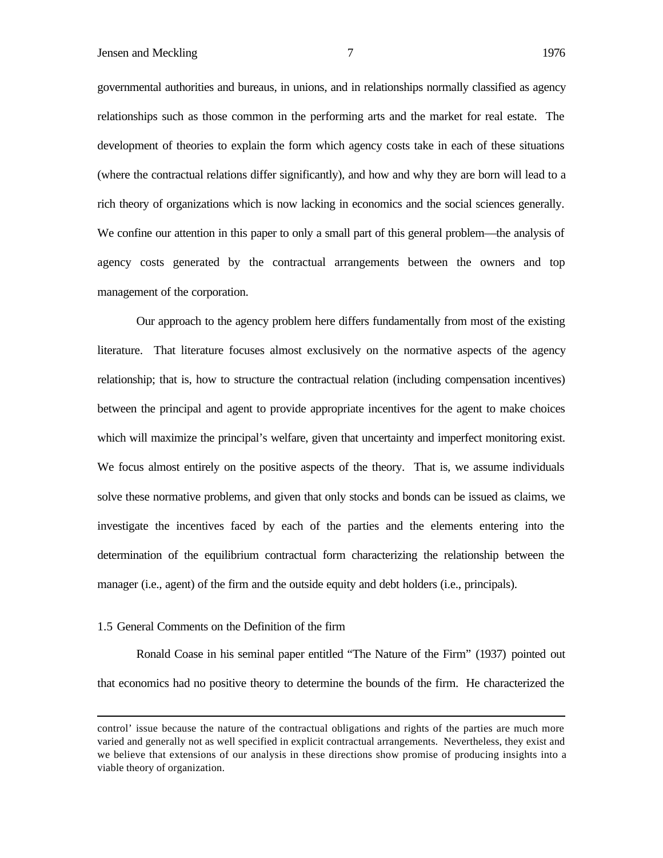governmental authorities and bureaus, in unions, and in relationships normally classified as agency relationships such as those common in the performing arts and the market for real estate. The development of theories to explain the form which agency costs take in each of these situations (where the contractual relations differ significantly), and how and why they are born will lead to a rich theory of organizations which is now lacking in economics and the social sciences generally. We confine our attention in this paper to only a small part of this general problem—the analysis of agency costs generated by the contractual arrangements between the owners and top management of the corporation.

Our approach to the agency problem here differs fundamentally from most of the existing literature. That literature focuses almost exclusively on the normative aspects of the agency relationship; that is, how to structure the contractual relation (including compensation incentives) between the principal and agent to provide appropriate incentives for the agent to make choices which will maximize the principal's welfare, given that uncertainty and imperfect monitoring exist. We focus almost entirely on the positive aspects of the theory. That is, we assume individuals solve these normative problems, and given that only stocks and bonds can be issued as claims, we investigate the incentives faced by each of the parties and the elements entering into the determination of the equilibrium contractual form characterizing the relationship between the manager (i.e., agent) of the firm and the outside equity and debt holders (i.e., principals).

# 1.5 General Comments on the Definition of the firm

l

Ronald Coase in his seminal paper entitled "The Nature of the Firm" (1937) pointed out that economics had no positive theory to determine the bounds of the firm. He characterized the

control' issue because the nature of the contractual obligations and rights of the parties are much more varied and generally not as well specified in explicit contractual arrangements. Nevertheless, they exist and we believe that extensions of our analysis in these directions show promise of producing insights into a viable theory of organization.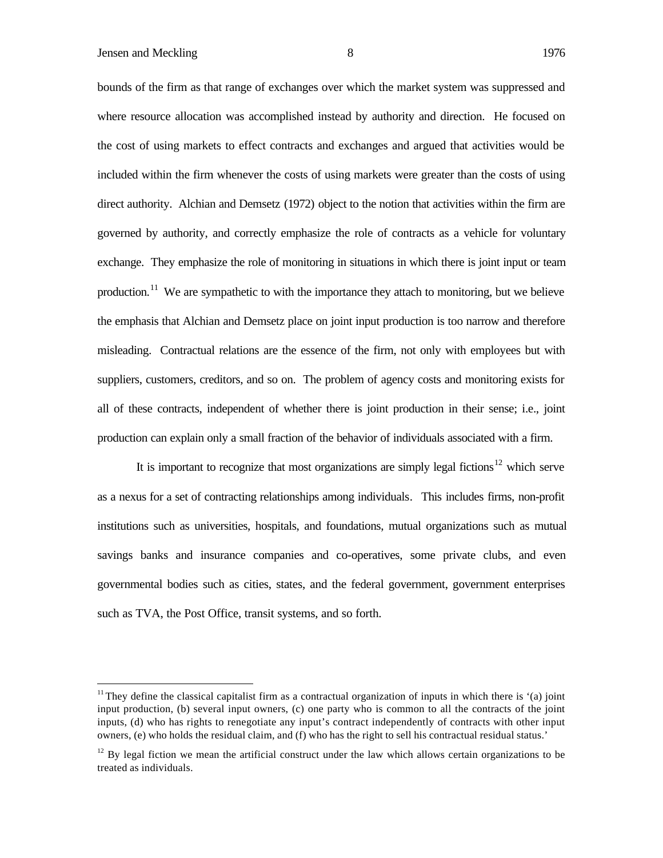bounds of the firm as that range of exchanges over which the market system was suppressed and where resource allocation was accomplished instead by authority and direction. He focused on the cost of using markets to effect contracts and exchanges and argued that activities would be included within the firm whenever the costs of using markets were greater than the costs of using direct authority. Alchian and Demsetz (1972) object to the notion that activities within the firm are governed by authority, and correctly emphasize the role of contracts as a vehicle for voluntary exchange. They emphasize the role of monitoring in situations in which there is joint input or team production.<sup>11</sup> We are sympathetic to with the importance they attach to monitoring, but we believe the emphasis that Alchian and Demsetz place on joint input production is too narrow and therefore misleading. Contractual relations are the essence of the firm, not only with employees but with suppliers, customers, creditors, and so on. The problem of agency costs and monitoring exists for all of these contracts, independent of whether there is joint production in their sense; i.e., joint production can explain only a small fraction of the behavior of individuals associated with a firm.

It is important to recognize that most organizations are simply legal fictions<sup>12</sup> which serve as a nexus for a set of contracting relationships among individuals*.* This includes firms, non-profit institutions such as universities, hospitals, and foundations, mutual organizations such as mutual savings banks and insurance companies and co-operatives, some private clubs, and even governmental bodies such as cities, states, and the federal government, government enterprises such as TVA, the Post Office, transit systems, and so forth.

<sup>&</sup>lt;sup>11</sup> They define the classical capitalist firm as a contractual organization of inputs in which there is  $(a)$  joint input production, (b) several input owners, (c) one party who is common to all the contracts of the joint inputs, (d) who has rights to renegotiate any input's contract independently of contracts with other input owners, (e) who holds the residual claim, and (f) who has the right to sell his contractual residual status.'

 $12$  By legal fiction we mean the artificial construct under the law which allows certain organizations to be treated as individuals.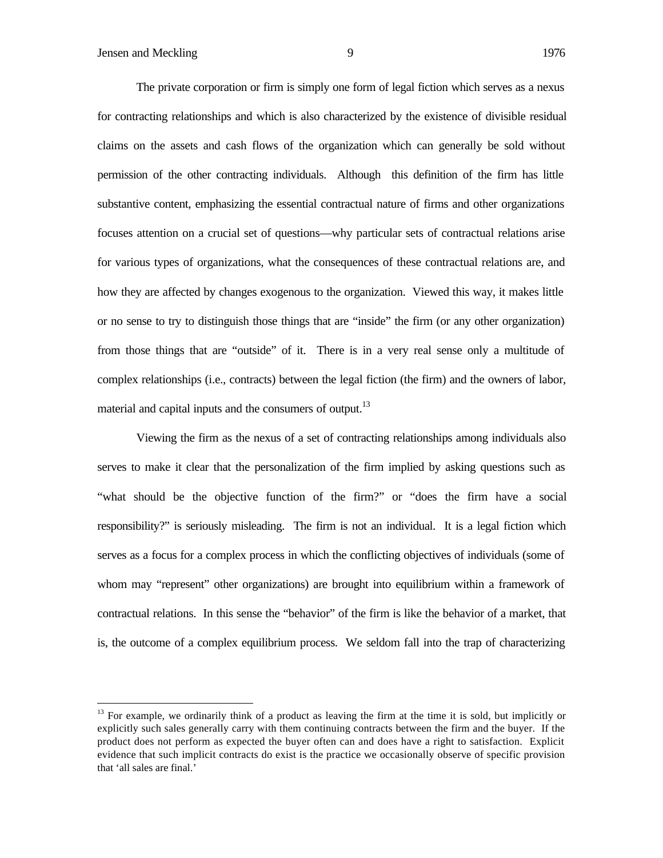The private corporation or firm is simply one form of legal fiction which serves as a nexus for contracting relationships and which is also characterized by the existence of divisible residual claims on the assets and cash flows of the organization which can generally be sold without permission of the other contracting individuals. Although this definition of the firm has little substantive content, emphasizing the essential contractual nature of firms and other organizations focuses attention on a crucial set of questions—why particular sets of contractual relations arise for various types of organizations, what the consequences of these contractual relations are, and how they are affected by changes exogenous to the organization. Viewed this way, it makes little or no sense to try to distinguish those things that are "inside" the firm (or any other organization) from those things that are "outside" of it. There is in a very real sense only a multitude of complex relationships (i.e., contracts) between the legal fiction (the firm) and the owners of labor, material and capital inputs and the consumers of output.<sup>13</sup>

Viewing the firm as the nexus of a set of contracting relationships among individuals also serves to make it clear that the personalization of the firm implied by asking questions such as "what should be the objective function of the firm?" or "does the firm have a social responsibility?" is seriously misleading. The firm is not an individual. It is a legal fiction which serves as a focus for a complex process in which the conflicting objectives of individuals (some of whom may "represent" other organizations) are brought into equilibrium within a framework of contractual relations. In this sense the "behavior" of the firm is like the behavior of a market, that is, the outcome of a complex equilibrium process. We seldom fall into the trap of characterizing

<sup>&</sup>lt;sup>13</sup> For example, we ordinarily think of a product as leaving the firm at the time it is sold, but implicitly or explicitly such sales generally carry with them continuing contracts between the firm and the buyer. If the product does not perform as expected the buyer often can and does have a right to satisfaction. Explicit evidence that such implicit contracts do exist is the practice we occasionally observe of specific provision that 'all sales are final.'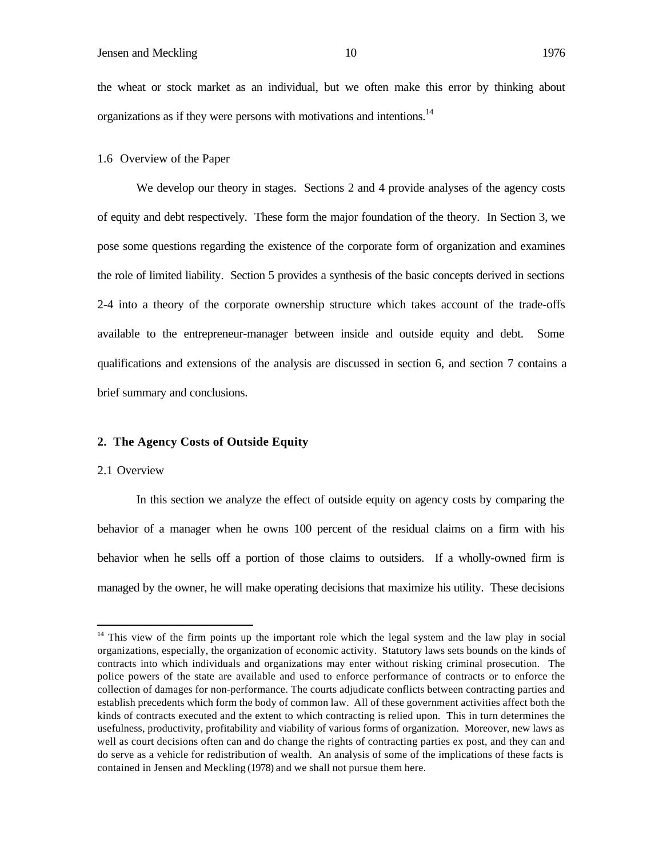the wheat or stock market as an individual, but we often make this error by thinking about organizations as if they were persons with motivations and intentions.<sup>14</sup>

#### 1.6 Overview of the Paper

We develop our theory in stages. Sections 2 and 4 provide analyses of the agency costs of equity and debt respectively. These form the major foundation of the theory. In Section 3, we pose some questions regarding the existence of the corporate form of organization and examines the role of limited liability. Section 5 provides a synthesis of the basic concepts derived in sections 2-4 into a theory of the corporate ownership structure which takes account of the trade-offs available to the entrepreneur-manager between inside and outside equity and debt. Some qualifications and extensions of the analysis are discussed in section 6, and section 7 contains a brief summary and conclusions.

# **2. The Agency Costs of Outside Equity**

# 2.1 Overview

l

In this section we analyze the effect of outside equity on agency costs by comparing the behavior of a manager when he owns 100 percent of the residual claims on a firm with his behavior when he sells off a portion of those claims to outsiders. If a wholly-owned firm is managed by the owner, he will make operating decisions that maximize his utility. These decisions

<sup>&</sup>lt;sup>14</sup> This view of the firm points up the important role which the legal system and the law play in social organizations, especially, the organization of economic activity. Statutory laws sets bounds on the kinds of contracts into which individuals and organizations may enter without risking criminal prosecution. The police powers of the state are available and used to enforce performance of contracts or to enforce the collection of damages for non-performance. The courts adjudicate conflicts between contracting parties and establish precedents which form the body of common law. All of these government activities affect both the kinds of contracts executed and the extent to which contracting is relied upon. This in turn determines the usefulness, productivity, profitability and viability of various forms of organization. Moreover, new laws as well as court decisions often can and do change the rights of contracting parties ex post, and they can and do serve as a vehicle for redistribution of wealth. An analysis of some of the implications of these facts is contained in Jensen and Meckling (1978) and we shall not pursue them here.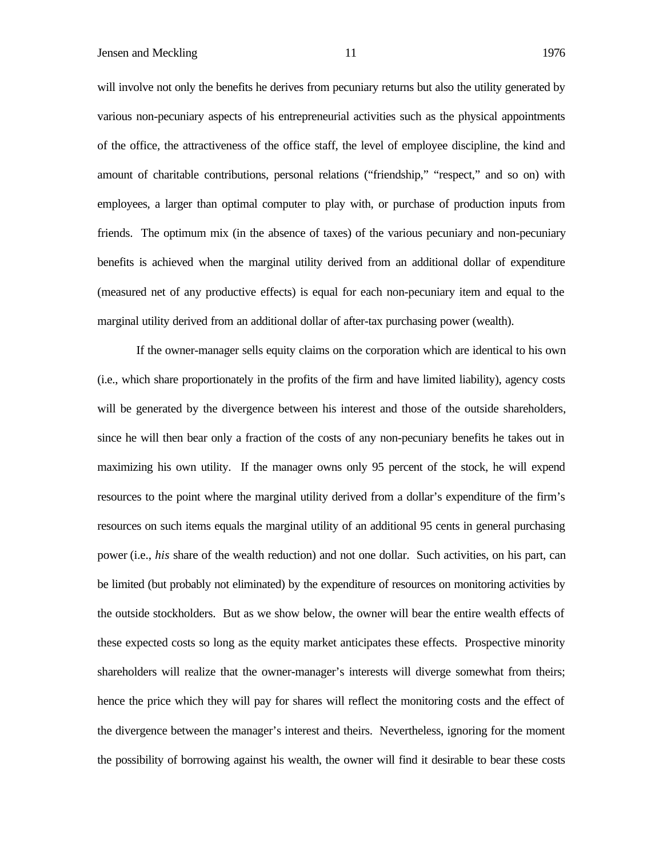will involve not only the benefits he derives from pecuniary returns but also the utility generated by various non-pecuniary aspects of his entrepreneurial activities such as the physical appointments of the office, the attractiveness of the office staff, the level of employee discipline, the kind and amount of charitable contributions, personal relations ("friendship," "respect," and so on) with employees, a larger than optimal computer to play with, or purchase of production inputs from friends. The optimum mix (in the absence of taxes) of the various pecuniary and non-pecuniary benefits is achieved when the marginal utility derived from an additional dollar of expenditure (measured net of any productive effects) is equal for each non-pecuniary item and equal to the marginal utility derived from an additional dollar of after-tax purchasing power (wealth).

If the owner-manager sells equity claims on the corporation which are identical to his own (i.e., which share proportionately in the profits of the firm and have limited liability), agency costs will be generated by the divergence between his interest and those of the outside shareholders, since he will then bear only a fraction of the costs of any non-pecuniary benefits he takes out in maximizing his own utility. If the manager owns only 95 percent of the stock, he will expend resources to the point where the marginal utility derived from a dollar's expenditure of the firm's resources on such items equals the marginal utility of an additional 95 cents in general purchasing power (i.e., *his* share of the wealth reduction) and not one dollar. Such activities, on his part, can be limited (but probably not eliminated) by the expenditure of resources on monitoring activities by the outside stockholders. But as we show below, the owner will bear the entire wealth effects of these expected costs so long as the equity market anticipates these effects. Prospective minority shareholders will realize that the owner-manager's interests will diverge somewhat from theirs; hence the price which they will pay for shares will reflect the monitoring costs and the effect of the divergence between the manager's interest and theirs. Nevertheless, ignoring for the moment the possibility of borrowing against his wealth, the owner will find it desirable to bear these costs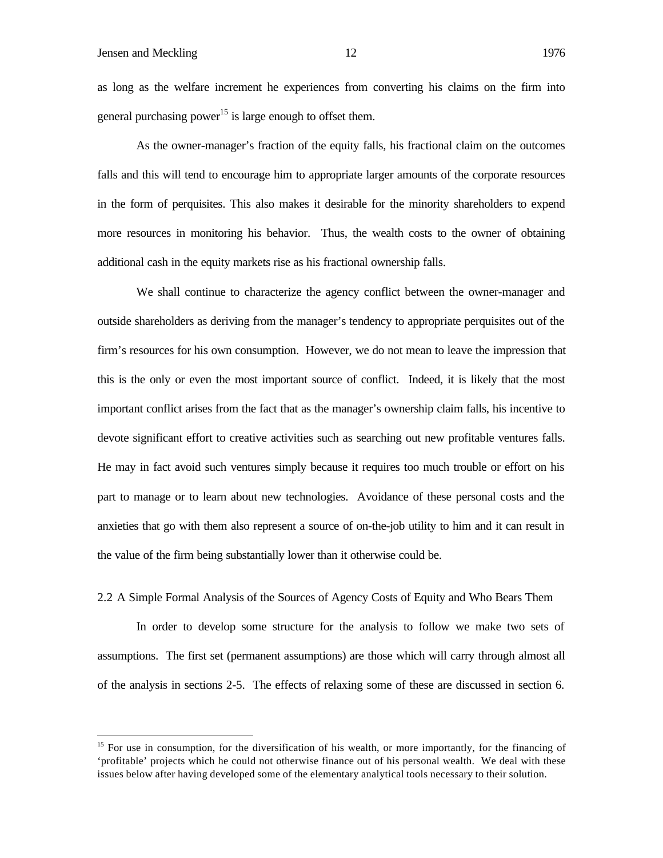as long as the welfare increment he experiences from converting his claims on the firm into general purchasing power<sup>15</sup> is large enough to offset them.

As the owner-manager's fraction of the equity falls, his fractional claim on the outcomes falls and this will tend to encourage him to appropriate larger amounts of the corporate resources in the form of perquisites. This also makes it desirable for the minority shareholders to expend more resources in monitoring his behavior. Thus, the wealth costs to the owner of obtaining additional cash in the equity markets rise as his fractional ownership falls.

We shall continue to characterize the agency conflict between the owner-manager and outside shareholders as deriving from the manager's tendency to appropriate perquisites out of the firm's resources for his own consumption. However, we do not mean to leave the impression that this is the only or even the most important source of conflict. Indeed, it is likely that the most important conflict arises from the fact that as the manager's ownership claim falls, his incentive to devote significant effort to creative activities such as searching out new profitable ventures falls. He may in fact avoid such ventures simply because it requires too much trouble or effort on his part to manage or to learn about new technologies. Avoidance of these personal costs and the anxieties that go with them also represent a source of on-the-job utility to him and it can result in the value of the firm being substantially lower than it otherwise could be.

# 2.2 A Simple Formal Analysis of the Sources of Agency Costs of Equity and Who Bears Them

In order to develop some structure for the analysis to follow we make two sets of assumptions. The first set (permanent assumptions) are those which will carry through almost all of the analysis in sections 2-5. The effects of relaxing some of these are discussed in section 6.

<sup>&</sup>lt;sup>15</sup> For use in consumption, for the diversification of his wealth, or more importantly, for the financing of 'profitable' projects which he could not otherwise finance out of his personal wealth. We deal with these issues below after having developed some of the elementary analytical tools necessary to their solution.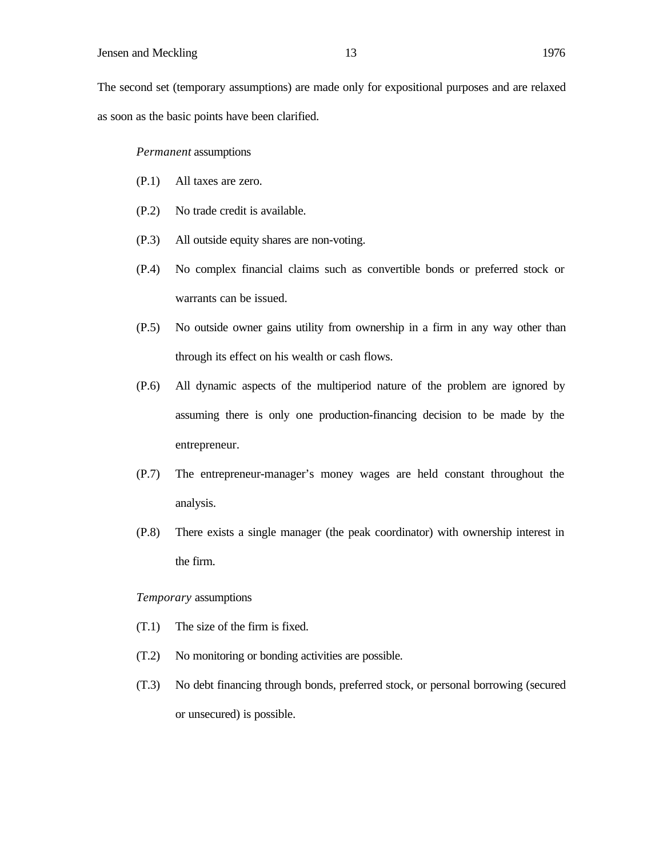The second set (temporary assumptions) are made only for expositional purposes and are relaxed as soon as the basic points have been clarified.

#### *Permanent* assumptions

- (P.1) All taxes are zero.
- (P.2) No trade credit is available.
- (P.3) All outside equity shares are non-voting.
- (P.4) No complex financial claims such as convertible bonds or preferred stock or warrants can be issued.
- (P.5) No outside owner gains utility from ownership in a firm in any way other than through its effect on his wealth or cash flows.
- (P.6) All dynamic aspects of the multiperiod nature of the problem are ignored by assuming there is only one production-financing decision to be made by the entrepreneur.
- (P.7) The entrepreneur-manager's money wages are held constant throughout the analysis.
- (P.8) There exists a single manager (the peak coordinator) with ownership interest in the firm.

## *Temporary* assumptions

- (T.1) The size of the firm is fixed.
- (T.2) No monitoring or bonding activities are possible.
- (T.3) No debt financing through bonds, preferred stock, or personal borrowing (secured or unsecured) is possible.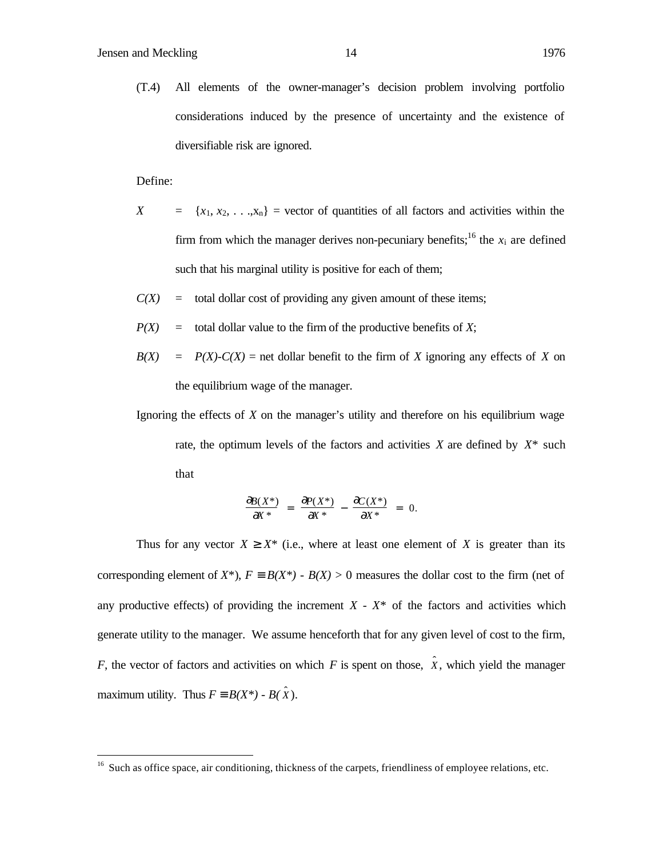Define:

l

- $X = \{x_1, x_2, \ldots, x_n\}$  = vector of quantities of all factors and activities within the firm from which the manager derives non-pecuniary benefits;<sup>16</sup> the  $x_i$  are defined such that his marginal utility is positive for each of them;
- $C(X)$  = total dollar cost of providing any given amount of these items;
- $P(X)$  = total dollar value to the firm of the productive benefits of *X*;
- $B(X) = P(X) C(X)$  = net dollar benefit to the firm of *X* ignoring any effects of *X* on the equilibrium wage of the manager.

Ignoring the effects of *X* on the manager's utility and therefore on his equilibrium wage rate, the optimum levels of the factors and activities *X* are defined by *X\** such that

$$
\frac{\mathcal{P}(X^*)}{\mathcal{P}^{*}} = \frac{\mathcal{P}(X^*)}{\mathcal{P}^{*}} - \frac{\mathcal{P}(X^*)}{\mathcal{P}^{*}} = 0.
$$

Thus for any vector  $X \ge X^*$  (i.e., where at least one element of X is greater than its corresponding element of  $X^*$ ),  $F = B(X^*) - B(X) > 0$  measures the dollar cost to the firm (net of any productive effects) of providing the increment  $X - X^*$  of the factors and activities which generate utility to the manager. We assume henceforth that for any given level of cost to the firm, *F*, the vector of factors and activities on which *F* is spent on those,  $\hat{X}$ , which yield the manager maximum utility. Thus  $F = B(X^*) - B(\hat{X})$ .

<sup>&</sup>lt;sup>16</sup> Such as office space, air conditioning, thickness of the carpets, friendliness of employee relations, etc.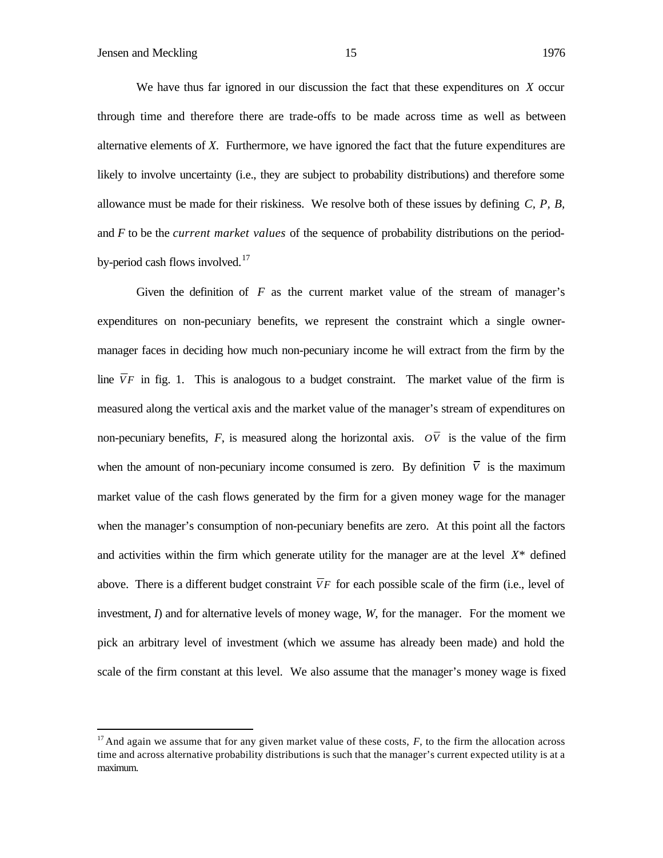We have thus far ignored in our discussion the fact that these expenditures on *X* occur through time and therefore there are trade-offs to be made across time as well as between alternative elements of *X*. Furthermore, we have ignored the fact that the future expenditures are likely to involve uncertainty (i.e., they are subject to probability distributions) and therefore some allowance must be made for their riskiness. We resolve both of these issues by defining *C, P, B,* and *F* to be the *current market values* of the sequence of probability distributions on the periodby-period cash flows involved. $17$ 

Given the definition of  $F$  as the current market value of the stream of manager's expenditures on non-pecuniary benefits, we represent the constraint which a single ownermanager faces in deciding how much non-pecuniary income he will extract from the firm by the line  $\overline{V}F$  in fig. 1. This is analogous to a budget constraint. The market value of the firm is measured along the vertical axis and the market value of the manager's stream of expenditures on non-pecuniary benefits, F, is measured along the horizontal axis.  $\overrightarrow{ov}$  is the value of the firm when the amount of non-pecuniary income consumed is zero. By definition  $\overline{V}$  is the maximum market value of the cash flows generated by the firm for a given money wage for the manager when the manager's consumption of non-pecuniary benefits are zero. At this point all the factors and activities within the firm which generate utility for the manager are at the level  $X^*$  defined above. There is a different budget constraint  $\overline{V}F$  for each possible scale of the firm (i.e., level of investment, *I*) and for alternative levels of money wage, *W*, for the manager. For the moment we pick an arbitrary level of investment (which we assume has already been made) and hold the scale of the firm constant at this level. We also assume that the manager's money wage is fixed

<sup>&</sup>lt;sup>17</sup> And again we assume that for any given market value of these costs,  $F$ , to the firm the allocation across time and across alternative probability distributions is such that the manager's current expected utility is at a maximum.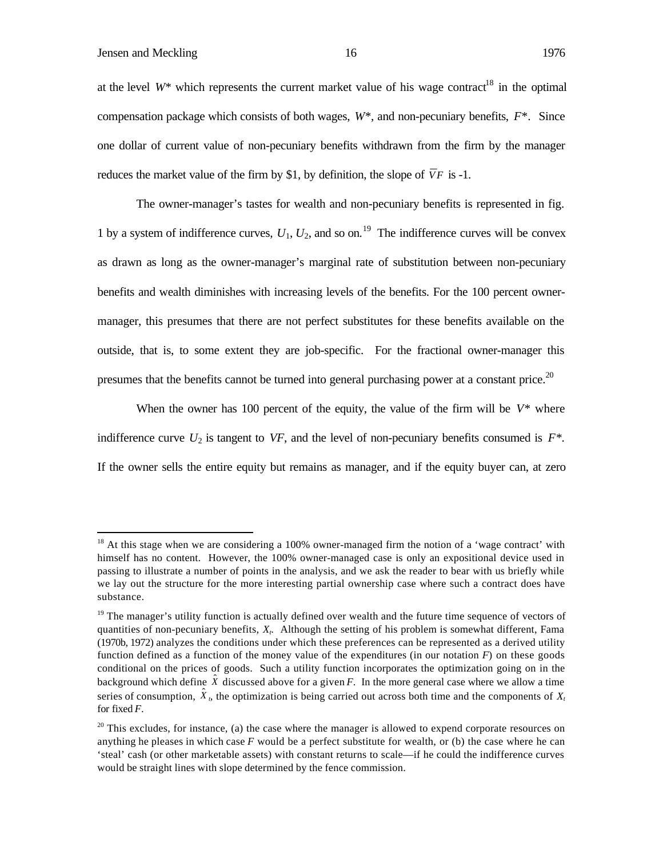at the level  $W^*$  which represents the current market value of his wage contract<sup>18</sup> in the optimal compensation package which consists of both wages, *W\**, and non-pecuniary benefits, *F\**. Since one dollar of current value of non-pecuniary benefits withdrawn from the firm by the manager reduces the market value of the firm by \$1, by definition, the slope of  $\overline{V}F$  is -1.

The owner-manager's tastes for wealth and non-pecuniary benefits is represented in fig. 1 by a system of indifference curves,  $U_1$ ,  $U_2$ , and so on.<sup>19</sup> The indifference curves will be convex as drawn as long as the owner-manager's marginal rate of substitution between non-pecuniary benefits and wealth diminishes with increasing levels of the benefits. For the 100 percent ownermanager, this presumes that there are not perfect substitutes for these benefits available on the outside, that is, to some extent they are job-specific. For the fractional owner-manager this presumes that the benefits cannot be turned into general purchasing power at a constant price.<sup>20</sup>

When the owner has 100 percent of the equity, the value of the firm will be *V\** where indifference curve  $U_2$  is tangent to VF, and the level of non-pecuniary benefits consumed is  $F^*$ . If the owner sells the entire equity but remains as manager, and if the equity buyer can, at zero

 $18$  At this stage when we are considering a 100% owner-managed firm the notion of a 'wage contract' with himself has no content. However, the 100% owner-managed case is only an expositional device used in passing to illustrate a number of points in the analysis, and we ask the reader to bear with us briefly while we lay out the structure for the more interesting partial ownership case where such a contract does have substance.

 $19$  The manager's utility function is actually defined over wealth and the future time sequence of vectors of quantities of non-pecuniary benefits, *X<sup>t</sup>* . Although the setting of his problem is somewhat different, Fama (1970b, 1972) analyzes the conditions under which these preferences can be represented as a derived utility function defined as a function of the money value of the expenditures (in our notation *F*) on these goods conditional on the prices of goods. Such a utility function incorporates the optimization going on in the background which define  $\hat{X}$  discussed above for a given *F*. In the more general case where we allow a time series of consumption,  $\hat{X}_t$ , the optimization is being carried out across both time and the components of  $X_t$ for fixed *F*.

 $20$  This excludes, for instance, (a) the case where the manager is allowed to expend corporate resources on anything he pleases in which case *F* would be a perfect substitute for wealth, or (b) the case where he can 'steal' cash (or other marketable assets) with constant returns to scale—if he could the indifference curves would be straight lines with slope determined by the fence commission.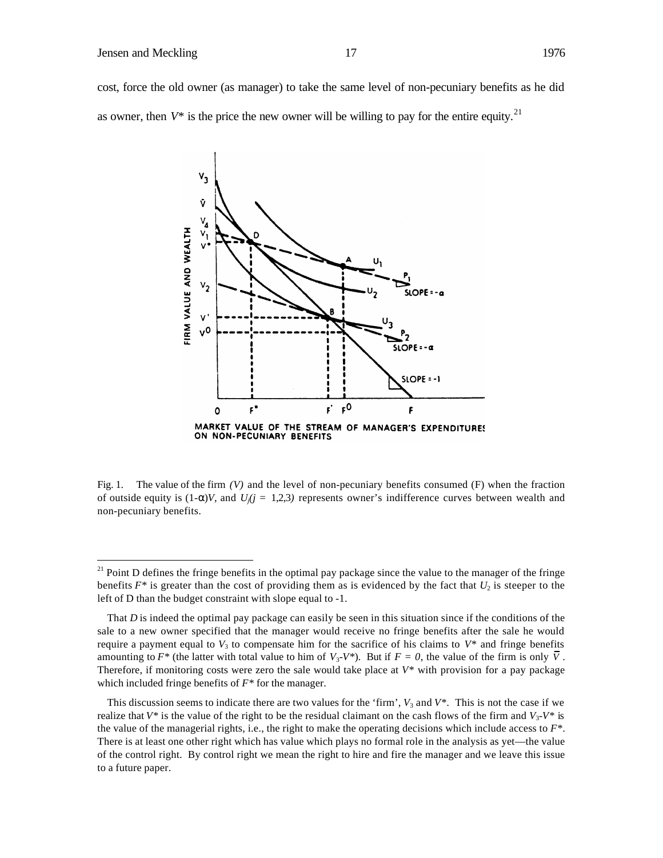cost, force the old owner (as manager) to take the same level of non-pecuniary benefits as he did as owner, then  $V^*$  is the price the new owner will be willing to pay for the entire equity.<sup>21</sup>



Fig. 1. The value of the firm *(V)* and the level of non-pecuniary benefits consumed (F) when the fraction of outside equity is  $(1-\alpha)V$ , and  $U_j(i = 1,2,3)$  represents owner's indifference curves between wealth and non-pecuniary benefits.

<sup>&</sup>lt;sup>21</sup> Point D defines the fringe benefits in the optimal pay package since the value to the manager of the fringe benefits  $F^*$  is greater than the cost of providing them as is evidenced by the fact that  $U_2$  is steeper to the left of D than the budget constraint with slope equal to -1.

That *D* is indeed the optimal pay package can easily be seen in this situation since if the conditions of the sale to a new owner specified that the manager would receive no fringe benefits after the sale he would require a payment equal to  $V_3$  to compensate him for the sacrifice of his claims to  $V^*$  and fringe benefits amounting to  $F^*$  (the latter with total value to him of  $V_3-V^*$ ). But if  $F = 0$ , the value of the firm is only  $\overline{V}$ . Therefore, if monitoring costs were zero the sale would take place at *V\** with provision for a pay package which included fringe benefits of *F\** for the manager.

This discussion seems to indicate there are two values for the 'firm',  $V_3$  and  $V^*$ . This is not the case if we realize that  $V^*$  is the value of the right to be the residual claimant on the cash flows of the firm and  $V_3$ - $V^*$  is the value of the managerial rights, i.e., the right to make the operating decisions which include access to *F\**. There is at least one other right which has value which plays no formal role in the analysis as yet—the value of the control right. By control right we mean the right to hire and fire the manager and we leave this issue to a future paper.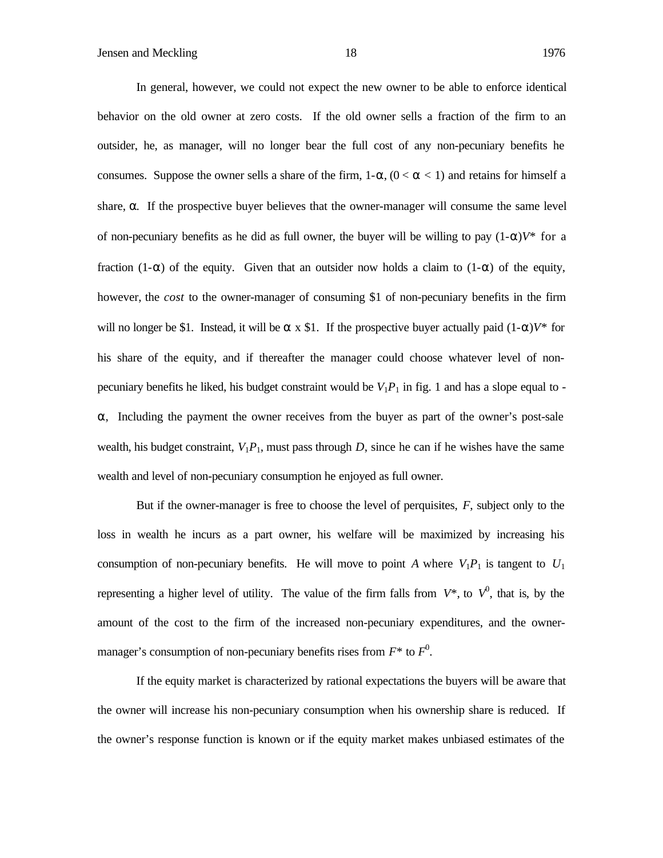In general, however, we could not expect the new owner to be able to enforce identical behavior on the old owner at zero costs. If the old owner sells a fraction of the firm to an outsider, he, as manager, will no longer bear the full cost of any non-pecuniary benefits he consumes. Suppose the owner sells a share of the firm,  $1-\alpha$ ,  $(0 < \alpha < 1)$  and retains for himself a share, *a*. If the prospective buyer believes that the owner-manager will consume the same level of non-pecuniary benefits as he did as full owner, the buyer will be willing to pay  $(1-\alpha)V^*$  for a fraction (1- $\alpha$ ) of the equity. Given that an outsider now holds a claim to (1- $\alpha$ ) of the equity, however, the *cost* to the owner-manager of consuming \$1 of non-pecuniary benefits in the firm will no longer be \$1. Instead, it will be  $\alpha \times$  \$1. If the prospective buyer actually paid  $(1-\alpha)V^*$  for his share of the equity, and if thereafter the manager could choose whatever level of nonpecuniary benefits he liked, his budget constraint would be  $V_1P_1$  in fig. 1 and has a slope equal to - $\alpha$ , Including the payment the owner receives from the buyer as part of the owner's post-sale wealth, his budget constraint,  $V_1P_1$ , must pass through *D*, since he can if he wishes have the same wealth and level of non-pecuniary consumption he enjoyed as full owner.

But if the owner-manager is free to choose the level of perquisites, *F*, subject only to the loss in wealth he incurs as a part owner, his welfare will be maximized by increasing his consumption of non-pecuniary benefits. He will move to point *A* where  $V_1P_1$  is tangent to  $U_1$ representing a higher level of utility. The value of the firm falls from  $V^*$ , to  $V^0$ , that is, by the amount of the cost to the firm of the increased non-pecuniary expenditures, and the ownermanager's consumption of non-pecuniary benefits rises from *F\** to *F*<sup>0</sup> .

If the equity market is characterized by rational expectations the buyers will be aware that the owner will increase his non-pecuniary consumption when his ownership share is reduced. If the owner's response function is known or if the equity market makes unbiased estimates of the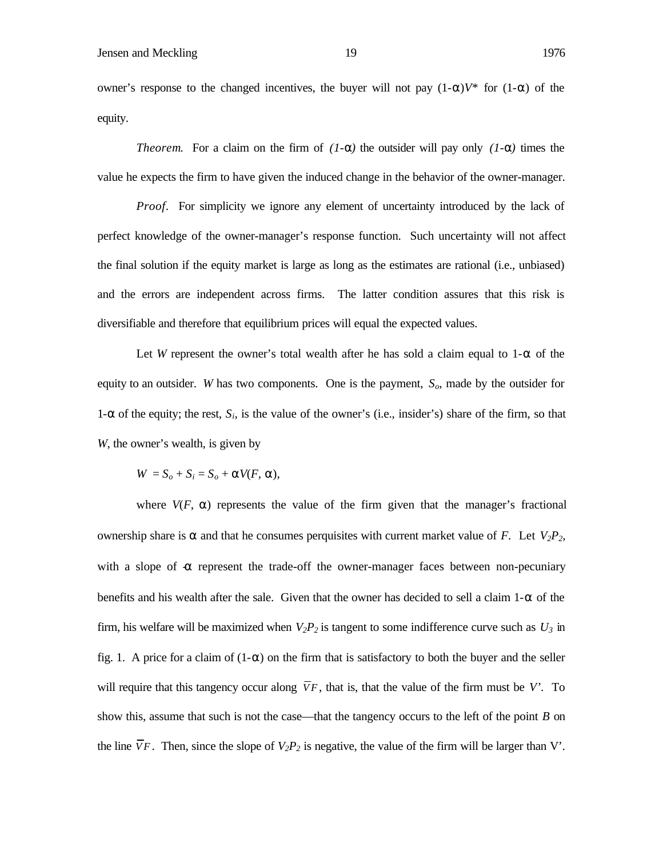owner's response to the changed incentives, the buyer will not pay  $(1-\alpha)V^*$  for  $(1-\alpha)$  of the equity.

*Theorem.* For a claim on the firm of  $(I-a)$  the outsider will pay only  $(I-a)$  times the value he expects the firm to have given the induced change in the behavior of the owner-manager.

*Proof.* For simplicity we ignore any element of uncertainty introduced by the lack of perfect knowledge of the owner-manager's response function. Such uncertainty will not affect the final solution if the equity market is large as long as the estimates are rational (i.e., unbiased) and the errors are independent across firms. The latter condition assures that this risk is diversifiable and therefore that equilibrium prices will equal the expected values.

Let *W* represent the owner's total wealth after he has sold a claim equal to  $1-\alpha$  of the equity to an outsider. *W* has two components. One is the payment, *So*, made by the outsider for  $1-\alpha$  of the equity; the rest,  $S_i$ , is the value of the owner's (i.e., insider's) share of the firm, so that *W*, the owner's wealth, is given by

$$
W = S_o + S_i = S_o + \alpha V(F, \alpha),
$$

where  $V(F, \alpha)$  represents the value of the firm given that the manager's fractional ownership share is α and that he consumes perquisites with current market value of *F*. Let *V2P2*, with a slope of  $\alpha$  represent the trade-off the owner-manager faces between non-pecuniary benefits and his wealth after the sale. Given that the owner has decided to sell a claim  $1-\alpha$  of the firm, his welfare will be maximized when  $V_2P_2$  is tangent to some indifference curve such as  $U_3$  in fig. 1. A price for a claim of  $(1-\alpha)$  on the firm that is satisfactory to both the buyer and the seller will require that this tangency occur along  $\overline{V}F$ , that is, that the value of the firm must be *V*'. To show this, assume that such is not the case—that the tangency occurs to the left of the point *B* on the line  $\overline{V}F$ . Then, since the slope of  $V_2P_2$  is negative, the value of the firm will be larger than V'.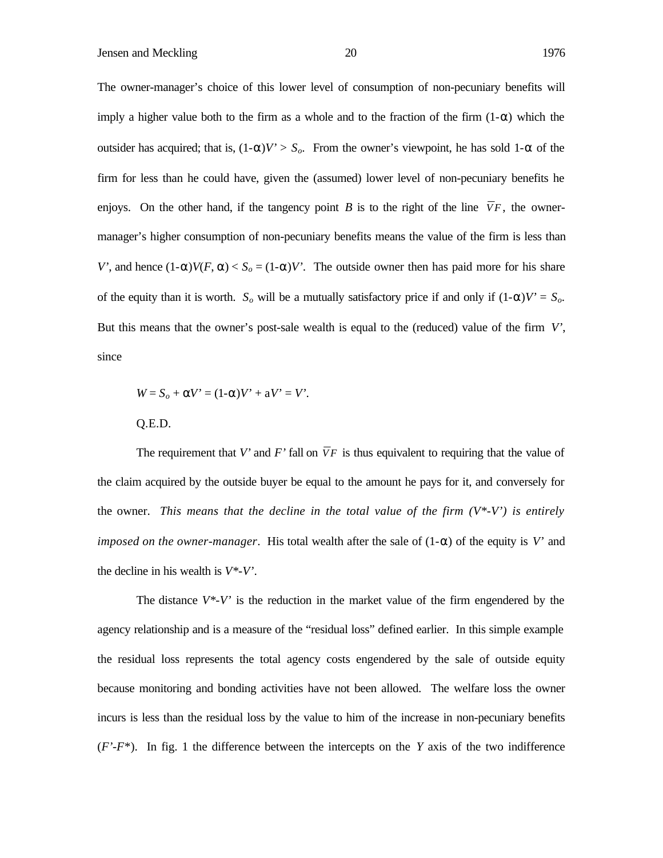The owner-manager's choice of this lower level of consumption of non-pecuniary benefits will imply a higher value both to the firm as a whole and to the fraction of the firm  $(1-\alpha)$  which the outsider has acquired; that is,  $(1-α)V' > S_0$ . From the owner's viewpoint, he has sold 1-α of the firm for less than he could have, given the (assumed) lower level of non-pecuniary benefits he enjoys. On the other hand, if the tangency point *B* is to the right of the line  $\overline{V}F$ , the ownermanager's higher consumption of non-pecuniary benefits means the value of the firm is less than *V'*, and hence  $(1-α)V(F, α) < S<sub>o</sub> = (1-α)V'$ . The outside owner then has paid more for his share of the equity than it is worth. *S<sub>o</sub>* will be a mutually satisfactory price if and only if  $(1-\alpha)V' = S_o$ . But this means that the owner's post-sale wealth is equal to the (reduced) value of the firm *V'*, since

$$
W = S_o + aV' = (1-\alpha)V' + aV' = V'.
$$
  
Q.E.D.

The requirement that V' and F' fall on  $\overline{V}F$  is thus equivalent to requiring that the value of the claim acquired by the outside buyer be equal to the amount he pays for it, and conversely for the owner. *This means that the decline in the total value of the firm (V\*-V') is entirely imposed on the owner-manager.* His total wealth after the sale of  $(1-\alpha)$  of the equity is *V'* and the decline in his wealth is *V\*-V'*.

The distance  $V^*$ - $V'$  is the reduction in the market value of the firm engendered by the agency relationship and is a measure of the "residual loss" defined earlier. In this simple example the residual loss represents the total agency costs engendered by the sale of outside equity because monitoring and bonding activities have not been allowed. The welfare loss the owner incurs is less than the residual loss by the value to him of the increase in non-pecuniary benefits (*F'-F\**). In fig. 1 the difference between the intercepts on the *Y* axis of the two indifference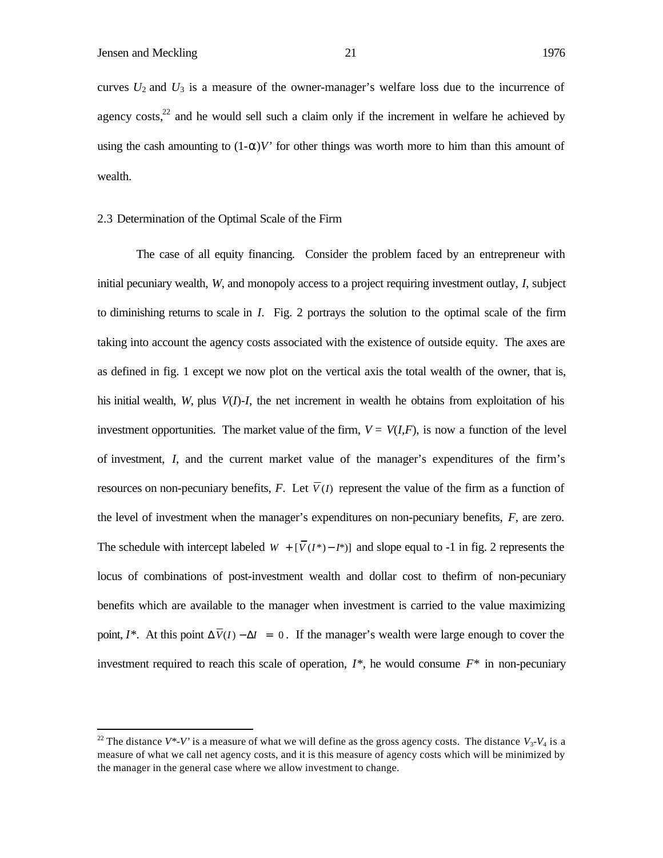curves  $U_2$  and  $U_3$  is a measure of the owner-manager's welfare loss due to the incurrence of agency costs,  $2^2$  and he would sell such a claim only if the increment in welfare he achieved by using the cash amounting to  $(1-\alpha)V'$  for other things was worth more to him than this amount of wealth.

## 2.3 Determination of the Optimal Scale of the Firm

The case of all equity financing*.* Consider the problem faced by an entrepreneur with initial pecuniary wealth, *W*, and monopoly access to a project requiring investment outlay, *I*, subject to diminishing returns to scale in *I*. Fig. 2 portrays the solution to the optimal scale of the firm taking into account the agency costs associated with the existence of outside equity. The axes are as defined in fig. 1 except we now plot on the vertical axis the total wealth of the owner, that is, his initial wealth, *W*, plus *V*(*I*)*-I*, the net increment in wealth he obtains from exploitation of his investment opportunities. The market value of the firm,  $V = V(I, F)$ , is now a function of the level of investment, *I*, and the current market value of the manager's expenditures of the firm's resources on non-pecuniary benefits, *F*. Let  $\overline{V}(I)$  represent the value of the firm as a function of the level of investment when the manager's expenditures on non-pecuniary benefits, *F*, are zero. The schedule with intercept labeled  $W + [\overline{V}(I^*) - I^*)]$  and slope equal to -1 in fig. 2 represents the locus of combinations of post-investment wealth and dollar cost to thefirm of non-pecuniary benefits which are available to the manager when investment is carried to the value maximizing point,  $I^*$ . At this point  $\Delta \overline{V}(I) - \Delta I = 0$ . If the manager's wealth were large enough to cover the investment required to reach this scale of operation, *I\**, he would consume *F\** in non-pecuniary

<sup>&</sup>lt;sup>22</sup> The distance  $V^*$ -V' is a measure of what we will define as the gross agency costs. The distance  $V_3$ - $V_4$  is a measure of what we call net agency costs, and it is this measure of agency costs which will be minimized by the manager in the general case where we allow investment to change.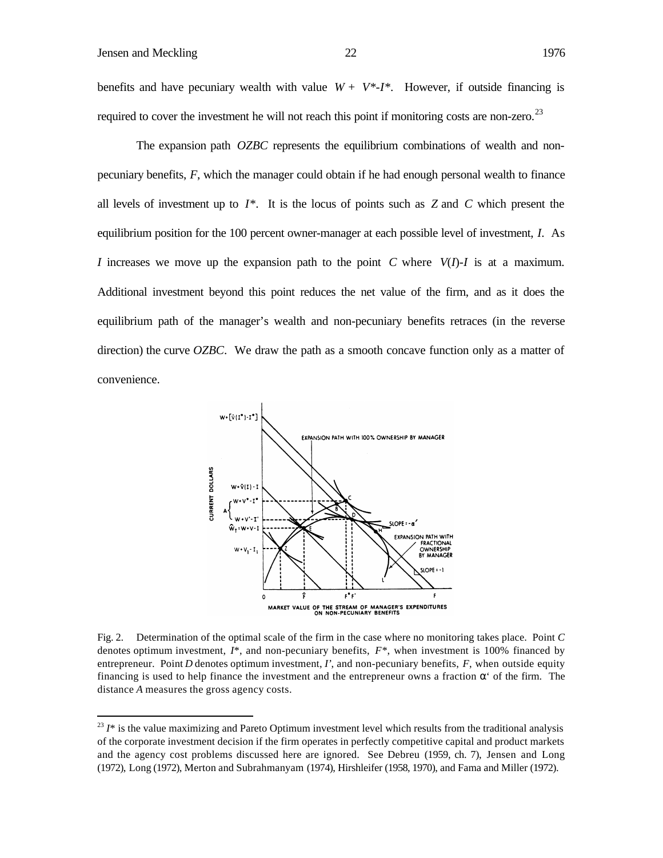benefits and have pecuniary wealth with value  $W + V^*I^*$ . However, if outside financing is required to cover the investment he will not reach this point if monitoring costs are non-zero.<sup>23</sup>

The expansion path *OZBC* represents the equilibrium combinations of wealth and nonpecuniary benefits, *F*, which the manager could obtain if he had enough personal wealth to finance all levels of investment up to  $I^*$ . It is the locus of points such as  $Z$  and  $C$  which present the equilibrium position for the 100 percent owner-manager at each possible level of investment, *I*. As *I* increases we move up the expansion path to the point *C* where *V*(*I*)*-I* is at a maximum. Additional investment beyond this point reduces the net value of the firm, and as it does the equilibrium path of the manager's wealth and non-pecuniary benefits retraces (in the reverse direction) the curve *OZBC*. We draw the path as a smooth concave function only as a matter of convenience.



Fig. 2. Determination of the optimal scale of the firm in the case where no monitoring takes place. Point *C* denotes optimum investment, *I\**, and non-pecuniary benefits, *F\**, when investment is 100% financed by entrepreneur. Point *D* denotes optimum investment, *I'*, and non-pecuniary benefits, *F*, when outside equity financing is used to help finance the investment and the entrepreneur owns a fraction  $\alpha^*$  of the firm. The distance *A* measures the gross agency costs.

 $^{23}I^*$  is the value maximizing and Pareto Optimum investment level which results from the traditional analysis of the corporate investment decision if the firm operates in perfectly competitive capital and product markets and the agency cost problems discussed here are ignored. See Debreu (1959, ch. 7), Jensen and Long (1972), Long (1972), Merton and Subrahmanyam (1974), Hirshleifer (1958, 1970), and Fama and Miller (1972).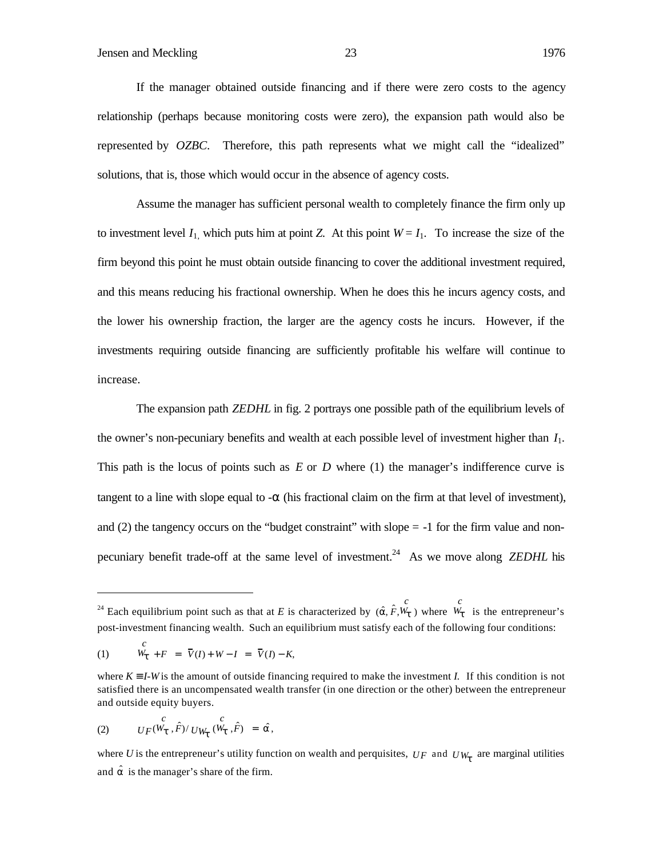If the manager obtained outside financing and if there were zero costs to the agency relationship (perhaps because monitoring costs were zero), the expansion path would also be represented by *OZBC*. Therefore, this path represents what we might call the "idealized" solutions, that is, those which would occur in the absence of agency costs.

Assume the manager has sufficient personal wealth to completely finance the firm only up to investment level  $I_1$  which puts him at point *Z*. At this point  $W = I_1$ . To increase the size of the firm beyond this point he must obtain outside financing to cover the additional investment required, and this means reducing his fractional ownership. When he does this he incurs agency costs, and the lower his ownership fraction, the larger are the agency costs he incurs. However, if the investments requiring outside financing are sufficiently profitable his welfare will continue to increase.

The expansion path *ZEDHL* in fig. 2 portrays one possible path of the equilibrium levels of the owner's non-pecuniary benefits and wealth at each possible level of investment higher than *I*1. This path is the locus of points such as *E* or *D* where (1) the manager's indifference curve is tangent to a line with slope equal to  $-\alpha$  (his fractional claim on the firm at that level of investment), and (2) the tangency occurs on the "budget constraint" with slope  $= -1$  for the firm value and nonpecuniary benefit trade-off at the same level of investment.<sup>24</sup> As we move along *ZEDHL* his

$$
(1) \qquad \overline{W}_{t} + F = \overline{V}(I) + W - I = \overline{V}(I) - K,
$$

*c*

l

(2) 
$$
U_F(\stackrel{C}{W_{t}}, \hat{F})/U_{W_{t}}(\stackrel{C}{W_{t}}, \hat{F}) = \hat{a},
$$

where U is the entrepreneur's utility function on wealth and perquisites,  $U_F$  and  $UW_t$  are marginal utilities and  $\hat{a}$  is the manager's share of the firm.

<sup>&</sup>lt;sup>24</sup> Each equilibrium point such as that at *E* is characterized by  $(\hat{a}, \hat{F}, W_1)$ *Wt* ) where *c*  $W_t$  is the entrepreneur's post-investment financing wealth. Such an equilibrium must satisfy each of the following four conditions:

where *K* ≡ *I-W* is the amount of outside financing required to make the investment *I*. If this condition is not satisfied there is an uncompensated wealth transfer (in one direction or the other) between the entrepreneur and outside equity buyers.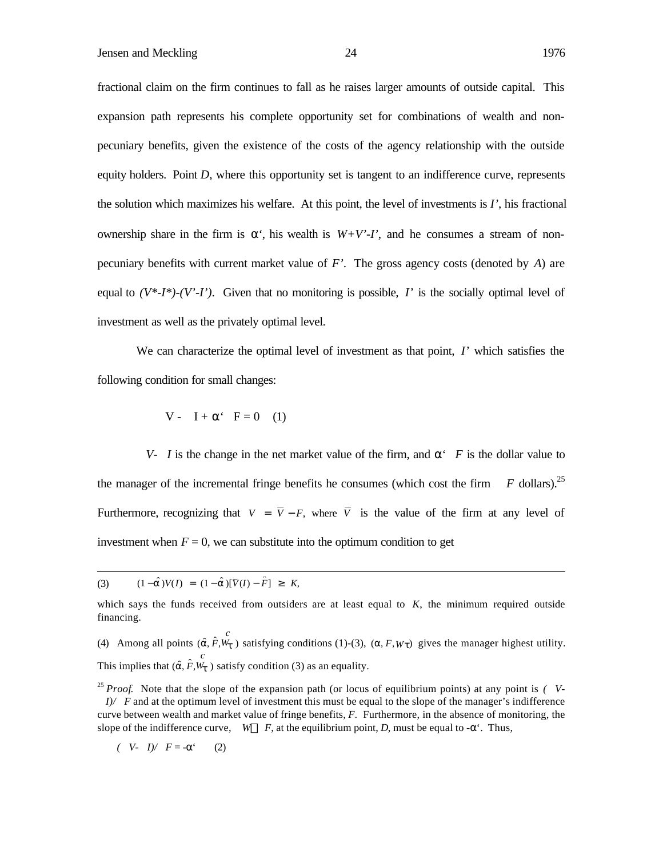fractional claim on the firm continues to fall as he raises larger amounts of outside capital. This expansion path represents his complete opportunity set for combinations of wealth and nonpecuniary benefits, given the existence of the costs of the agency relationship with the outside equity holders. Point *D*, where this opportunity set is tangent to an indifference curve, represents the solution which maximizes his welfare. At this point, the level of investments is *I'*, his fractional ownership share in the firm is  $a'$ , his wealth is  $W+V'-I'$ , and he consumes a stream of nonpecuniary benefits with current market value of *F'*. The gross agency costs (denoted by *A*) are equal to  $(V^*I^*)$ - $(V^*I^*)$ . Given that no monitoring is possible, *I'* is the socially optimal level of investment as well as the privately optimal level.

We can characterize the optimal level of investment as that point, *I'* which satisfies the following condition for small changes:

$$
V - I + \alpha^* \quad F = 0 \quad (1)
$$

*V-I* is the change in the net market value of the firm, and  $a^T$  F is the dollar value to the manager of the incremental fringe benefits he consumes (which cost the firm  $F$  dollars).<sup>25</sup> Furthermore, recognizing that  $V = \overline{V} - F$ , where  $\overline{V}$  is the value of the firm at any level of investment when  $F = 0$ , we can substitute into the optimum condition to get

l

(4) Among all points  $(\hat{\mathbf{a}}, \hat{F}, W_{\mathbf{f}})$  $W_t$ ) satisfying conditions (1)-(3), (*a*, *F*, *Wt*) gives the manager highest utility. This implies that  $(\hat{a}, \hat{F}, W_i)$ *Wt* ) satisfy condition (3) as an equality.

<sup>25</sup> *Proof.* Note that the slope of the expansion path (or locus of equilibrium points) at any point is *(V-* $I$ / $F$  and at the optimum level of investment this must be equal to the slope of the manager's indifference curve between wealth and market value of fringe benefits, *F*. Furthermore, in the absence of monitoring, the slope of the indifference curve,  $W\mathcal{H}F$ , at the equilibrium point, *D*, must be equal to - $\alpha'$ . Thus,

*(V-I)/F* =  $-\alpha'$  (2)

<sup>(3)</sup>  $(1 - \hat{\mathbf{a}})V(I) = (1 - \hat{\mathbf{a}})[\bar{V}(I) - \hat{F}] \geq K$ ,

which says the funds received from outsiders are at least equal to *K*, the minimum required outside financing.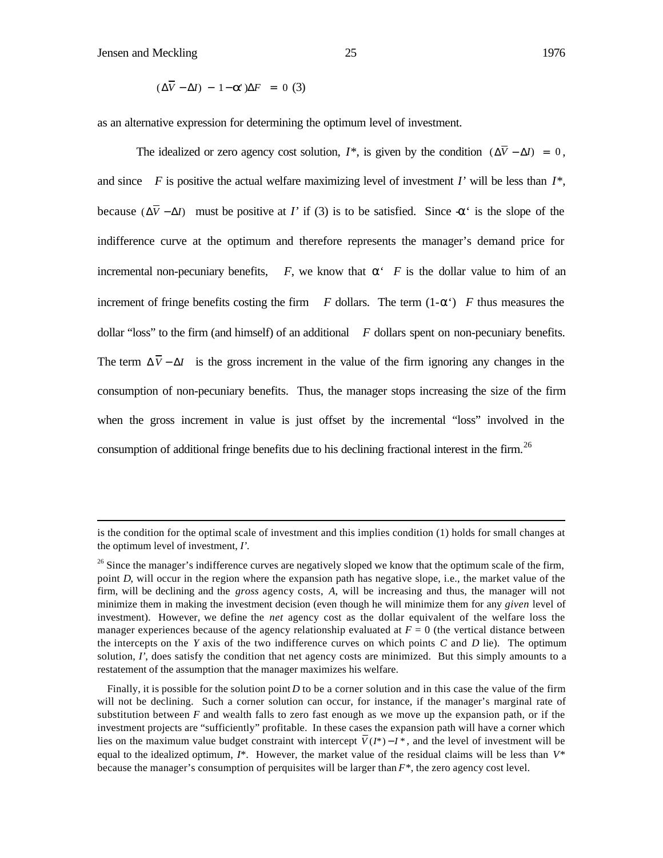$$
(\Delta \overline{V} - \Delta I) - 1 - \mathbf{a}' \Delta F = 0 \tag{3}
$$

as an alternative expression for determining the optimum level of investment.

The idealized or zero agency cost solution,  $I^*$ , is given by the condition  $(\Delta \overline{V} - \Delta I) = 0$ , and since *F* is positive the actual welfare maximizing level of investment *I'* will be less than *I\**, because  $(\Delta \overline{V} - \Delta I)$  must be positive at *I'* if (3) is to be satisfied. Since  $\alpha'$  is the slope of the indifference curve at the optimum and therefore represents the manager's demand price for incremental non-pecuniary benefits,  $F$ , we know that  $\alpha^*$  *F* is the dollar value to him of an increment of fringe benefits costing the firm  $F$  dollars. The term  $(1-\alpha^2)$   $F$  thus measures the dollar "loss" to the firm (and himself) of an additional *F* dollars spent on non-pecuniary benefits. The term  $\Delta \overline{V}$  −  $\Delta I$  is the gross increment in the value of the firm ignoring any changes in the consumption of non-pecuniary benefits. Thus, the manager stops increasing the size of the firm when the gross increment in value is just offset by the incremental "loss" involved in the consumption of additional fringe benefits due to his declining fractional interest in the firm.<sup>26</sup>

is the condition for the optimal scale of investment and this implies condition (1) holds for small changes at the optimum level of investment, *I'*.

<sup>&</sup>lt;sup>26</sup> Since the manager's indifference curves are negatively sloped we know that the optimum scale of the firm, point *D*, will occur in the region where the expansion path has negative slope, i.e., the market value of the firm, will be declining and the *gross* agency costs, *A*, will be increasing and thus, the manager will not minimize them in making the investment decision (even though he will minimize them for any *given* level of investment). However, we define the *net* agency cost as the dollar equivalent of the welfare loss the manager experiences because of the agency relationship evaluated at  $F = 0$  (the vertical distance between the intercepts on the *Y* axis of the two indifference curves on which points *C* and *D* lie). The optimum solution, *I'*, does satisfy the condition that net agency costs are minimized. But this simply amounts to a restatement of the assumption that the manager maximizes his welfare.

Finally, it is possible for the solution point *D* to be a corner solution and in this case the value of the firm will not be declining. Such a corner solution can occur, for instance, if the manager's marginal rate of substitution between *F* and wealth falls to zero fast enough as we move up the expansion path, or if the investment projects are "sufficiently" profitable. In these cases the expansion path will have a corner which lies on the maximum value budget constraint with intercept  $\overline{V}(I^*) - I^*$ , and the level of investment will be equal to the idealized optimum, *I\**. However, the market value of the residual claims will be less than *V\** because the manager's consumption of perquisites will be larger than *F\**, the zero agency cost level.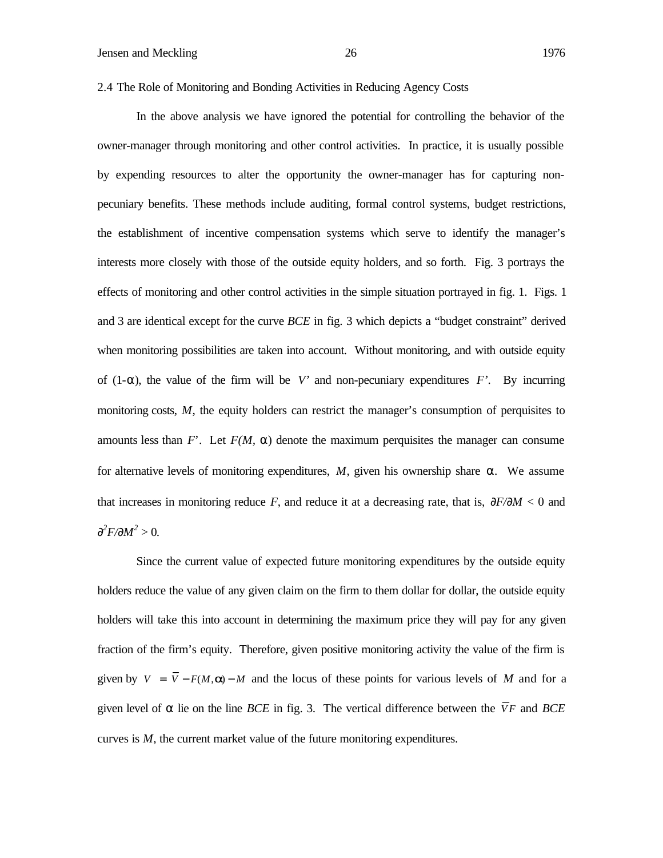2.4 The Role of Monitoring and Bonding Activities in Reducing Agency Costs

In the above analysis we have ignored the potential for controlling the behavior of the owner-manager through monitoring and other control activities. In practice, it is usually possible by expending resources to alter the opportunity the owner-manager has for capturing nonpecuniary benefits. These methods include auditing, formal control systems, budget restrictions, the establishment of incentive compensation systems which serve to identify the manager's interests more closely with those of the outside equity holders, and so forth. Fig. 3 portrays the effects of monitoring and other control activities in the simple situation portrayed in fig. 1. Figs. 1 and 3 are identical except for the curve *BCE* in fig. 3 which depicts a "budget constraint" derived when monitoring possibilities are taken into account. Without monitoring, and with outside equity of  $(1-\alpha)$ , the value of the firm will be *V'* and non-pecuniary expenditures *F'*. By incurring monitoring costs, *M*, the equity holders can restrict the manager's consumption of perquisites to amounts less than *F*'. Let  $F(M, \alpha)$  denote the maximum perquisites the manager can consume for alternative levels of monitoring expenditures, *M*, given his ownership share α. We assume that increases in monitoring reduce *F*, and reduce it at a decreasing rate, that is,  $\sqrt{F/M}$  < 0 and  $\int_{a}^{2} F / \int_{a}^{2} M^{2} > 0.$ 

Since the current value of expected future monitoring expenditures by the outside equity holders reduce the value of any given claim on the firm to them dollar for dollar, the outside equity holders will take this into account in determining the maximum price they will pay for any given fraction of the firm's equity. Therefore, given positive monitoring activity the value of the firm is given by  $V = \overline{V} - F(M, a) - M$  and the locus of these points for various levels of *M* and for a given level of  $\alpha$  lie on the line *BCE* in fig. 3. The vertical difference between the  $\overline{V}F$  and *BCE* curves is *M*, the current market value of the future monitoring expenditures.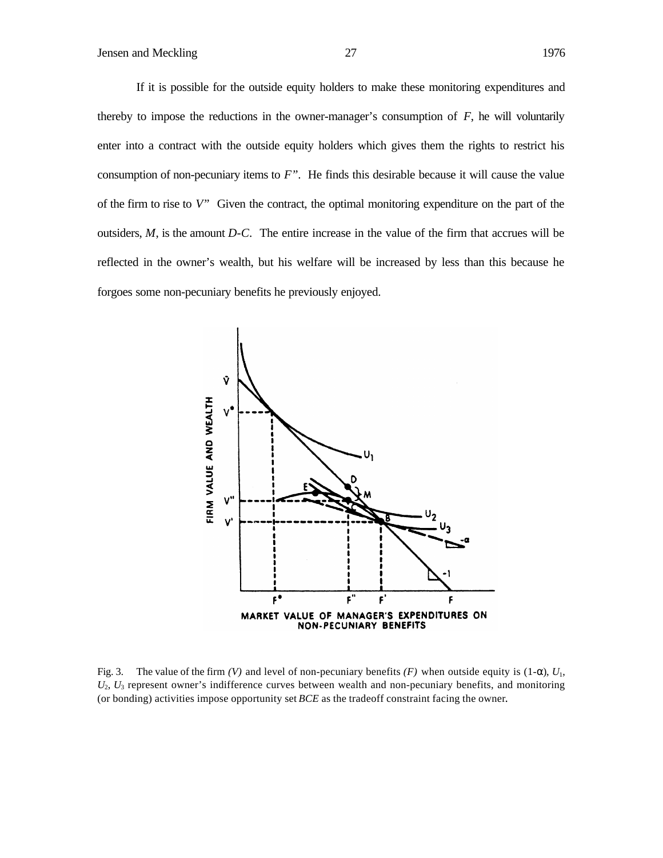If it is possible for the outside equity holders to make these monitoring expenditures and thereby to impose the reductions in the owner-manager's consumption of  $F$ , he will voluntarily enter into a contract with the outside equity holders which gives them the rights to restrict his consumption of non-pecuniary items to *F"*. He finds this desirable because it will cause the value of the firm to rise to *V"* Given the contract, the optimal monitoring expenditure on the part of the outsiders, *M*, is the amount *D-C*. The entire increase in the value of the firm that accrues will be reflected in the owner's wealth, but his welfare will be increased by less than this because he forgoes some non-pecuniary benefits he previously enjoyed.



Fig. 3. The value of the firm *(V)* and level of non-pecuniary benefits *(F)* when outside equity is (1- $\alpha$ ),  $U_1$ ,  $U_2$ ,  $U_3$  represent owner's indifference curves between wealth and non-pecuniary benefits, and monitoring (or bonding) activities impose opportunity set *BCE* as the tradeoff constraint facing the owner.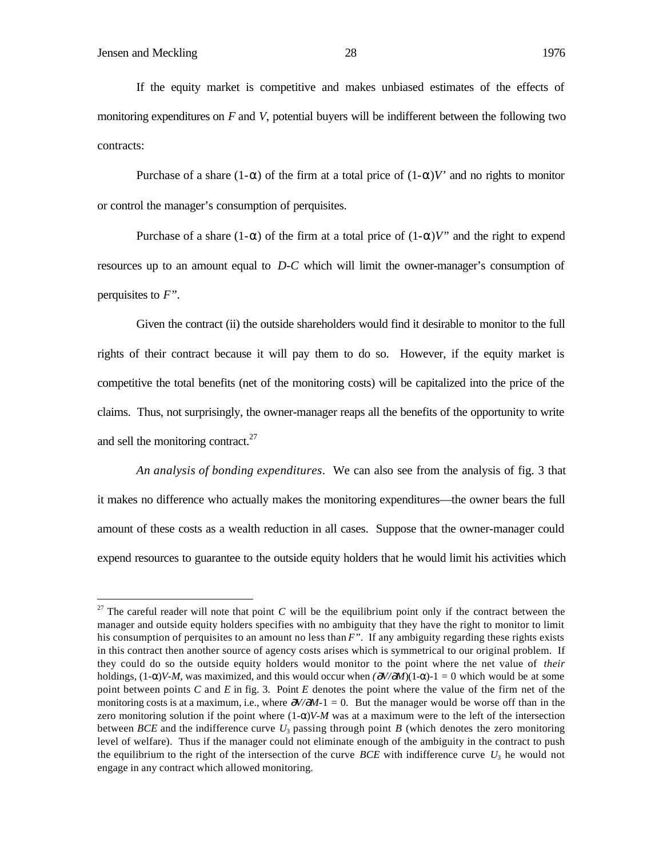If the equity market is competitive and makes unbiased estimates of the effects of monitoring expenditures on *F* and *V*, potential buyers will be indifferent between the following two contracts:

Purchase of a share (1- $\alpha$ ) of the firm at a total price of (1- $\alpha$ )*V'* and no rights to monitor or control the manager's consumption of perquisites.

Purchase of a share (1- $\alpha$ ) of the firm at a total price of (1- $\alpha$ )*V*" and the right to expend resources up to an amount equal to *D-C* which will limit the owner-manager's consumption of perquisites to *F"*.

Given the contract (ii) the outside shareholders would find it desirable to monitor to the full rights of their contract because it will pay them to do so. However, if the equity market is competitive the total benefits (net of the monitoring costs) will be capitalized into the price of the claims. Thus, not surprisingly, the owner-manager reaps all the benefits of the opportunity to write and sell the monitoring contract. $27$ 

*An analysis of bonding expenditures*. We can also see from the analysis of fig. 3 that it makes no difference who actually makes the monitoring expenditures—the owner bears the full amount of these costs as a wealth reduction in all cases. Suppose that the owner-manager could expend resources to guarantee to the outside equity holders that he would limit his activities which

<sup>&</sup>lt;sup>27</sup> The careful reader will note that point *C* will be the equilibrium point only if the contract between the manager and outside equity holders specifies with no ambiguity that they have the right to monitor to limit his consumption of perquisites to an amount no less than *F"*. If any ambiguity regarding these rights exists in this contract then another source of agency costs arises which is symmetrical to our original problem. If they could do so the outside equity holders would monitor to the point where the net value of *their* holdings,  $(1-\alpha)V-M$ , was maximized, and this would occur when  $(\frac{f}{W}/\frac{f}{W})(1-\alpha)-1 = 0$  which would be at some point between points *C* and *E* in fig. 3. Point *E* denotes the point where the value of the firm net of the monitoring costs is at a maximum, i.e., where  $\frac{f}{f}$  / $\frac{f}{f}$  = 0. But the manager would be worse off than in the zero monitoring solution if the point where  $(1-\alpha)V-M$  was at a maximum were to the left of the intersection between *BCE* and the indifference curve  $U_3$  passing through point *B* (which denotes the zero monitoring level of welfare). Thus if the manager could not eliminate enough of the ambiguity in the contract to push the equilibrium to the right of the intersection of the curve *BCE* with indifference curve  $U_3$  he would not engage in any contract which allowed monitoring.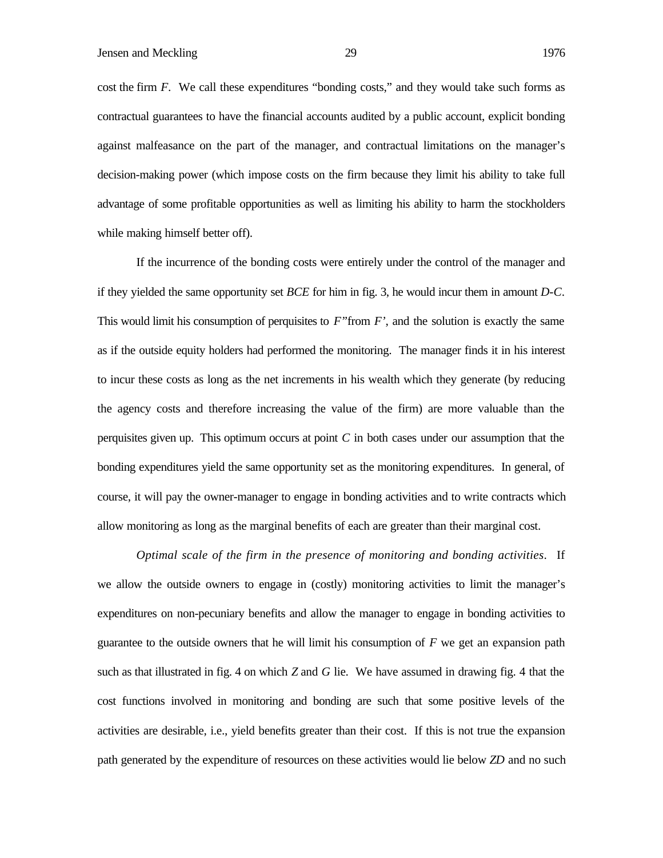cost the firm *F*. We call these expenditures "bonding costs," and they would take such forms as contractual guarantees to have the financial accounts audited by a public account, explicit bonding against malfeasance on the part of the manager, and contractual limitations on the manager's decision-making power (which impose costs on the firm because they limit his ability to take full advantage of some profitable opportunities as well as limiting his ability to harm the stockholders while making himself better off).

If the incurrence of the bonding costs were entirely under the control of the manager and if they yielded the same opportunity set *BCE* for him in fig. 3, he would incur them in amount *D-C*. This would limit his consumption of perquisites to *F"*from *F'*, and the solution is exactly the same as if the outside equity holders had performed the monitoring. The manager finds it in his interest to incur these costs as long as the net increments in his wealth which they generate (by reducing the agency costs and therefore increasing the value of the firm) are more valuable than the perquisites given up. This optimum occurs at point *C* in both cases under our assumption that the bonding expenditures yield the same opportunity set as the monitoring expenditures. In general, of course, it will pay the owner-manager to engage in bonding activities and to write contracts which allow monitoring as long as the marginal benefits of each are greater than their marginal cost.

*Optimal scale of the firm in the presence of monitoring and bonding activities*. If we allow the outside owners to engage in (costly) monitoring activities to limit the manager's expenditures on non-pecuniary benefits and allow the manager to engage in bonding activities to guarantee to the outside owners that he will limit his consumption of *F* we get an expansion path such as that illustrated in fig. 4 on which *Z* and *G* lie. We have assumed in drawing fig. 4 that the cost functions involved in monitoring and bonding are such that some positive levels of the activities are desirable, i.e., yield benefits greater than their cost. If this is not true the expansion path generated by the expenditure of resources on these activities would lie below *ZD* and no such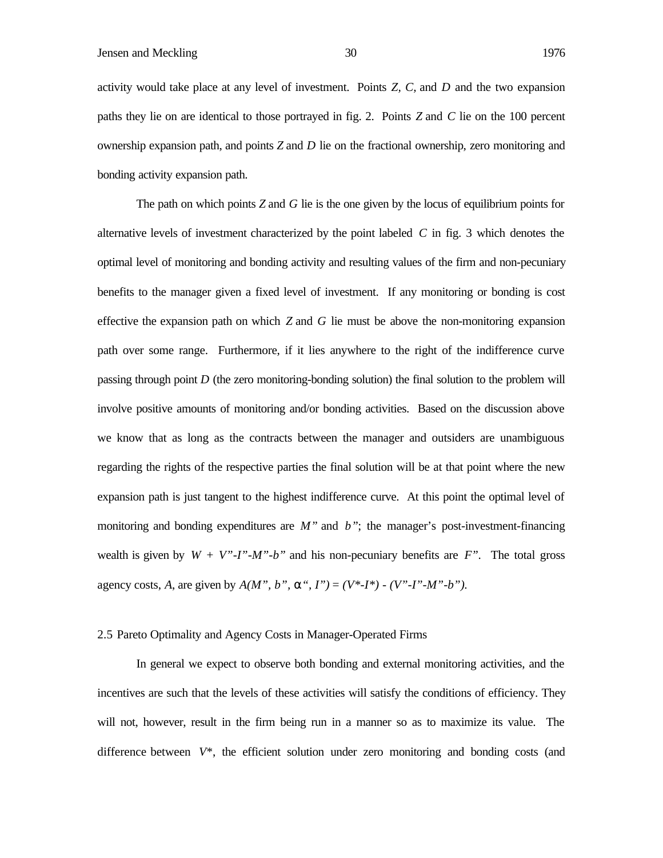activity would take place at any level of investment. Points *Z, C,* and *D* and the two expansion paths they lie on are identical to those portrayed in fig. 2. Points *Z* and *C* lie on the 100 percent ownership expansion path, and points *Z* and *D* lie on the fractional ownership, zero monitoring and bonding activity expansion path.

The path on which points *Z* and *G* lie is the one given by the locus of equilibrium points for alternative levels of investment characterized by the point labeled *C* in fig. 3 which denotes the optimal level of monitoring and bonding activity and resulting values of the firm and non-pecuniary benefits to the manager given a fixed level of investment. If any monitoring or bonding is cost effective the expansion path on which *Z* and *G* lie must be above the non-monitoring expansion path over some range. Furthermore, if it lies anywhere to the right of the indifference curve passing through point *D* (the zero monitoring-bonding solution) the final solution to the problem will involve positive amounts of monitoring and/or bonding activities. Based on the discussion above we know that as long as the contracts between the manager and outsiders are unambiguous regarding the rights of the respective parties the final solution will be at that point where the new expansion path is just tangent to the highest indifference curve. At this point the optimal level of monitoring and bonding expenditures are *M"* and *b"*; the manager's post-investment-financing wealth is given by  $W + V''$ -*I*"-*M*"-*b*" and his non-pecuniary benefits are *F*". The total gross agency costs, *A*, are given by  $A(M'', b'', \alpha''', I'') = (V^* - I^* - (V^* - I' - M' - b'')$ .

# 2.5 Pareto Optimality and Agency Costs in Manager-Operated Firms

In general we expect to observe both bonding and external monitoring activities, and the incentives are such that the levels of these activities will satisfy the conditions of efficiency. They will not, however, result in the firm being run in a manner so as to maximize its value. The difference between  $V^*$ , the efficient solution under zero monitoring and bonding costs (and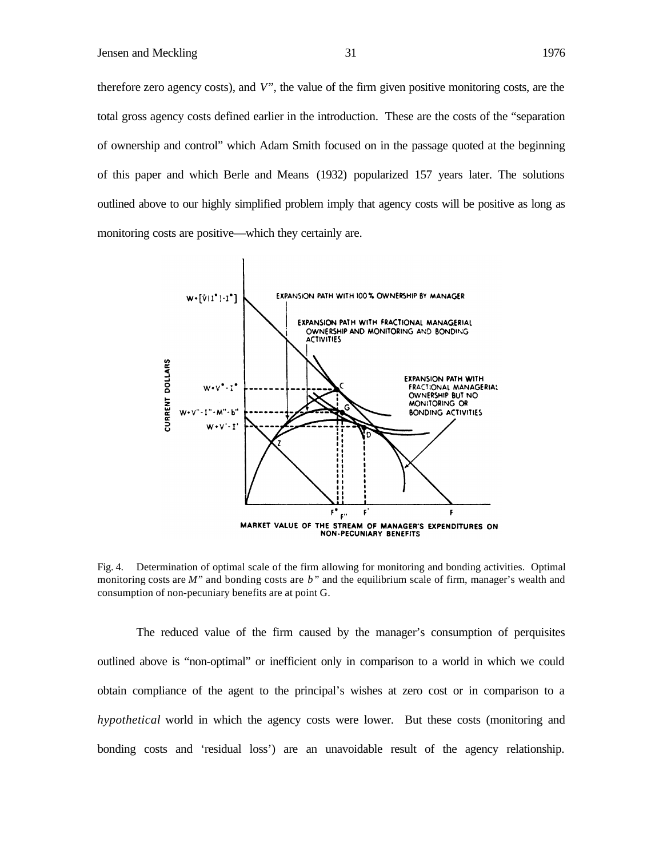therefore zero agency costs), and *V"*, the value of the firm given positive monitoring costs, are the total gross agency costs defined earlier in the introduction. These are the costs of the "separation of ownership and control" which Adam Smith focused on in the passage quoted at the beginning of this paper and which Berle and Means (1932) popularized 157 years later. The solutions outlined above to our highly simplified problem imply that agency costs will be positive as long as monitoring costs are positive—which they certainly are.



Fig. 4. Determination of optimal scale of the firm allowing for monitoring and bonding activities. Optimal monitoring costs are *M"* and bonding costs are *b"* and the equilibrium scale of firm, manager's wealth and consumption of non-pecuniary benefits are at point G.

The reduced value of the firm caused by the manager's consumption of perquisites outlined above is "non-optimal" or inefficient only in comparison to a world in which we could obtain compliance of the agent to the principal's wishes at zero cost or in comparison to a *hypothetical* world in which the agency costs were lower. But these costs (monitoring and bonding costs and 'residual loss') are an unavoidable result of the agency relationship.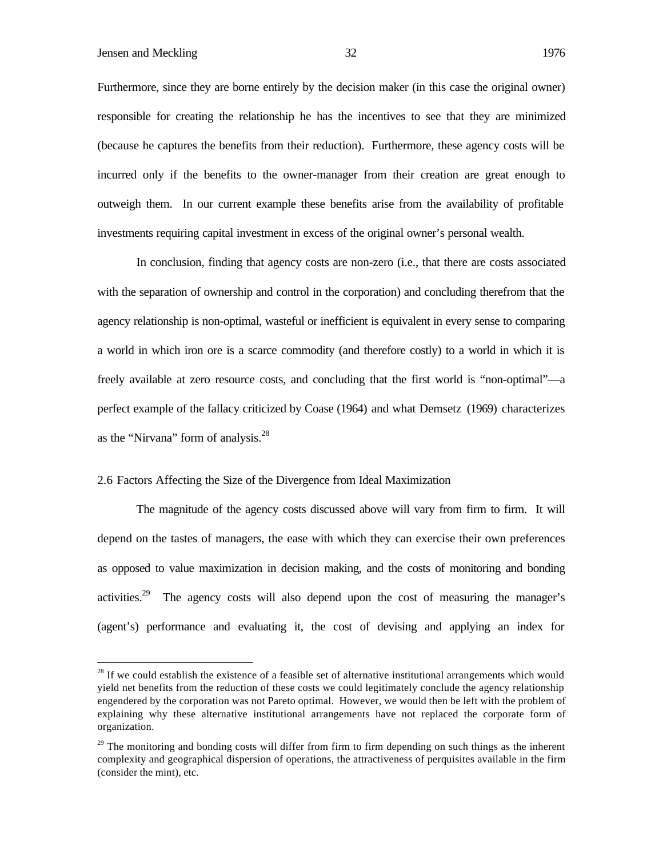Furthermore, since they are borne entirely by the decision maker (in this case the original owner) responsible for creating the relationship he has the incentives to see that they are minimized (because he captures the benefits from their reduction). Furthermore, these agency costs will be incurred only if the benefits to the owner-manager from their creation are great enough to outweigh them. In our current example these benefits arise from the availability of profitable investments requiring capital investment in excess of the original owner's personal wealth.

In conclusion, finding that agency costs are non-zero (i.e., that there are costs associated with the separation of ownership and control in the corporation) and concluding therefrom that the agency relationship is non-optimal, wasteful or inefficient is equivalent in every sense to comparing a world in which iron ore is a scarce commodity (and therefore costly) to a world in which it is freely available at zero resource costs, and concluding that the first world is "non-optimal"—a perfect example of the fallacy criticized by Coase (1964) and what Demsetz (1969) characterizes as the "Nirvana" form of analysis. $^{28}$ 

# 2.6 Factors Affecting the Size of the Divergence from Ideal Maximization

The magnitude of the agency costs discussed above will vary from firm to firm. It will depend on the tastes of managers, the ease with which they can exercise their own preferences as opposed to value maximization in decision making, and the costs of monitoring and bonding activities.<sup>29</sup> The agency costs will also depend upon the cost of measuring the manager's (agent's) performance and evaluating it, the cost of devising and applying an index for

<sup>&</sup>lt;sup>28</sup> If we could establish the existence of a feasible set of alternative institutional arrangements which would yield net benefits from the reduction of these costs we could legitimately conclude the agency relationship engendered by the corporation was not Pareto optimal. However, we would then be left with the problem of explaining why these alternative institutional arrangements have not replaced the corporate form of organization.

 $29$  The monitoring and bonding costs will differ from firm to firm depending on such things as the inherent complexity and geographical dispersion of operations, the attractiveness of perquisites available in the firm (consider the mint), etc.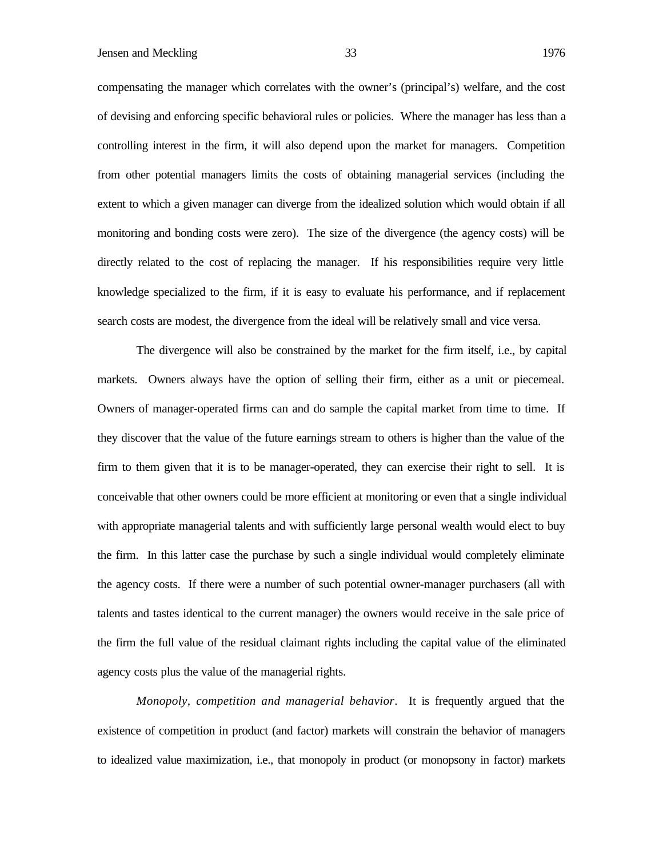compensating the manager which correlates with the owner's (principal's) welfare, and the cost of devising and enforcing specific behavioral rules or policies. Where the manager has less than a controlling interest in the firm, it will also depend upon the market for managers. Competition from other potential managers limits the costs of obtaining managerial services (including the extent to which a given manager can diverge from the idealized solution which would obtain if all monitoring and bonding costs were zero). The size of the divergence (the agency costs) will be directly related to the cost of replacing the manager. If his responsibilities require very little knowledge specialized to the firm, if it is easy to evaluate his performance, and if replacement search costs are modest, the divergence from the ideal will be relatively small and vice versa.

The divergence will also be constrained by the market for the firm itself, i.e., by capital markets. Owners always have the option of selling their firm, either as a unit or piecemeal. Owners of manager-operated firms can and do sample the capital market from time to time. If they discover that the value of the future earnings stream to others is higher than the value of the firm to them given that it is to be manager-operated, they can exercise their right to sell. It is conceivable that other owners could be more efficient at monitoring or even that a single individual with appropriate managerial talents and with sufficiently large personal wealth would elect to buy the firm. In this latter case the purchase by such a single individual would completely eliminate the agency costs. If there were a number of such potential owner-manager purchasers (all with talents and tastes identical to the current manager) the owners would receive in the sale price of the firm the full value of the residual claimant rights including the capital value of the eliminated agency costs plus the value of the managerial rights.

*Monopoly, competition and managerial behavior*. It is frequently argued that the existence of competition in product (and factor) markets will constrain the behavior of managers to idealized value maximization, i.e., that monopoly in product (or monopsony in factor) markets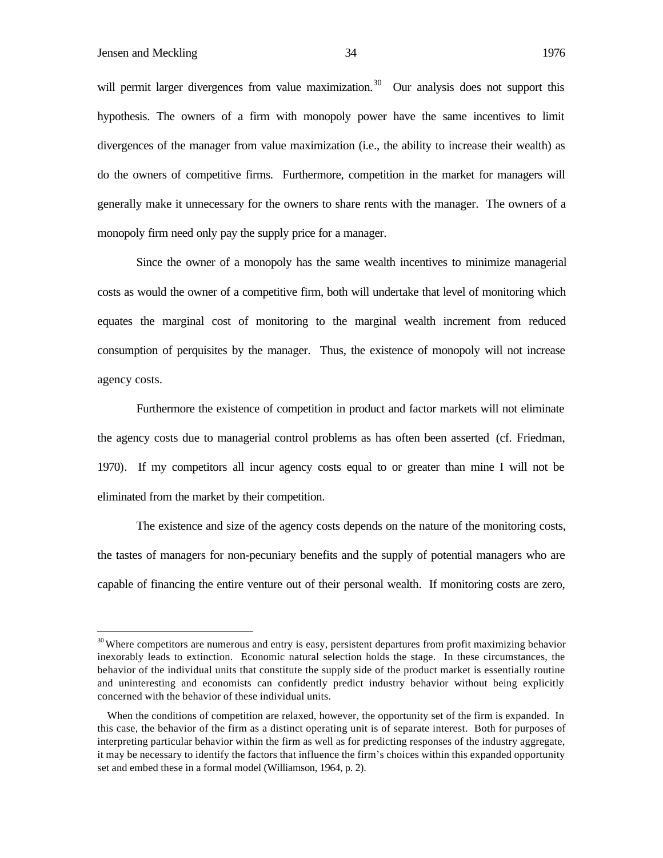will permit larger divergences from value maximization.<sup>30</sup> Our analysis does not support this hypothesis. The owners of a firm with monopoly power have the same incentives to limit divergences of the manager from value maximization (i.e., the ability to increase their wealth) as do the owners of competitive firms. Furthermore, competition in the market for managers will generally make it unnecessary for the owners to share rents with the manager. The owners of a monopoly firm need only pay the supply price for a manager.

Since the owner of a monopoly has the same wealth incentives to minimize managerial costs as would the owner of a competitive firm, both will undertake that level of monitoring which equates the marginal cost of monitoring to the marginal wealth increment from reduced consumption of perquisites by the manager. Thus, the existence of monopoly will not increase agency costs.

Furthermore the existence of competition in product and factor markets will not eliminate the agency costs due to managerial control problems as has often been asserted (cf. Friedman, 1970). If my competitors all incur agency costs equal to or greater than mine I will not be eliminated from the market by their competition.

The existence and size of the agency costs depends on the nature of the monitoring costs, the tastes of managers for non-pecuniary benefits and the supply of potential managers who are capable of financing the entire venture out of their personal wealth. If monitoring costs are zero,

<sup>&</sup>lt;sup>30</sup> Where competitors are numerous and entry is easy, persistent departures from profit maximizing behavior inexorably leads to extinction. Economic natural selection holds the stage. In these circumstances, the behavior of the individual units that constitute the supply side of the product market is essentially routine and uninteresting and economists can confidently predict industry behavior without being explicitly concerned with the behavior of these individual units.

When the conditions of competition are relaxed, however, the opportunity set of the firm is expanded. In this case, the behavior of the firm as a distinct operating unit is of separate interest. Both for purposes of interpreting particular behavior within the firm as well as for predicting responses of the industry aggregate, it may be necessary to identify the factors that influence the firm's choices within this expanded opportunity set and embed these in a formal model (Williamson, 1964, p. 2).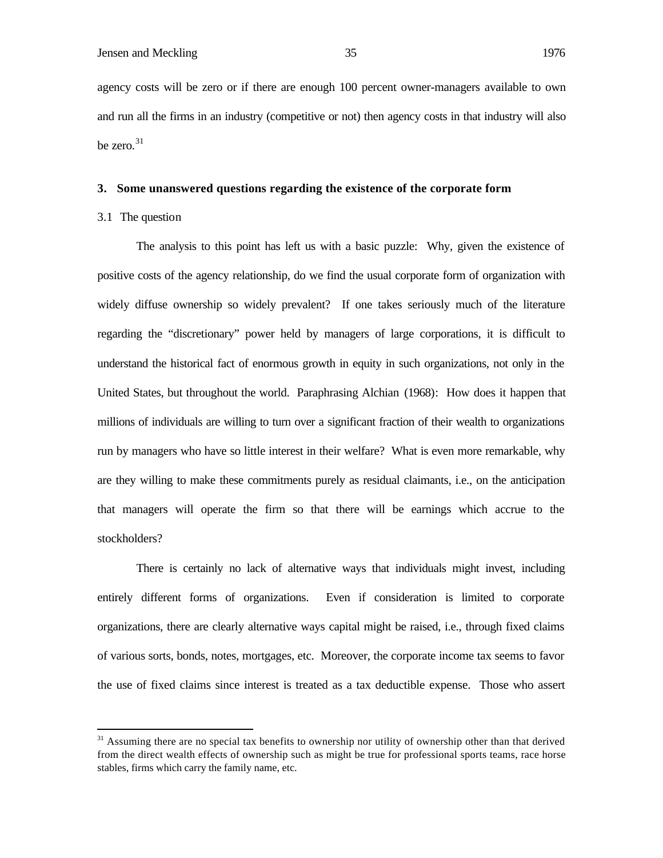agency costs will be zero or if there are enough 100 percent owner-managers available to own and run all the firms in an industry (competitive or not) then agency costs in that industry will also be zero. $31$ 

## **3. Some unanswered questions regarding the existence of the corporate form**

# 3.1 The question

l

The analysis to this point has left us with a basic puzzle: Why, given the existence of positive costs of the agency relationship, do we find the usual corporate form of organization with widely diffuse ownership so widely prevalent? If one takes seriously much of the literature regarding the "discretionary" power held by managers of large corporations, it is difficult to understand the historical fact of enormous growth in equity in such organizations, not only in the United States, but throughout the world. Paraphrasing Alchian (1968): How does it happen that millions of individuals are willing to turn over a significant fraction of their wealth to organizations run by managers who have so little interest in their welfare? What is even more remarkable, why are they willing to make these commitments purely as residual claimants, i.e., on the anticipation that managers will operate the firm so that there will be earnings which accrue to the stockholders?

There is certainly no lack of alternative ways that individuals might invest, including entirely different forms of organizations. Even if consideration is limited to corporate organizations, there are clearly alternative ways capital might be raised, i.e., through fixed claims of various sorts, bonds, notes, mortgages, etc. Moreover, the corporate income tax seems to favor the use of fixed claims since interest is treated as a tax deductible expense. Those who assert

 $31$  Assuming there are no special tax benefits to ownership nor utility of ownership other than that derived from the direct wealth effects of ownership such as might be true for professional sports teams, race horse stables, firms which carry the family name, etc.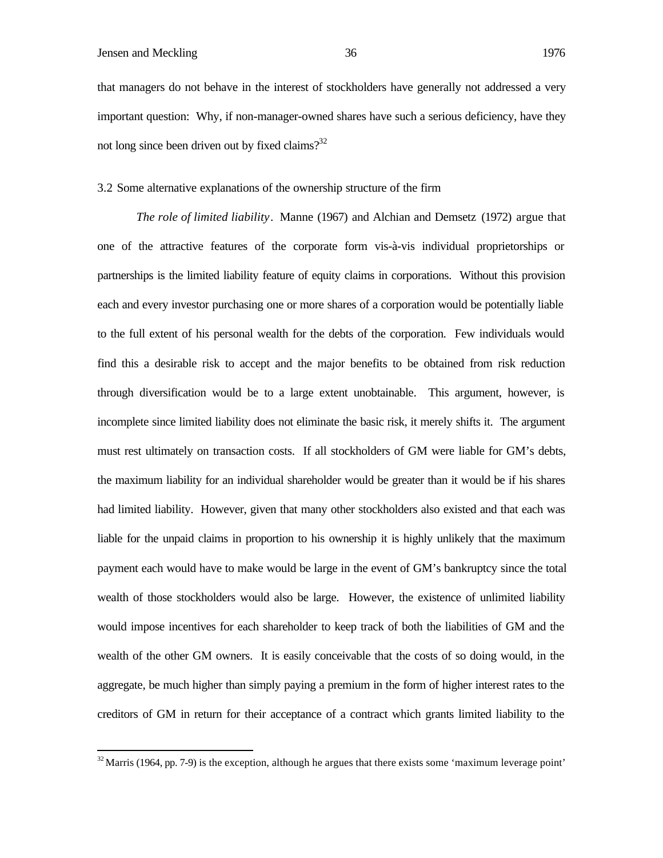that managers do not behave in the interest of stockholders have generally not addressed a very important question: Why, if non-manager-owned shares have such a serious deficiency, have they not long since been driven out by fixed claims? $32$ 

## 3.2 Some alternative explanations of the ownership structure of the firm

*The role of limited liability*. Manne (1967) and Alchian and Demsetz (1972) argue that one of the attractive features of the corporate form vis-à-vis individual proprietorships or partnerships is the limited liability feature of equity claims in corporations. Without this provision each and every investor purchasing one or more shares of a corporation would be potentially liable to the full extent of his personal wealth for the debts of the corporation. Few individuals would find this a desirable risk to accept and the major benefits to be obtained from risk reduction through diversification would be to a large extent unobtainable. This argument, however, is incomplete since limited liability does not eliminate the basic risk, it merely shifts it. The argument must rest ultimately on transaction costs. If all stockholders of GM were liable for GM's debts, the maximum liability for an individual shareholder would be greater than it would be if his shares had limited liability. However, given that many other stockholders also existed and that each was liable for the unpaid claims in proportion to his ownership it is highly unlikely that the maximum payment each would have to make would be large in the event of GM's bankruptcy since the total wealth of those stockholders would also be large. However, the existence of unlimited liability would impose incentives for each shareholder to keep track of both the liabilities of GM and the wealth of the other GM owners. It is easily conceivable that the costs of so doing would, in the aggregate, be much higher than simply paying a premium in the form of higher interest rates to the creditors of GM in return for their acceptance of a contract which grants limited liability to the

 $32$  Marris (1964, pp. 7-9) is the exception, although he argues that there exists some 'maximum leverage point'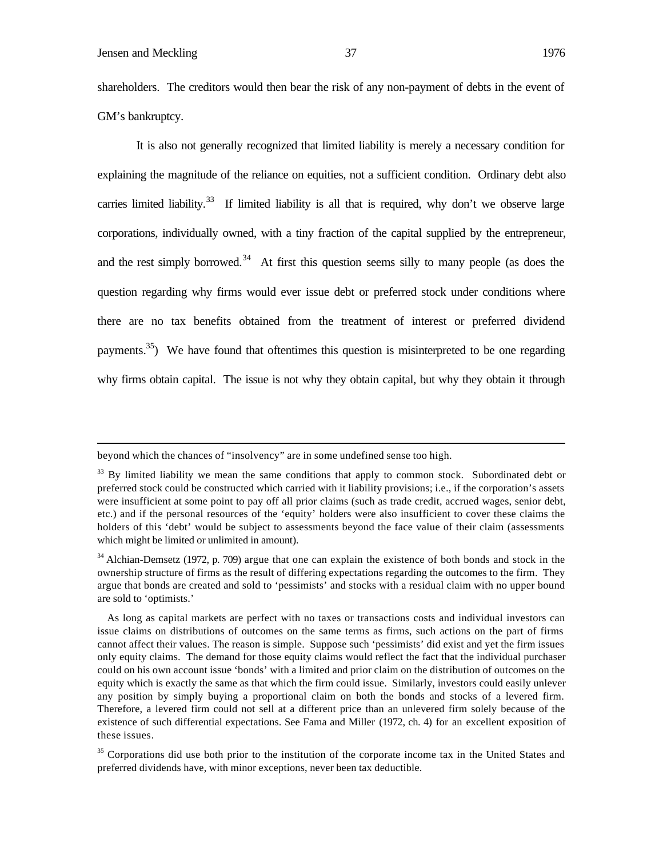shareholders. The creditors would then bear the risk of any non-payment of debts in the event of GM's bankruptcy.

It is also not generally recognized that limited liability is merely a necessary condition for explaining the magnitude of the reliance on equities, not a sufficient condition. Ordinary debt also carries limited liability.<sup>33</sup> If limited liability is all that is required, why don't we observe large corporations, individually owned, with a tiny fraction of the capital supplied by the entrepreneur, and the rest simply borrowed.<sup>34</sup> At first this question seems silly to many people (as does the question regarding why firms would ever issue debt or preferred stock under conditions where there are no tax benefits obtained from the treatment of interest or preferred dividend payments.<sup>35</sup>) We have found that oftentimes this question is misinterpreted to be one regarding why firms obtain capital. The issue is not why they obtain capital, but why they obtain it through

beyond which the chances of "insolvency" are in some undefined sense too high.

 $33$  By limited liability we mean the same conditions that apply to common stock. Subordinated debt or preferred stock could be constructed which carried with it liability provisions; i.e., if the corporation's assets were insufficient at some point to pay off all prior claims (such as trade credit, accrued wages, senior debt, etc.) and if the personal resources of the 'equity' holders were also insufficient to cover these claims the holders of this 'debt' would be subject to assessments beyond the face value of their claim (assessments which might be limited or unlimited in amount).

<sup>&</sup>lt;sup>34</sup> Alchian-Demsetz (1972, p. 709) argue that one can explain the existence of both bonds and stock in the ownership structure of firms as the result of differing expectations regarding the outcomes to the firm. They argue that bonds are created and sold to 'pessimists' and stocks with a residual claim with no upper bound are sold to 'optimists.'

As long as capital markets are perfect with no taxes or transactions costs and individual investors can issue claims on distributions of outcomes on the same terms as firms, such actions on the part of firms cannot affect their values. The reason is simple. Suppose such 'pessimists' did exist and yet the firm issues only equity claims. The demand for those equity claims would reflect the fact that the individual purchaser could on his own account issue 'bonds' with a limited and prior claim on the distribution of outcomes on the equity which is exactly the same as that which the firm could issue. Similarly, investors could easily unlever any position by simply buying a proportional claim on both the bonds and stocks of a levered firm. Therefore, a levered firm could not sell at a different price than an unlevered firm solely because of the existence of such differential expectations. See Fama and Miller (1972, ch. 4) for an excellent exposition of these issues.

<sup>&</sup>lt;sup>35</sup> Corporations did use both prior to the institution of the corporate income tax in the United States and preferred dividends have, with minor exceptions, never been tax deductible.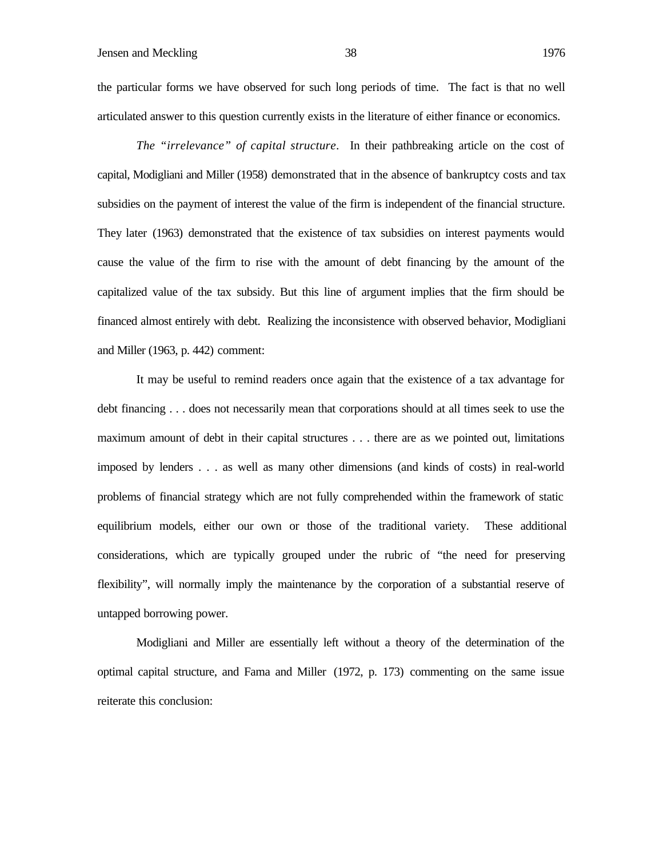the particular forms we have observed for such long periods of time. The fact is that no well articulated answer to this question currently exists in the literature of either finance or economics.

*The "irrelevance" of capital structure*. In their pathbreaking article on the cost of capital, Modigliani and Miller (1958) demonstrated that in the absence of bankruptcy costs and tax subsidies on the payment of interest the value of the firm is independent of the financial structure. They later (1963) demonstrated that the existence of tax subsidies on interest payments would cause the value of the firm to rise with the amount of debt financing by the amount of the capitalized value of the tax subsidy. But this line of argument implies that the firm should be financed almost entirely with debt. Realizing the inconsistence with observed behavior, Modigliani and Miller (1963, p. 442) comment:

It may be useful to remind readers once again that the existence of a tax advantage for debt financing . . . does not necessarily mean that corporations should at all times seek to use the maximum amount of debt in their capital structures . . . there are as we pointed out, limitations imposed by lenders . . . as well as many other dimensions (and kinds of costs) in real-world problems of financial strategy which are not fully comprehended within the framework of static equilibrium models, either our own or those of the traditional variety. These additional considerations, which are typically grouped under the rubric of "the need for preserving flexibility", will normally imply the maintenance by the corporation of a substantial reserve of untapped borrowing power.

Modigliani and Miller are essentially left without a theory of the determination of the optimal capital structure, and Fama and Miller (1972, p. 173) commenting on the same issue reiterate this conclusion: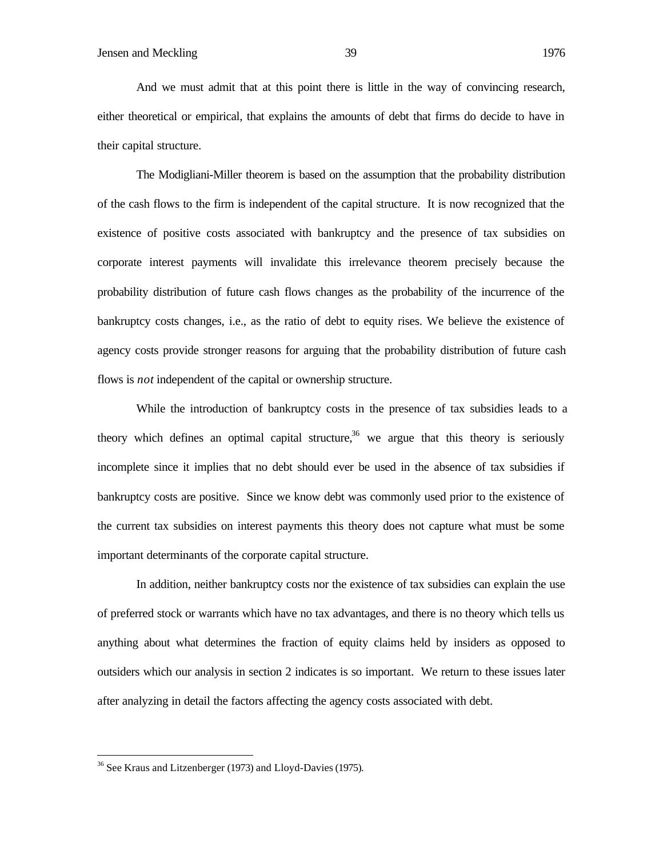The Modigliani-Miller theorem is based on the assumption that the probability distribution of the cash flows to the firm is independent of the capital structure. It is now recognized that the existence of positive costs associated with bankruptcy and the presence of tax subsidies on corporate interest payments will invalidate this irrelevance theorem precisely because the probability distribution of future cash flows changes as the probability of the incurrence of the bankruptcy costs changes, i.e., as the ratio of debt to equity rises. We believe the existence of agency costs provide stronger reasons for arguing that the probability distribution of future cash flows is *not* independent of the capital or ownership structure.

While the introduction of bankruptcy costs in the presence of tax subsidies leads to a theory which defines an optimal capital structure,<sup>36</sup> we argue that this theory is seriously incomplete since it implies that no debt should ever be used in the absence of tax subsidies if bankruptcy costs are positive. Since we know debt was commonly used prior to the existence of the current tax subsidies on interest payments this theory does not capture what must be some important determinants of the corporate capital structure.

In addition, neither bankruptcy costs nor the existence of tax subsidies can explain the use of preferred stock or warrants which have no tax advantages, and there is no theory which tells us anything about what determines the fraction of equity claims held by insiders as opposed to outsiders which our analysis in section 2 indicates is so important. We return to these issues later after analyzing in detail the factors affecting the agency costs associated with debt.

l

<sup>&</sup>lt;sup>36</sup> See Kraus and Litzenberger (1973) and Lloyd-Davies (1975).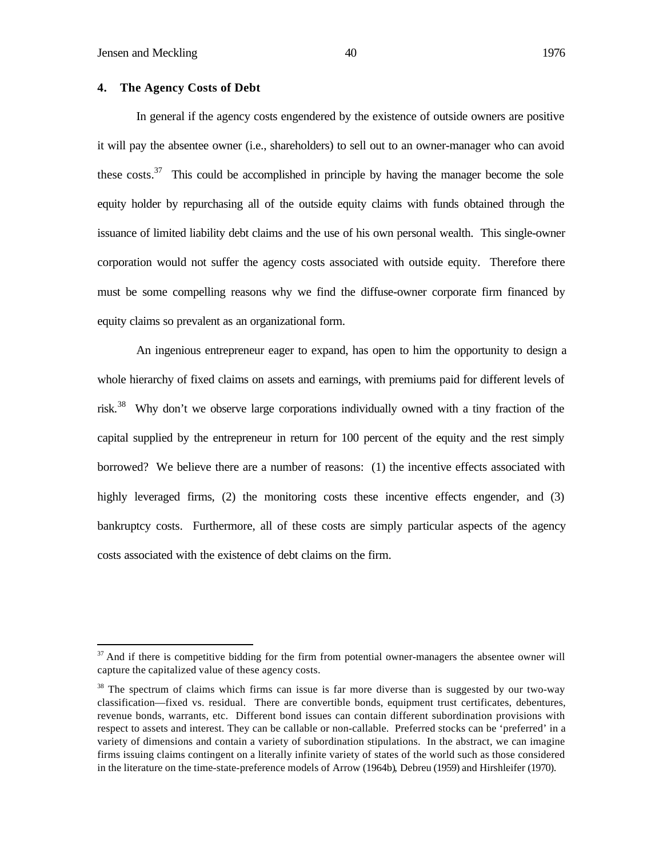In general if the agency costs engendered by the existence of outside owners are positive it will pay the absentee owner (i.e., shareholders) to sell out to an owner-manager who can avoid these costs.<sup>37</sup> This could be accomplished in principle by having the manager become the sole equity holder by repurchasing all of the outside equity claims with funds obtained through the issuance of limited liability debt claims and the use of his own personal wealth. This single-owner corporation would not suffer the agency costs associated with outside equity. Therefore there must be some compelling reasons why we find the diffuse-owner corporate firm financed by equity claims so prevalent as an organizational form.

An ingenious entrepreneur eager to expand, has open to him the opportunity to design a whole hierarchy of fixed claims on assets and earnings, with premiums paid for different levels of risk.<sup>38</sup> Why don't we observe large corporations individually owned with a tiny fraction of the capital supplied by the entrepreneur in return for 100 percent of the equity and the rest simply borrowed? We believe there are a number of reasons: (1) the incentive effects associated with highly leveraged firms, (2) the monitoring costs these incentive effects engender, and (3) bankruptcy costs. Furthermore, all of these costs are simply particular aspects of the agency costs associated with the existence of debt claims on the firm.

 $37$  And if there is competitive bidding for the firm from potential owner-managers the absentee owner will capture the capitalized value of these agency costs.

 $38$  The spectrum of claims which firms can issue is far more diverse than is suggested by our two-way classification—fixed vs. residual. There are convertible bonds, equipment trust certificates, debentures, revenue bonds, warrants, etc. Different bond issues can contain different subordination provisions with respect to assets and interest. They can be callable or non-callable. Preferred stocks can be 'preferred' in a variety of dimensions and contain a variety of subordination stipulations. In the abstract, we can imagine firms issuing claims contingent on a literally infinite variety of states of the world such as those considered in the literature on the time-state-preference models of Arrow (1964b), Debreu (1959) and Hirshleifer (1970).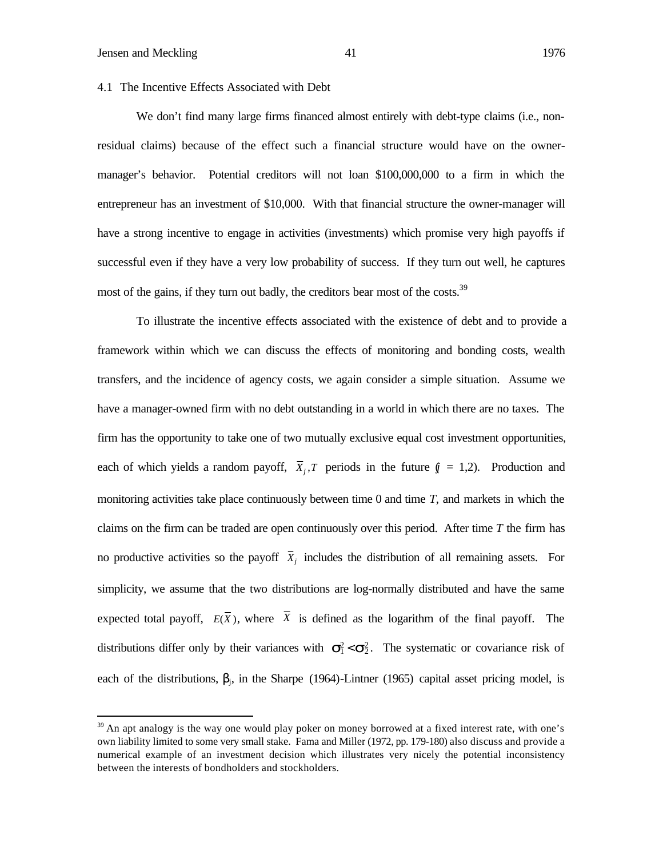We don't find many large firms financed almost entirely with debt-type claims (i.e., nonresidual claims) because of the effect such a financial structure would have on the ownermanager's behavior. Potential creditors will not loan \$100,000,000 to a firm in which the entrepreneur has an investment of \$10,000. With that financial structure the owner-manager will have a strong incentive to engage in activities (investments) which promise very high payoffs if successful even if they have a very low probability of success. If they turn out well, he captures most of the gains, if they turn out badly, the creditors bear most of the costs.<sup>39</sup>

To illustrate the incentive effects associated with the existence of debt and to provide a framework within which we can discuss the effects of monitoring and bonding costs, wealth transfers, and the incidence of agency costs, we again consider a simple situation. Assume we have a manager-owned firm with no debt outstanding in a world in which there are no taxes. The firm has the opportunity to take one of two mutually exclusive equal cost investment opportunities, each of which yields a random payoff,  $\overline{X}_j$ , *T* periods in the future  $\hat{y} = 1,2$ ). Production and monitoring activities take place continuously between time 0 and time *T*, and markets in which the claims on the firm can be traded are open continuously over this period. After time *T* the firm has no productive activities so the payoff  $\overline{X}_j$  includes the distribution of all remaining assets. For simplicity, we assume that the two distributions are log-normally distributed and have the same expected total payoff,  $E(\overline{X})$ , where  $\overline{X}$  is defined as the logarithm of the final payoff. The distributions differ only by their variances with  $\mathbf{s}_1^2 < \mathbf{s}_2^2$ . The systematic or covariance risk of each of the distributions,  $\bm{b}_j$ , in the Sharpe (1964)-Lintner (1965) capital asset pricing model, is

 $39$  An apt analogy is the way one would play poker on money borrowed at a fixed interest rate, with one's own liability limited to some very small stake. Fama and Miller (1972, pp. 179-180) also discuss and provide a numerical example of an investment decision which illustrates very nicely the potential inconsistency between the interests of bondholders and stockholders.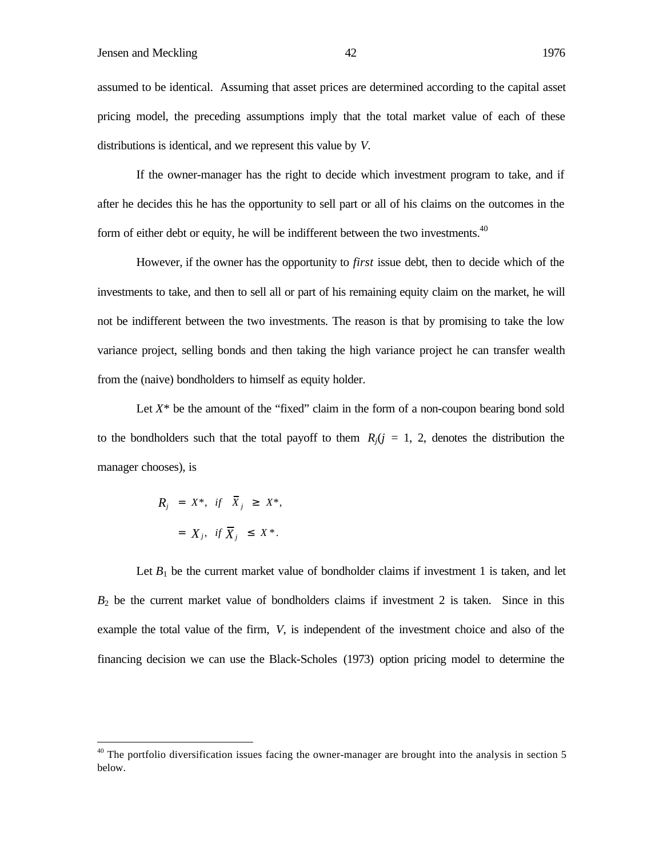assumed to be identical. Assuming that asset prices are determined according to the capital asset pricing model, the preceding assumptions imply that the total market value of each of these distributions is identical, and we represent this value by *V*.

If the owner-manager has the right to decide which investment program to take, and if after he decides this he has the opportunity to sell part or all of his claims on the outcomes in the form of either debt or equity, he will be indifferent between the two investments. $40$ 

However, if the owner has the opportunity to *first* issue debt, then to decide which of the investments to take, and then to sell all or part of his remaining equity claim on the market, he will not be indifferent between the two investments. The reason is that by promising to take the low variance project, selling bonds and then taking the high variance project he can transfer wealth from the (naive) bondholders to himself as equity holder.

Let  $X^*$  be the amount of the "fixed" claim in the form of a non-coupon bearing bond sold to the bondholders such that the total payoff to them  $R_i$  ( $j = 1, 2$ , denotes the distribution the manager chooses), is

$$
R_j = X^*, \text{ if } \overline{X}_j \ge X^*,
$$
  
=  $X_j, \text{ if } \overline{X}_j \le X^*.$ 

l

Let  $B_1$  be the current market value of bondholder claims if investment 1 is taken, and let  $B_2$  be the current market value of bondholders claims if investment 2 is taken. Since in this example the total value of the firm, *V*, is independent of the investment choice and also of the financing decision we can use the Black-Scholes (1973) option pricing model to determine the

 $40$  The portfolio diversification issues facing the owner-manager are brought into the analysis in section 5 below.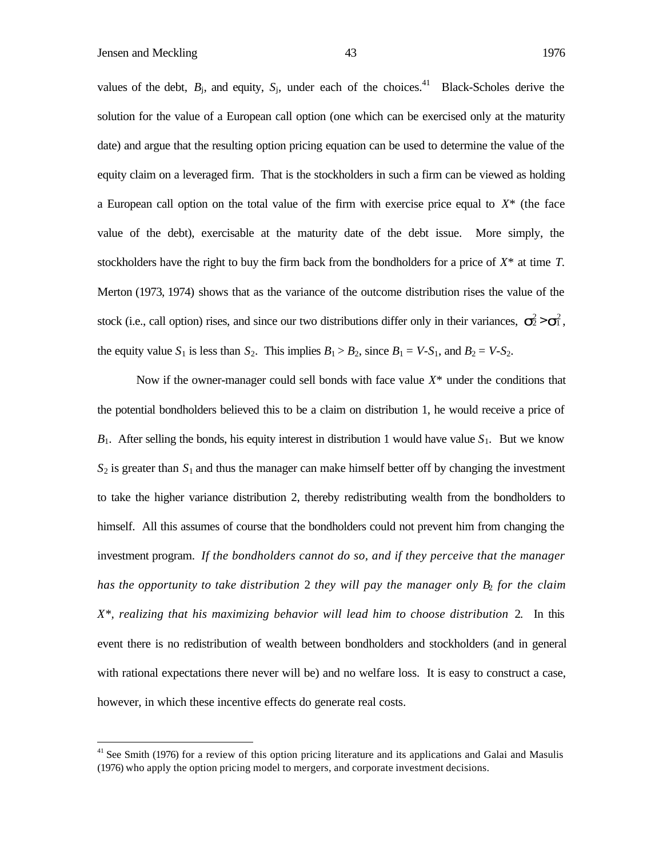values of the debt,  $B_j$ , and equity,  $S_j$ , under each of the choices.<sup>41</sup> Black-Scholes derive the solution for the value of a European call option (one which can be exercised only at the maturity date) and argue that the resulting option pricing equation can be used to determine the value of the equity claim on a leveraged firm. That is the stockholders in such a firm can be viewed as holding a European call option on the total value of the firm with exercise price equal to *X\** (the face value of the debt), exercisable at the maturity date of the debt issue. More simply, the stockholders have the right to buy the firm back from the bondholders for a price of *X\** at time *T*. Merton (1973, 1974) shows that as the variance of the outcome distribution rises the value of the stock (i.e., call option) rises, and since our two distributions differ only in their variances,  $s_2^2 > s_1^2$ , the equity value  $S_1$  is less than  $S_2$ . This implies  $B_1 > B_2$ , since  $B_1 = V-S_1$ , and  $B_2 = V-S_2$ .

Now if the owner-manager could sell bonds with face value *X\** under the conditions that the potential bondholders believed this to be a claim on distribution 1, he would receive a price of  $B_1$ . After selling the bonds, his equity interest in distribution 1 would have value  $S_1$ . But we know  $S_2$  is greater than  $S_1$  and thus the manager can make himself better off by changing the investment to take the higher variance distribution 2, thereby redistributing wealth from the bondholders to himself. All this assumes of course that the bondholders could not prevent him from changing the investment program. *If the bondholders cannot do so, and if they perceive that the manager has the opportunity to take distribution* 2 *they will pay the manager only B*2 *for the claim X\*, realizing that his maximizing behavior will lead him to choose distribution* 2*.* In this event there is no redistribution of wealth between bondholders and stockholders (and in general with rational expectations there never will be) and no welfare loss. It is easy to construct a case, however, in which these incentive effects do generate real costs.

 $41$  See Smith (1976) for a review of this option pricing literature and its applications and Galai and Masulis (1976) who apply the option pricing model to mergers, and corporate investment decisions.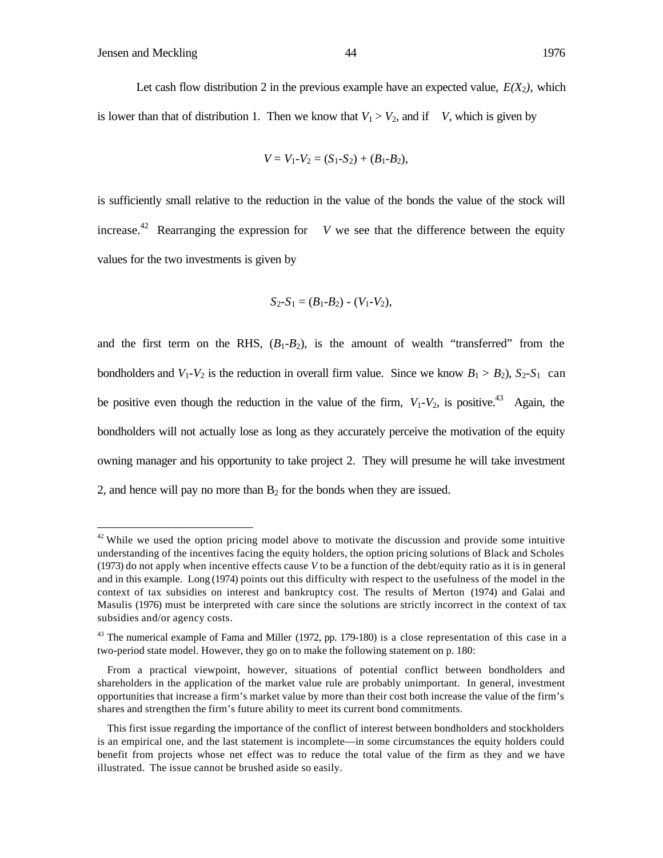$$
V = V_1 - V_2 = (S_1 - S_2) + (B_1 - B_2),
$$

is sufficiently small relative to the reduction in the value of the bonds the value of the stock will increase.<sup>42</sup> Rearranging the expression for *V* we see that the difference between the equity values for the two investments is given by

$$
S_2-S_1=(B_1-B_2)-(V_1-V_2),
$$

and the first term on the RHS,  $(B_1-B_2)$ , is the amount of wealth "transferred" from the bondholders and  $V_1$ - $V_2$  is the reduction in overall firm value. Since we know  $B_1 > B_2$ ,  $S_2$ - $S_1$  can be positive even though the reduction in the value of the firm,  $V_1$ - $V_2$ , is positive.<sup>43</sup> Again, the bondholders will not actually lose as long as they accurately perceive the motivation of the equity owning manager and his opportunity to take project 2. They will presume he will take investment 2, and hence will pay no more than  $B_2$  for the bonds when they are issued.

 $42$  While we used the option pricing model above to motivate the discussion and provide some intuitive understanding of the incentives facing the equity holders, the option pricing solutions of Black and Scholes (1973) do not apply when incentive effects cause *V* to be a function of the debt/equity ratio as it is in general and in this example. Long (1974) points out this difficulty with respect to the usefulness of the model in the context of tax subsidies on interest and bankruptcy cost. The results of Merton (1974) and Galai and Masulis (1976) must be interpreted with care since the solutions are strictly incorrect in the context of tax subsidies and/or agency costs.

<sup>&</sup>lt;sup>43</sup> The numerical example of Fama and Miller (1972, pp. 179-180) is a close representation of this case in a two-period state model. However, they go on to make the following statement on p. 180:

From a practical viewpoint, however, situations of potential conflict between bondholders and shareholders in the application of the market value rule are probably unimportant. In general, investment opportunities that increase a firm's market value by more than their cost both increase the value of the firm's shares and strengthen the firm's future ability to meet its current bond commitments.

This first issue regarding the importance of the conflict of interest between bondholders and stockholders is an empirical one, and the last statement is incomplete—in some circumstances the equity holders could benefit from projects whose net effect was to reduce the total value of the firm as they and we have illustrated. The issue cannot be brushed aside so easily.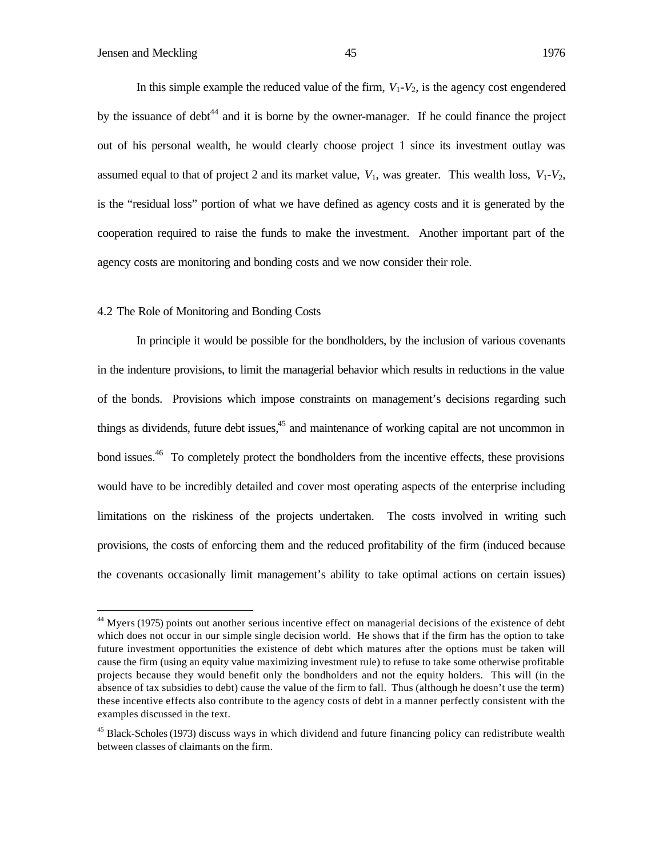In this simple example the reduced value of the firm,  $V_1 - V_2$ , is the agency cost engendered by the issuance of debt<sup>44</sup> and it is borne by the owner-manager. If he could finance the project out of his personal wealth, he would clearly choose project 1 since its investment outlay was assumed equal to that of project 2 and its market value,  $V_1$ , was greater. This wealth loss,  $V_1$ - $V_2$ , is the "residual loss" portion of what we have defined as agency costs and it is generated by the cooperation required to raise the funds to make the investment. Another important part of the agency costs are monitoring and bonding costs and we now consider their role.

# 4.2 The Role of Monitoring and Bonding Costs

In principle it would be possible for the bondholders, by the inclusion of various covenants in the indenture provisions, to limit the managerial behavior which results in reductions in the value of the bonds. Provisions which impose constraints on management's decisions regarding such things as dividends, future debt issues, $45$  and maintenance of working capital are not uncommon in bond issues.<sup>46</sup> To completely protect the bondholders from the incentive effects, these provisions would have to be incredibly detailed and cover most operating aspects of the enterprise including limitations on the riskiness of the projects undertaken. The costs involved in writing such provisions, the costs of enforcing them and the reduced profitability of the firm (induced because the covenants occasionally limit management's ability to take optimal actions on certain issues)

<sup>&</sup>lt;sup>44</sup> Myers (1975) points out another serious incentive effect on managerial decisions of the existence of debt which does not occur in our simple single decision world. He shows that if the firm has the option to take future investment opportunities the existence of debt which matures after the options must be taken will cause the firm (using an equity value maximizing investment rule) to refuse to take some otherwise profitable projects because they would benefit only the bondholders and not the equity holders. This will (in the absence of tax subsidies to debt) cause the value of the firm to fall. Thus (although he doesn't use the term) these incentive effects also contribute to the agency costs of debt in a manner perfectly consistent with the examples discussed in the text.

 $45$  Black-Scholes (1973) discuss ways in which dividend and future financing policy can redistribute wealth between classes of claimants on the firm.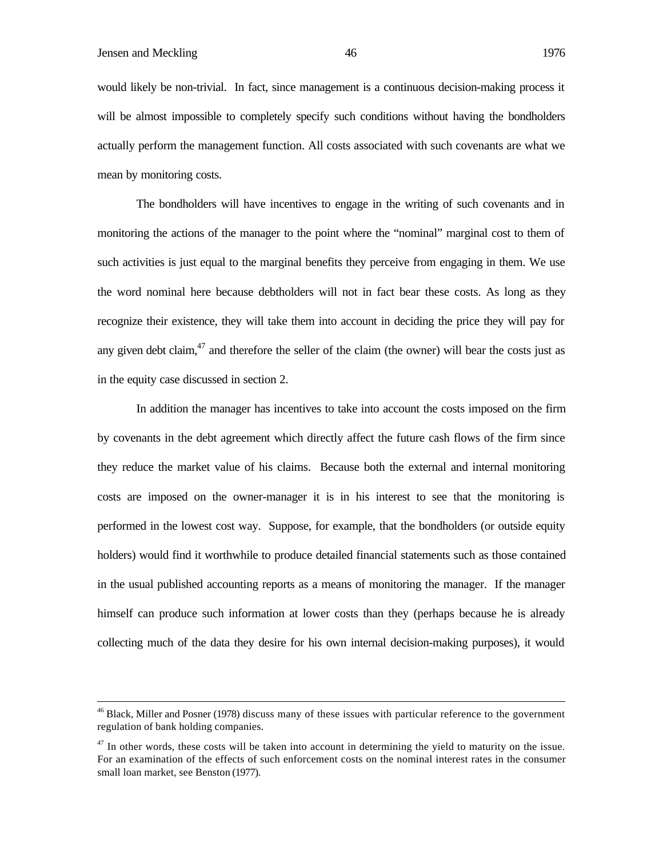would likely be non-trivial. In fact, since management is a continuous decision-making process it will be almost impossible to completely specify such conditions without having the bondholders actually perform the management function. All costs associated with such covenants are what we mean by monitoring costs.

The bondholders will have incentives to engage in the writing of such covenants and in monitoring the actions of the manager to the point where the "nominal" marginal cost to them of such activities is just equal to the marginal benefits they perceive from engaging in them. We use the word nominal here because debtholders will not in fact bear these costs. As long as they recognize their existence, they will take them into account in deciding the price they will pay for any given debt claim, $^{47}$  and therefore the seller of the claim (the owner) will bear the costs just as in the equity case discussed in section 2.

In addition the manager has incentives to take into account the costs imposed on the firm by covenants in the debt agreement which directly affect the future cash flows of the firm since they reduce the market value of his claims. Because both the external and internal monitoring costs are imposed on the owner-manager it is in his interest to see that the monitoring is performed in the lowest cost way. Suppose, for example, that the bondholders (or outside equity holders) would find it worthwhile to produce detailed financial statements such as those contained in the usual published accounting reports as a means of monitoring the manager. If the manager himself can produce such information at lower costs than they (perhaps because he is already collecting much of the data they desire for his own internal decision-making purposes), it would

<sup>&</sup>lt;sup>46</sup> Black, Miller and Posner (1978) discuss many of these issues with particular reference to the government regulation of bank holding companies.

 $47$  In other words, these costs will be taken into account in determining the yield to maturity on the issue. For an examination of the effects of such enforcement costs on the nominal interest rates in the consumer small loan market, see Benston (1977).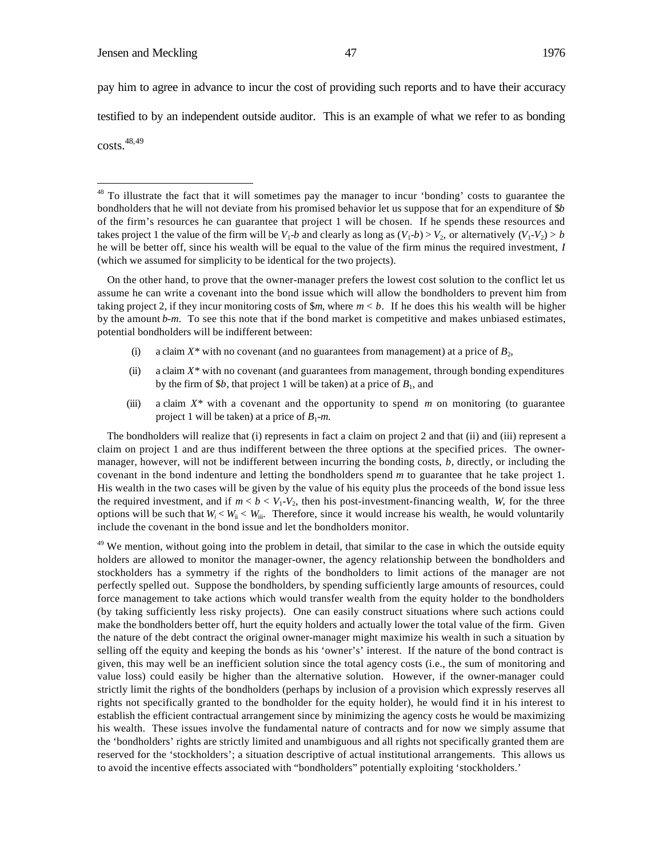pay him to agree in advance to incur the cost of providing such reports and to have their accuracy testified to by an independent outside auditor. This is an example of what we refer to as bonding costs.48,49

On the other hand, to prove that the owner-manager prefers the lowest cost solution to the conflict let us assume he can write a covenant into the bond issue which will allow the bondholders to prevent him from taking project 2, if they incur monitoring costs of  $\mathcal{F}_m$ , where  $m < b$ . If he does this his wealth will be higher by the amount *b-m*. To see this note that if the bond market is competitive and makes unbiased estimates, potential bondholders will be indifferent between:

- (i) a claim  $X^*$  with no covenant (and no guarantees from management) at a price of  $B_2$ ,
- (ii) a claim *X\** with no covenant (and guarantees from management, through bonding expenditures by the firm of  $$b$ , that project 1 will be taken) at a price of  $B_1$ , and
- (iii) a claim *X\** with a covenant and the opportunity to spend *m* on monitoring (to guarantee project 1 will be taken) at a price of  $B_1$ -*m*.

The bondholders will realize that (i) represents in fact a claim on project 2 and that (ii) and (iii) represent a claim on project 1 and are thus indifferent between the three options at the specified prices. The ownermanager, however, will not be indifferent between incurring the bonding costs, *b*, directly, or including the covenant in the bond indenture and letting the bondholders spend *m* to guarantee that he take project 1. His wealth in the two cases will be given by the value of his equity plus the proceeds of the bond issue less the required investment, and if  $m < b < V_1 - V_2$ , then his post-investment-financing wealth, *W*, for the three options will be such that  $W_i < W_{ii} < W_{\text{lin}}$ . Therefore, since it would increase his wealth, he would voluntarily include the covenant in the bond issue and let the bondholders monitor.

<sup>49</sup> We mention, without going into the problem in detail, that similar to the case in which the outside equity holders are allowed to monitor the manager-owner, the agency relationship between the bondholders and stockholders has a symmetry if the rights of the bondholders to limit actions of the manager are not perfectly spelled out. Suppose the bondholders, by spending sufficiently large amounts of resources, could force management to take actions which would transfer wealth from the equity holder to the bondholders (by taking sufficiently less risky projects). One can easily construct situations where such actions could make the bondholders better off, hurt the equity holders and actually lower the total value of the firm. Given the nature of the debt contract the original owner-manager might maximize his wealth in such a situation by selling off the equity and keeping the bonds as his 'owner's' interest. If the nature of the bond contract is given, this may well be an inefficient solution since the total agency costs (i.e., the sum of monitoring and value loss) could easily be higher than the alternative solution. However, if the owner-manager could strictly limit the rights of the bondholders (perhaps by inclusion of a provision which expressly reserves all rights not specifically granted to the bondholder for the equity holder), he would find it in his interest to establish the efficient contractual arrangement since by minimizing the agency costs he would be maximizing his wealth. These issues involve the fundamental nature of contracts and for now we simply assume that the 'bondholders' rights are strictly limited and unambiguous and all rights not specifically granted them are reserved for the 'stockholders'; a situation descriptive of actual institutional arrangements. This allows us to avoid the incentive effects associated with "bondholders" potentially exploiting 'stockholders.'

<sup>&</sup>lt;sup>48</sup> To illustrate the fact that it will sometimes pay the manager to incur 'bonding' costs to guarantee the bondholders that he will not deviate from his promised behavior let us suppose that for an expenditure of \$*b* of the firm's resources he can guarantee that project 1 will be chosen. If he spends these resources and takes project 1 the value of the firm will be  $V_1$ -*b* and clearly as long as  $(V_1-b) > V_2$ , or alternatively  $(V_1-V_2) > b$ he will be better off, since his wealth will be equal to the value of the firm minus the required investment, *I* (which we assumed for simplicity to be identical for the two projects).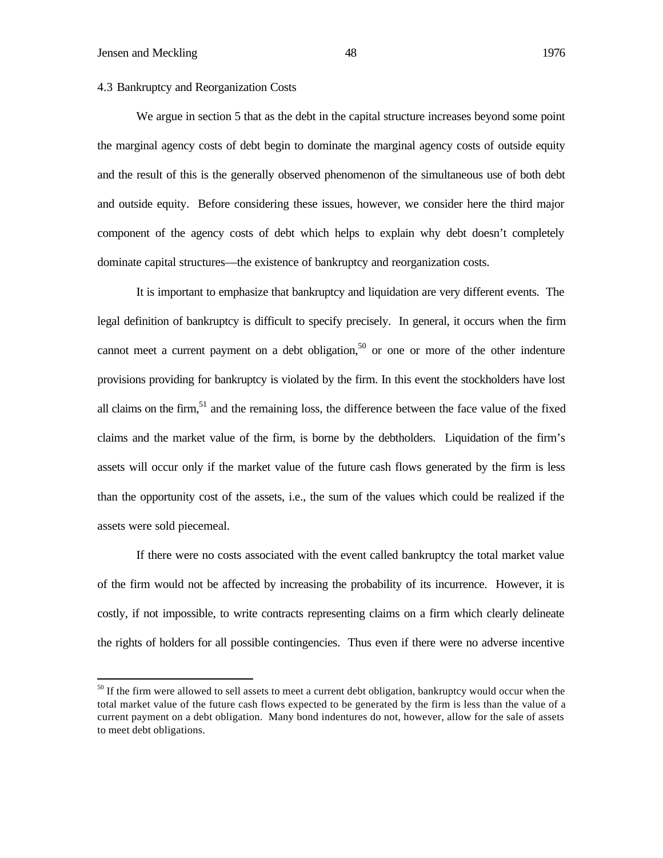4.3 Bankruptcy and Reorganization Costs

We argue in section 5 that as the debt in the capital structure increases beyond some point the marginal agency costs of debt begin to dominate the marginal agency costs of outside equity and the result of this is the generally observed phenomenon of the simultaneous use of both debt and outside equity. Before considering these issues, however, we consider here the third major component of the agency costs of debt which helps to explain why debt doesn't completely dominate capital structures—the existence of bankruptcy and reorganization costs.

It is important to emphasize that bankruptcy and liquidation are very different events. The legal definition of bankruptcy is difficult to specify precisely. In general, it occurs when the firm cannot meet a current payment on a debt obligation,<sup>50</sup> or one or more of the other indenture provisions providing for bankruptcy is violated by the firm. In this event the stockholders have lost all claims on the firm,<sup>51</sup> and the remaining loss, the difference between the face value of the fixed claims and the market value of the firm, is borne by the debtholders. Liquidation of the firm's assets will occur only if the market value of the future cash flows generated by the firm is less than the opportunity cost of the assets, i.e., the sum of the values which could be realized if the assets were sold piecemeal.

If there were no costs associated with the event called bankruptcy the total market value of the firm would not be affected by increasing the probability of its incurrence. However, it is costly, if not impossible, to write contracts representing claims on a firm which clearly delineate the rights of holders for all possible contingencies. Thus even if there were no adverse incentive

<sup>&</sup>lt;sup>50</sup> If the firm were allowed to sell assets to meet a current debt obligation, bankruptcy would occur when the total market value of the future cash flows expected to be generated by the firm is less than the value of a current payment on a debt obligation. Many bond indentures do not, however, allow for the sale of assets to meet debt obligations.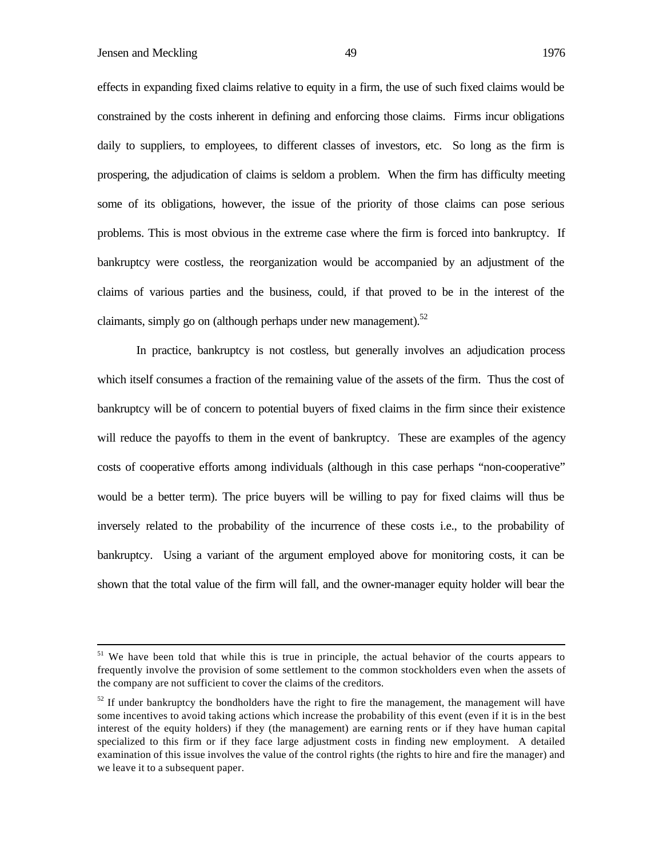effects in expanding fixed claims relative to equity in a firm, the use of such fixed claims would be constrained by the costs inherent in defining and enforcing those claims. Firms incur obligations daily to suppliers, to employees, to different classes of investors, etc. So long as the firm is prospering, the adjudication of claims is seldom a problem. When the firm has difficulty meeting some of its obligations, however, the issue of the priority of those claims can pose serious problems. This is most obvious in the extreme case where the firm is forced into bankruptcy. If bankruptcy were costless, the reorganization would be accompanied by an adjustment of the claims of various parties and the business, could, if that proved to be in the interest of the claimants, simply go on (although perhaps under new management). $52$ 

In practice, bankruptcy is not costless, but generally involves an adjudication process which itself consumes a fraction of the remaining value of the assets of the firm. Thus the cost of bankruptcy will be of concern to potential buyers of fixed claims in the firm since their existence will reduce the payoffs to them in the event of bankruptcy. These are examples of the agency costs of cooperative efforts among individuals (although in this case perhaps "non-cooperative" would be a better term). The price buyers will be willing to pay for fixed claims will thus be inversely related to the probability of the incurrence of these costs i.e., to the probability of bankruptcy. Using a variant of the argument employed above for monitoring costs, it can be shown that the total value of the firm will fall, and the owner-manager equity holder will bear the

 $<sup>51</sup>$  We have been told that while this is true in principle, the actual behavior of the courts appears to</sup> frequently involve the provision of some settlement to the common stockholders even when the assets of the company are not sufficient to cover the claims of the creditors.

 $52$  If under bankruptcy the bondholders have the right to fire the management, the management will have some incentives to avoid taking actions which increase the probability of this event (even if it is in the best interest of the equity holders) if they (the management) are earning rents or if they have human capital specialized to this firm or if they face large adjustment costs in finding new employment. A detailed examination of this issue involves the value of the control rights (the rights to hire and fire the manager) and we leave it to a subsequent paper.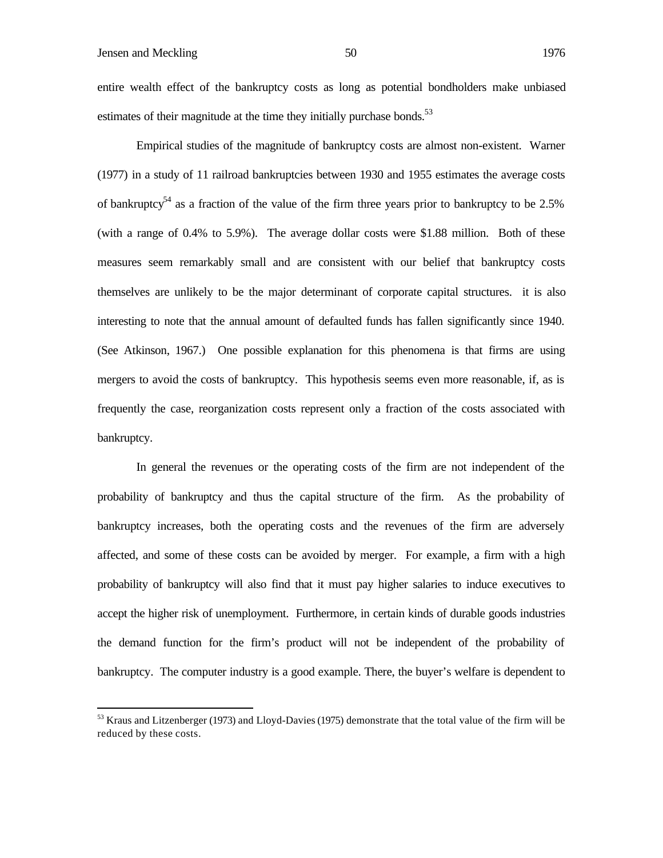entire wealth effect of the bankruptcy costs as long as potential bondholders make unbiased estimates of their magnitude at the time they initially purchase bonds. $53$ 

Empirical studies of the magnitude of bankruptcy costs are almost non-existent. Warner (1977) in a study of 11 railroad bankruptcies between 1930 and 1955 estimates the average costs of bankruptcy<sup>54</sup> as a fraction of the value of the firm three years prior to bankruptcy to be 2.5% (with a range of 0.4% to 5.9%). The average dollar costs were \$1.88 million. Both of these measures seem remarkably small and are consistent with our belief that bankruptcy costs themselves are unlikely to be the major determinant of corporate capital structures. it is also interesting to note that the annual amount of defaulted funds has fallen significantly since 1940. (See Atkinson, 1967.) One possible explanation for this phenomena is that firms are using mergers to avoid the costs of bankruptcy. This hypothesis seems even more reasonable, if, as is frequently the case, reorganization costs represent only a fraction of the costs associated with bankruptcy.

In general the revenues or the operating costs of the firm are not independent of the probability of bankruptcy and thus the capital structure of the firm. As the probability of bankruptcy increases, both the operating costs and the revenues of the firm are adversely affected, and some of these costs can be avoided by merger. For example, a firm with a high probability of bankruptcy will also find that it must pay higher salaries to induce executives to accept the higher risk of unemployment. Furthermore, in certain kinds of durable goods industries the demand function for the firm's product will not be independent of the probability of bankruptcy. The computer industry is a good example. There, the buyer's welfare is dependent to

<sup>&</sup>lt;sup>53</sup> Kraus and Litzenberger (1973) and Lloyd-Davies (1975) demonstrate that the total value of the firm will be reduced by these costs.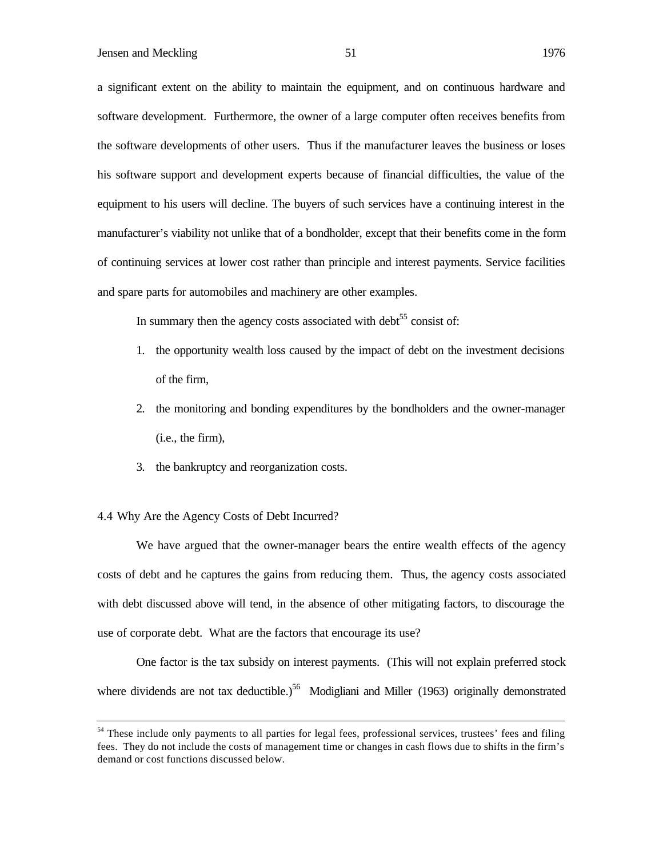a significant extent on the ability to maintain the equipment, and on continuous hardware and software development. Furthermore, the owner of a large computer often receives benefits from the software developments of other users. Thus if the manufacturer leaves the business or loses his software support and development experts because of financial difficulties, the value of the equipment to his users will decline. The buyers of such services have a continuing interest in the manufacturer's viability not unlike that of a bondholder, except that their benefits come in the form of continuing services at lower cost rather than principle and interest payments. Service facilities and spare parts for automobiles and machinery are other examples.

In summary then the agency costs associated with debt<sup>55</sup> consist of:

- 1. the opportunity wealth loss caused by the impact of debt on the investment decisions of the firm,
- 2. the monitoring and bonding expenditures by the bondholders and the owner-manager (i.e., the firm),
- 3. the bankruptcy and reorganization costs.

# 4.4 Why Are the Agency Costs of Debt Incurred?

l

We have argued that the owner-manager bears the entire wealth effects of the agency costs of debt and he captures the gains from reducing them. Thus, the agency costs associated with debt discussed above will tend, in the absence of other mitigating factors, to discourage the use of corporate debt. What are the factors that encourage its use?

One factor is the tax subsidy on interest payments. (This will not explain preferred stock where dividends are not tax deductible.)<sup>56</sup> Modigliani and Miller (1963) originally demonstrated

<sup>&</sup>lt;sup>54</sup> These include only payments to all parties for legal fees, professional services, trustees' fees and filing fees. They do not include the costs of management time or changes in cash flows due to shifts in the firm's demand or cost functions discussed below.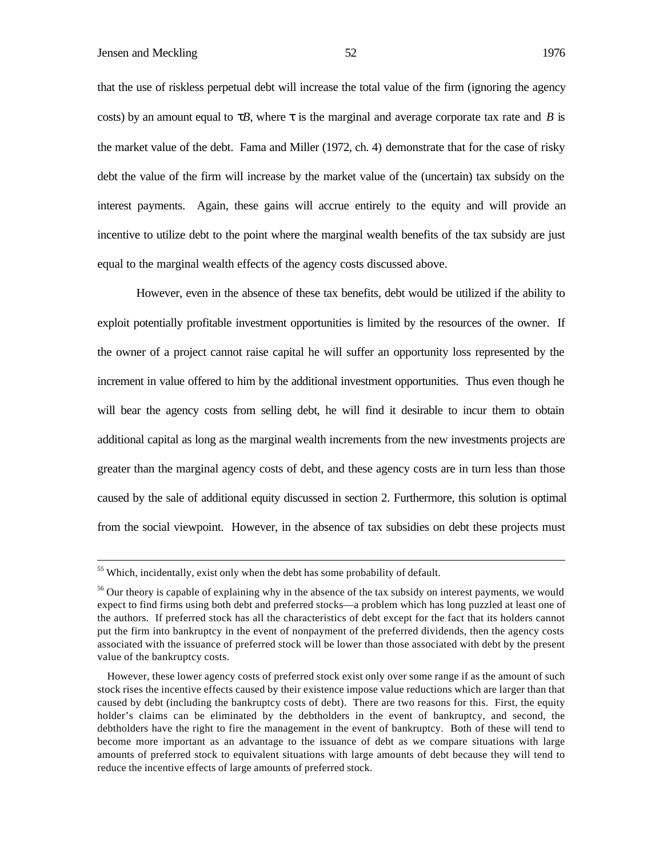that the use of riskless perpetual debt will increase the total value of the firm (ignoring the agency costs) by an amount equal to  $\tau B$ , where  $\tau$  is the marginal and average corporate tax rate and *B* is the market value of the debt. Fama and Miller (1972, ch. 4) demonstrate that for the case of risky debt the value of the firm will increase by the market value of the (uncertain) tax subsidy on the interest payments. Again, these gains will accrue entirely to the equity and will provide an incentive to utilize debt to the point where the marginal wealth benefits of the tax subsidy are just equal to the marginal wealth effects of the agency costs discussed above.

However, even in the absence of these tax benefits, debt would be utilized if the ability to exploit potentially profitable investment opportunities is limited by the resources of the owner. If the owner of a project cannot raise capital he will suffer an opportunity loss represented by the increment in value offered to him by the additional investment opportunities. Thus even though he will bear the agency costs from selling debt, he will find it desirable to incur them to obtain additional capital as long as the marginal wealth increments from the new investments projects are greater than the marginal agency costs of debt, and these agency costs are in turn less than those caused by the sale of additional equity discussed in section 2. Furthermore, this solution is optimal from the social viewpoint. However, in the absence of tax subsidies on debt these projects must

<sup>&</sup>lt;sup>55</sup> Which, incidentally, exist only when the debt has some probability of default.

<sup>&</sup>lt;sup>56</sup> Our theory is capable of explaining why in the absence of the tax subsidy on interest payments, we would expect to find firms using both debt and preferred stocks—a problem which has long puzzled at least one of the authors. If preferred stock has all the characteristics of debt except for the fact that its holders cannot put the firm into bankruptcy in the event of nonpayment of the preferred dividends, then the agency costs associated with the issuance of preferred stock will be lower than those associated with debt by the present value of the bankruptcy costs.

However, these lower agency costs of preferred stock exist only over some range if as the amount of such stock rises the incentive effects caused by their existence impose value reductions which are larger than that caused by debt (including the bankruptcy costs of debt). There are two reasons for this. First, the equity holder's claims can be eliminated by the debtholders in the event of bankruptcy, and second, the debtholders have the right to fire the management in the event of bankruptcy. Both of these will tend to become more important as an advantage to the issuance of debt as we compare situations with large amounts of preferred stock to equivalent situations with large amounts of debt because they will tend to reduce the incentive effects of large amounts of preferred stock.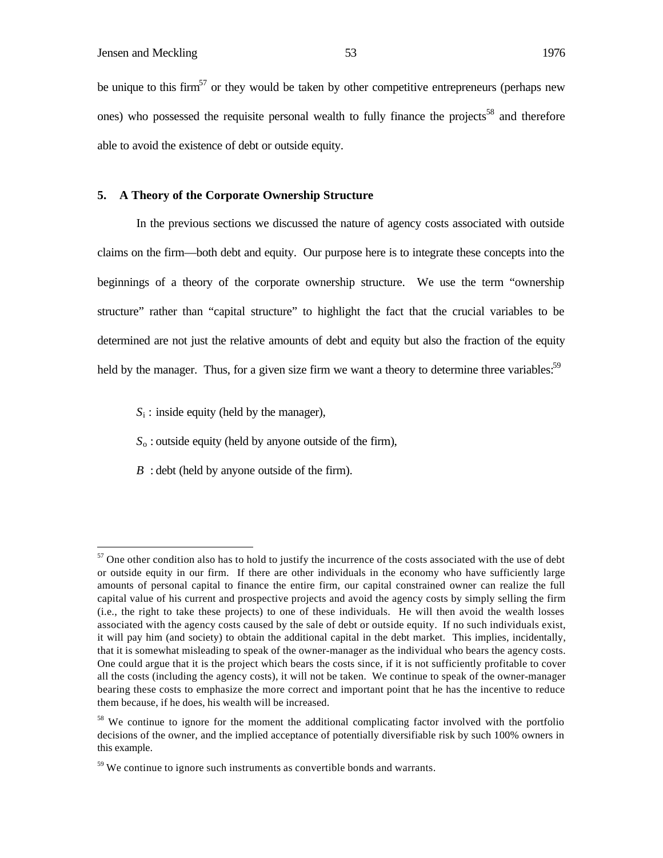be unique to this firm<sup>57</sup> or they would be taken by other competitive entrepreneurs (perhaps new ones) who possessed the requisite personal wealth to fully finance the projects<sup>58</sup> and therefore able to avoid the existence of debt or outside equity.

# **5. A Theory of the Corporate Ownership Structure**

In the previous sections we discussed the nature of agency costs associated with outside claims on the firm—both debt and equity. Our purpose here is to integrate these concepts into the beginnings of a theory of the corporate ownership structure. We use the term "ownership structure" rather than "capital structure" to highlight the fact that the crucial variables to be determined are not just the relative amounts of debt and equity but also the fraction of the equity held by the manager. Thus, for a given size firm we want a theory to determine three variables.<sup>59</sup>

- *S*i : inside equity (held by the manager),
- *S*o : outside equity (held by anyone outside of the firm),
- *B* : debt (held by anyone outside of the firm).

<sup>&</sup>lt;sup>57</sup> One other condition also has to hold to justify the incurrence of the costs associated with the use of debt or outside equity in our firm. If there are other individuals in the economy who have sufficiently large amounts of personal capital to finance the entire firm, our capital constrained owner can realize the full capital value of his current and prospective projects and avoid the agency costs by simply selling the firm (i.e., the right to take these projects) to one of these individuals. He will then avoid the wealth losses associated with the agency costs caused by the sale of debt or outside equity. If no such individuals exist, it will pay him (and society) to obtain the additional capital in the debt market. This implies, incidentally, that it is somewhat misleading to speak of the owner-manager as the individual who bears the agency costs. One could argue that it is the project which bears the costs since, if it is not sufficiently profitable to cover all the costs (including the agency costs), it will not be taken. We continue to speak of the owner-manager bearing these costs to emphasize the more correct and important point that he has the incentive to reduce them because, if he does, his wealth will be increased.

<sup>&</sup>lt;sup>58</sup> We continue to ignore for the moment the additional complicating factor involved with the portfolio decisions of the owner, and the implied acceptance of potentially diversifiable risk by such 100% owners in this example.

 $59$  We continue to ignore such instruments as convertible bonds and warrants.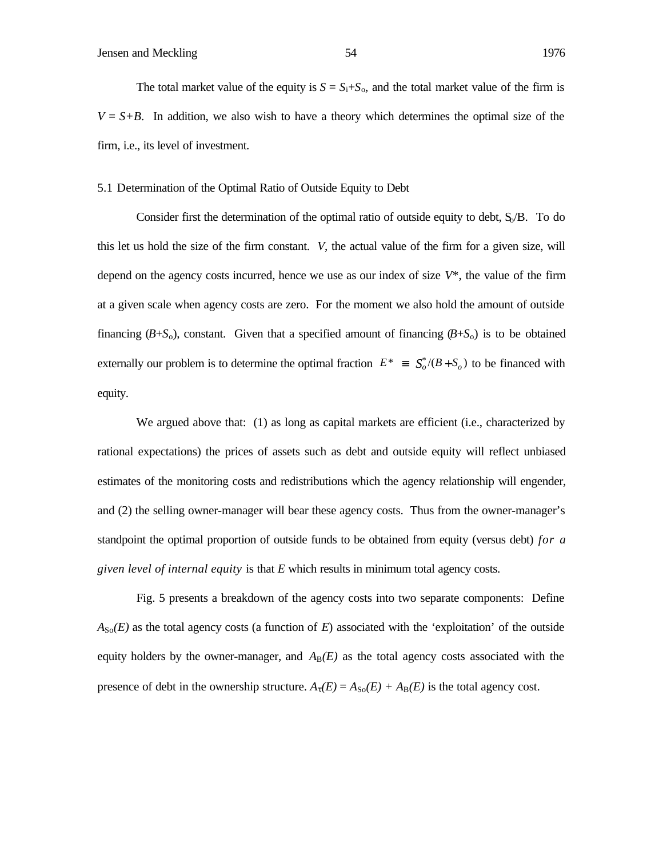The total market value of the equity is  $S = S_i + S_o$ , and the total market value of the firm is  $V = S + B$ . In addition, we also wish to have a theory which determines the optimal size of the firm, i.e., its level of investment.

# 5.1 Determination of the Optimal Ratio of Outside Equity to Debt

Consider first the determination of the optimal ratio of outside equity to debt,  $S_{\gamma}/B$ . To do this let us hold the size of the firm constant. *V*, the actual value of the firm for a given size, will depend on the agency costs incurred, hence we use as our index of size  $V^*$ , the value of the firm at a given scale when agency costs are zero. For the moment we also hold the amount of outside financing ( $B+S_0$ ), constant. Given that a specified amount of financing  $(B+S_0)$  is to be obtained externally our problem is to determine the optimal fraction  $E^* = S_o^* / (B + S_o)$  to be financed with equity.

We argued above that: (1) as long as capital markets are efficient (i.e., characterized by rational expectations) the prices of assets such as debt and outside equity will reflect unbiased estimates of the monitoring costs and redistributions which the agency relationship will engender, and (2) the selling owner-manager will bear these agency costs. Thus from the owner-manager's standpoint the optimal proportion of outside funds to be obtained from equity (versus debt) *for a given level of internal equity* is that *E* which results in minimum total agency costs.

Fig. 5 presents a breakdown of the agency costs into two separate components: Define  $A_{\text{So}}(E)$  as the total agency costs (a function of *E*) associated with the 'exploitation' of the outside equity holders by the owner-manager, and  $A_B(E)$  as the total agency costs associated with the presence of debt in the ownership structure.  $A_{\tau}(E) = A_{\text{So}}(E) + A_{\text{B}}(E)$  is the total agency cost.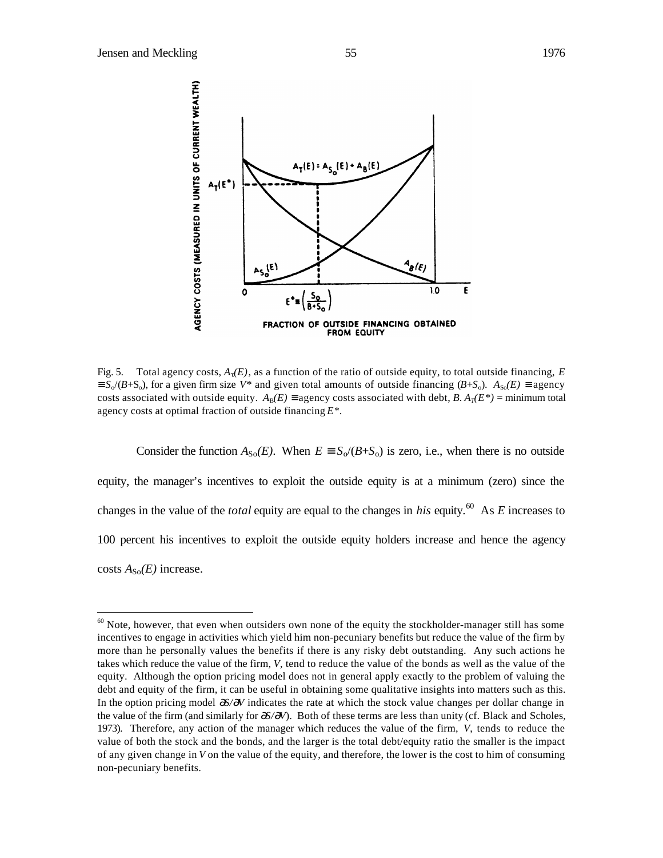



Fig. 5. Total agency costs, *A*τ*(E)*, as a function of the ratio of outside equity, to total outside financing, *E*  $\equiv S_0/(B+S_0)$ , for a given firm size *V\** and given total amounts of outside financing  $(B+S_0)$ .  $A_{S_0}(E) \equiv$  agency costs associated with outside equity.  $A_B(E) \equiv$  agency costs associated with debt,  $B \cdot A_I(E^*) =$  minimum total agency costs at optimal fraction of outside financing *E\**.

Consider the function  $A_{\text{So}}(E)$ . When  $E \equiv S_0/(B+S_0)$  is zero, i.e., when there is no outside equity, the manager's incentives to exploit the outside equity is at a minimum (zero) since the changes in the value of the *total* equity are equal to the changes in *his* equity.<sup>60</sup> As *E* increases to 100 percent his incentives to exploit the outside equity holders increase and hence the agency costs  $A_{\text{So}}(E)$  increase.

 $60$  Note, however, that even when outsiders own none of the equity the stockholder-manager still has some incentives to engage in activities which yield him non-pecuniary benefits but reduce the value of the firm by more than he personally values the benefits if there is any risky debt outstanding. Any such actions he takes which reduce the value of the firm, *V*, tend to reduce the value of the bonds as well as the value of the equity. Although the option pricing model does not in general apply exactly to the problem of valuing the debt and equity of the firm, it can be useful in obtaining some qualitative insights into matters such as this. In the option pricing model *¶S/¶V* indicates the rate at which the stock value changes per dollar change in the value of the firm (and similarly for *¶S/¶V*). Both of these terms are less than unity (cf. Black and Scholes, 1973). Therefore, any action of the manager which reduces the value of the firm, *V*, tends to reduce the value of both the stock and the bonds, and the larger is the total debt/equity ratio the smaller is the impact of any given change in *V* on the value of the equity, and therefore, the lower is the cost to him of consuming non-pecuniary benefits.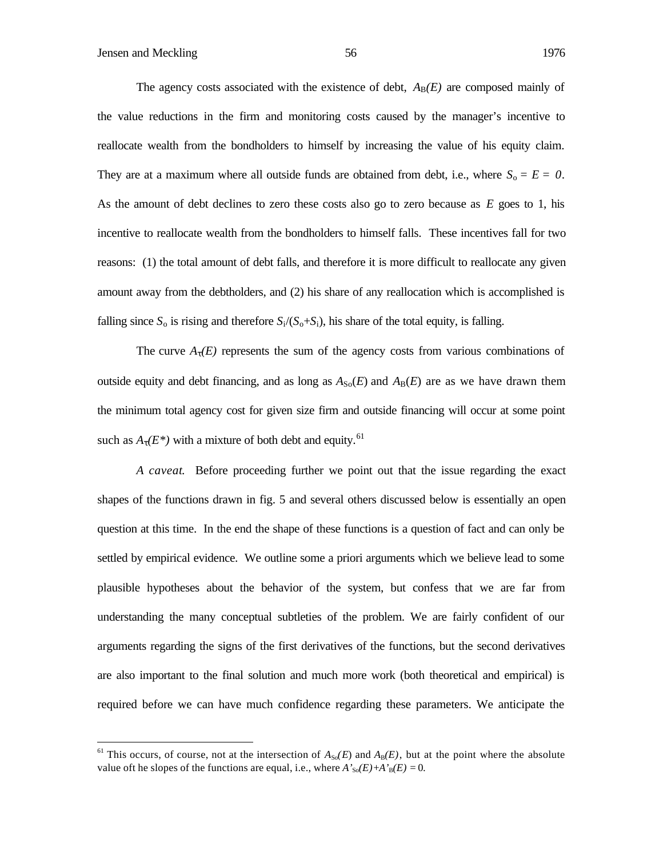The agency costs associated with the existence of debt,  $A_B(E)$  are composed mainly of the value reductions in the firm and monitoring costs caused by the manager's incentive to reallocate wealth from the bondholders to himself by increasing the value of his equity claim. They are at a maximum where all outside funds are obtained from debt, i.e., where  $S_0 = E = 0$ . As the amount of debt declines to zero these costs also go to zero because as *E* goes to 1, his incentive to reallocate wealth from the bondholders to himself falls. These incentives fall for two reasons: (1) the total amount of debt falls, and therefore it is more difficult to reallocate any given amount away from the debtholders, and (2) his share of any reallocation which is accomplished is falling since  $S_0$  is rising and therefore  $S_i/(S_0+S_i)$ , his share of the total equity, is falling.

The curve  $A_{\tau}(E)$  represents the sum of the agency costs from various combinations of outside equity and debt financing, and as long as  $A_{\text{So}}(E)$  and  $A_{\text{B}}(E)$  are as we have drawn them the minimum total agency cost for given size firm and outside financing will occur at some point such as  $A_{\tau}(E^*)$  with a mixture of both debt and equity.<sup>61</sup>

*A caveat*. Before proceeding further we point out that the issue regarding the exact shapes of the functions drawn in fig. 5 and several others discussed below is essentially an open question at this time. In the end the shape of these functions is a question of fact and can only be settled by empirical evidence. We outline some a priori arguments which we believe lead to some plausible hypotheses about the behavior of the system, but confess that we are far from understanding the many conceptual subtleties of the problem. We are fairly confident of our arguments regarding the signs of the first derivatives of the functions, but the second derivatives are also important to the final solution and much more work (both theoretical and empirical) is required before we can have much confidence regarding these parameters. We anticipate the

<sup>&</sup>lt;sup>61</sup> This occurs, of course, not at the intersection of  $A_{\text{So}}(E)$  and  $A_{\text{B}}(E)$ , but at the point where the absolute value oft he slopes of the functions are equal, i.e., where  $A'_{\text{So}}(E) + A'_{\text{B}}(E) = 0$ .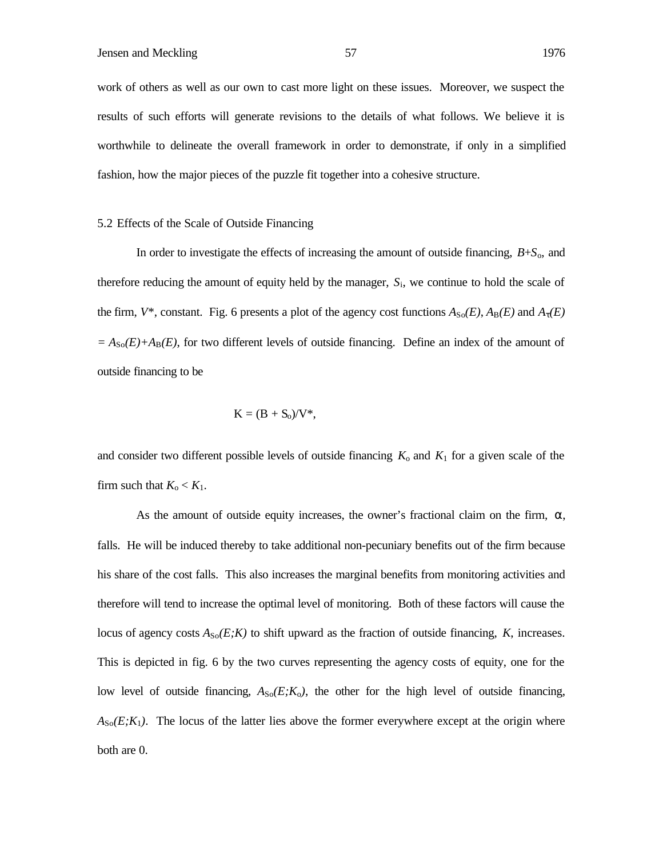work of others as well as our own to cast more light on these issues. Moreover, we suspect the results of such efforts will generate revisions to the details of what follows. We believe it is worthwhile to delineate the overall framework in order to demonstrate, if only in a simplified fashion, how the major pieces of the puzzle fit together into a cohesive structure.

# 5.2 Effects of the Scale of Outside Financing

In order to investigate the effects of increasing the amount of outside financing,  $B+S_0$ , and therefore reducing the amount of equity held by the manager, *S*<sup>i</sup> , we continue to hold the scale of the firm,  $V^*$ , constant. Fig. 6 presents a plot of the agency cost functions  $A_{\text{So}}(E)$ ,  $A_{\text{B}}(E)$  and  $A_{\tau}(E)$  $= A_{\text{So}}(E) + A_{\text{B}}(E)$ , for two different levels of outside financing. Define an index of the amount of outside financing to be

$$
K = (B + S_o) / V^*,
$$

and consider two different possible levels of outside financing  $K_0$  and  $K_1$  for a given scale of the firm such that  $K_0 < K_1$ .

As the amount of outside equity increases, the owner's fractional claim on the firm,  $\alpha$ , falls. He will be induced thereby to take additional non-pecuniary benefits out of the firm because his share of the cost falls. This also increases the marginal benefits from monitoring activities and therefore will tend to increase the optimal level of monitoring. Both of these factors will cause the locus of agency costs  $A_{\text{So}}(E;K)$  to shift upward as the fraction of outside financing, *K*, increases. This is depicted in fig. 6 by the two curves representing the agency costs of equity, one for the low level of outside financing,  $A_{\text{So}}(E;K_o)$ , the other for the high level of outside financing,  $A_{\text{So}}(E;K_1)$ . The locus of the latter lies above the former everywhere except at the origin where both are 0.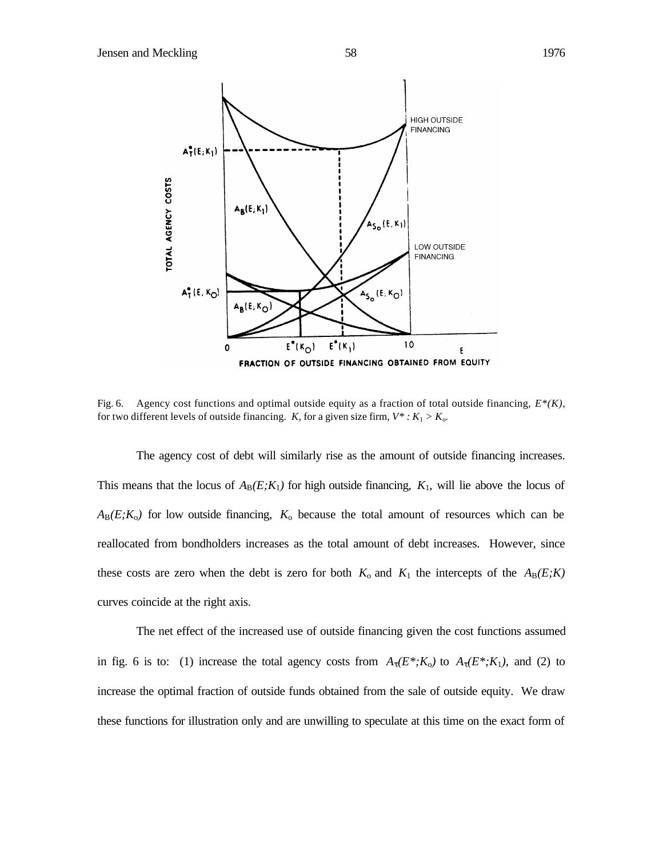

Fig. 6. Agency cost functions and optimal outside equity as a fraction of total outside financing,  $E^*(K)$ , for two different levels of outside financing. *K*, for a given size firm,  $V^*$ :  $K_1 > K_0$ .

The agency cost of debt will similarly rise as the amount of outside financing increases. This means that the locus of  $A_B(E;K_1)$  for high outside financing,  $K_1$ , will lie above the locus of  $A_B(E; K_0)$  for low outside financing,  $K_0$  because the total amount of resources which can be reallocated from bondholders increases as the total amount of debt increases. However, since these costs are zero when the debt is zero for both  $K_0$  and  $K_1$  the intercepts of the  $A_B(E;K)$ curves coincide at the right axis.

The net effect of the increased use of outside financing given the cost functions assumed in fig. 6 is to: (1) increase the total agency costs from  $A_\tau(E^*; K_0)$  to  $A_\tau(E^*; K_1)$ , and (2) to increase the optimal fraction of outside funds obtained from the sale of outside equity. We draw these functions for illustration only and are unwilling to speculate at this time on the exact form of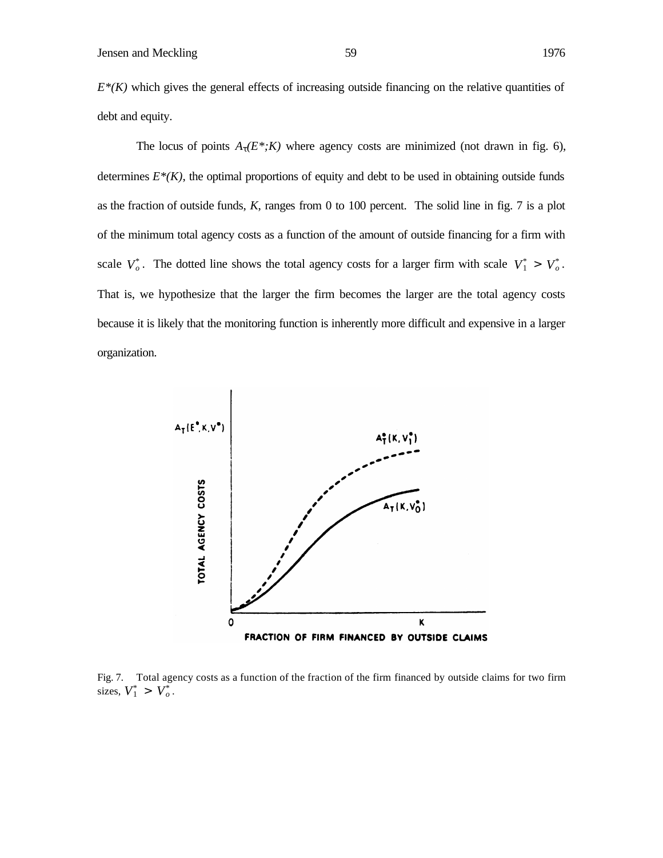$E^*(K)$  which gives the general effects of increasing outside financing on the relative quantities of debt and equity.

The locus of points  $A_{\tau}(E^*; K)$  where agency costs are minimized (not drawn in fig. 6), determines  $E^*(K)$ , the optimal proportions of equity and debt to be used in obtaining outside funds as the fraction of outside funds, *K*, ranges from 0 to 100 percent. The solid line in fig. 7 is a plot of the minimum total agency costs as a function of the amount of outside financing for a firm with scale  $V_o^*$ . The dotted line shows the total agency costs for a larger firm with scale  $V_1^* > V_o^*$ . That is, we hypothesize that the larger the firm becomes the larger are the total agency costs because it is likely that the monitoring function is inherently more difficult and expensive in a larger organization.



Fig. 7. Total agency costs as a function of the fraction of the firm financed by outside claims for two firm sizes,  $V_1^* > V_o^*$ .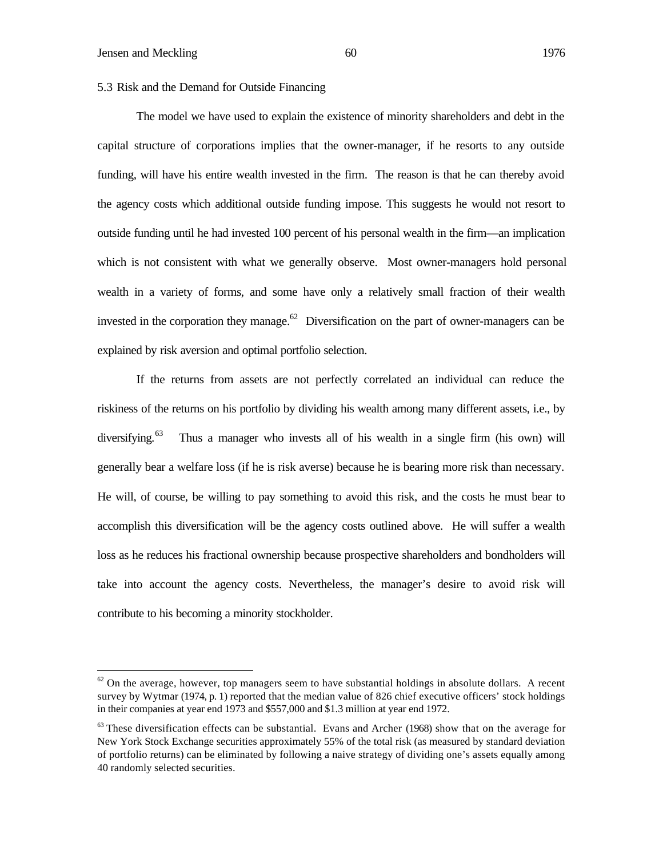#### 5.3 Risk and the Demand for Outside Financing

The model we have used to explain the existence of minority shareholders and debt in the capital structure of corporations implies that the owner-manager, if he resorts to any outside funding, will have his entire wealth invested in the firm. The reason is that he can thereby avoid the agency costs which additional outside funding impose. This suggests he would not resort to outside funding until he had invested 100 percent of his personal wealth in the firm—an implication which is not consistent with what we generally observe. Most owner-managers hold personal wealth in a variety of forms, and some have only a relatively small fraction of their wealth invested in the corporation they manage.<sup>62</sup> Diversification on the part of owner-managers can be explained by risk aversion and optimal portfolio selection.

If the returns from assets are not perfectly correlated an individual can reduce the riskiness of the returns on his portfolio by dividing his wealth among many different assets, i.e., by diversifying.<sup>63</sup> Thus a manager who invests all of his wealth in a single firm (his own) will generally bear a welfare loss (if he is risk averse) because he is bearing more risk than necessary. He will, of course, be willing to pay something to avoid this risk, and the costs he must bear to accomplish this diversification will be the agency costs outlined above. He will suffer a wealth loss as he reduces his fractional ownership because prospective shareholders and bondholders will take into account the agency costs. Nevertheless, the manager's desire to avoid risk will contribute to his becoming a minority stockholder.

 $62$  On the average, however, top managers seem to have substantial holdings in absolute dollars. A recent survey by Wytmar (1974, p. 1) reported that the median value of 826 chief executive officers' stock holdings in their companies at year end 1973 and \$557,000 and \$1.3 million at year end 1972.

 $63$  These diversification effects can be substantial. Evans and Archer (1968) show that on the average for New York Stock Exchange securities approximately 55% of the total risk (as measured by standard deviation of portfolio returns) can be eliminated by following a naive strategy of dividing one's assets equally among 40 randomly selected securities.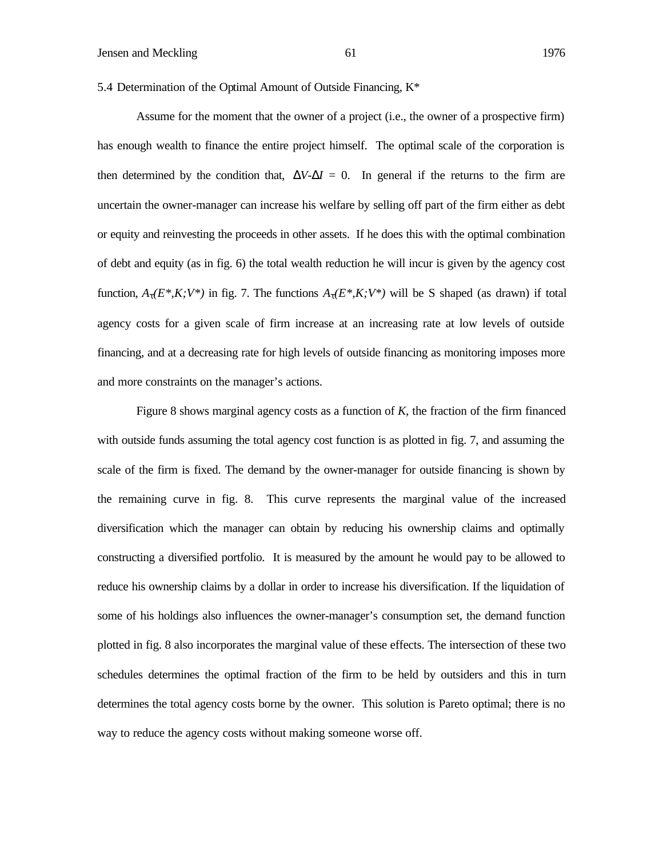5.4 Determination of the Optimal Amount of Outside Financing, K\*

Assume for the moment that the owner of a project (i.e., the owner of a prospective firm) has enough wealth to finance the entire project himself. The optimal scale of the corporation is then determined by the condition that,  $DV - Dt = 0$ . In general if the returns to the firm are uncertain the owner-manager can increase his welfare by selling off part of the firm either as debt or equity and reinvesting the proceeds in other assets. If he does this with the optimal combination of debt and equity (as in fig. 6) the total wealth reduction he will incur is given by the agency cost function,  $A_{\tau}(E^*, K; V^*)$  in fig. 7. The functions  $A_{\tau}(E^*, K; V^*)$  will be S shaped (as drawn) if total agency costs for a given scale of firm increase at an increasing rate at low levels of outside financing, and at a decreasing rate for high levels of outside financing as monitoring imposes more and more constraints on the manager's actions.

Figure 8 shows marginal agency costs as a function of *K*, the fraction of the firm financed with outside funds assuming the total agency cost function is as plotted in fig. 7, and assuming the scale of the firm is fixed. The demand by the owner-manager for outside financing is shown by the remaining curve in fig. 8. This curve represents the marginal value of the increased diversification which the manager can obtain by reducing his ownership claims and optimally constructing a diversified portfolio. It is measured by the amount he would pay to be allowed to reduce his ownership claims by a dollar in order to increase his diversification. If the liquidation of some of his holdings also influences the owner-manager's consumption set, the demand function plotted in fig. 8 also incorporates the marginal value of these effects. The intersection of these two schedules determines the optimal fraction of the firm to be held by outsiders and this in turn determines the total agency costs borne by the owner. This solution is Pareto optimal; there is no way to reduce the agency costs without making someone worse off.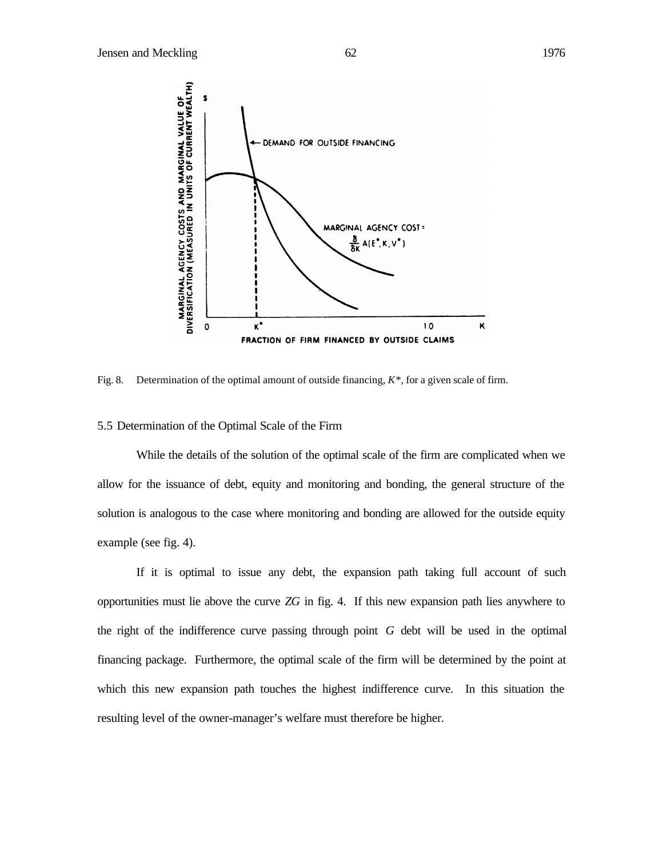

Fig. 8. Determination of the optimal amount of outside financing, *K\**, for a given scale of firm.

# 5.5 Determination of the Optimal Scale of the Firm

While the details of the solution of the optimal scale of the firm are complicated when we allow for the issuance of debt, equity and monitoring and bonding, the general structure of the solution is analogous to the case where monitoring and bonding are allowed for the outside equity example (see fig. 4).

If it is optimal to issue any debt, the expansion path taking full account of such opportunities must lie above the curve *ZG* in fig. 4. If this new expansion path lies anywhere to the right of the indifference curve passing through point *G* debt will be used in the optimal financing package. Furthermore, the optimal scale of the firm will be determined by the point at which this new expansion path touches the highest indifference curve. In this situation the resulting level of the owner-manager's welfare must therefore be higher.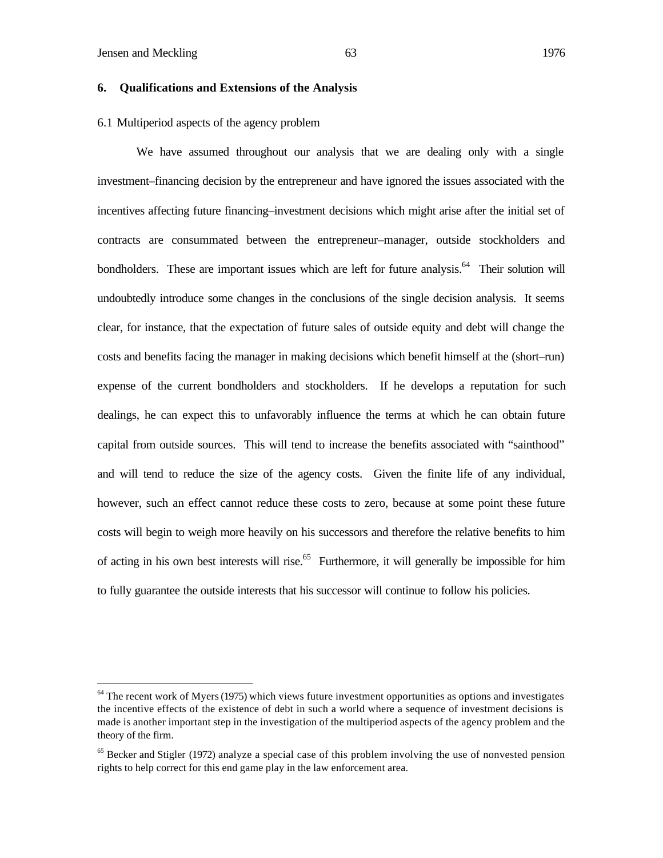# **6. Qualifications and Extensions of the Analysis**

## 6.1 Multiperiod aspects of the agency problem

We have assumed throughout our analysis that we are dealing only with a single investment–financing decision by the entrepreneur and have ignored the issues associated with the incentives affecting future financing–investment decisions which might arise after the initial set of contracts are consummated between the entrepreneur–manager, outside stockholders and bondholders. These are important issues which are left for future analysis.<sup>64</sup> Their solution will undoubtedly introduce some changes in the conclusions of the single decision analysis. It seems clear, for instance, that the expectation of future sales of outside equity and debt will change the costs and benefits facing the manager in making decisions which benefit himself at the (short–run) expense of the current bondholders and stockholders. If he develops a reputation for such dealings, he can expect this to unfavorably influence the terms at which he can obtain future capital from outside sources. This will tend to increase the benefits associated with "sainthood" and will tend to reduce the size of the agency costs. Given the finite life of any individual, however, such an effect cannot reduce these costs to zero, because at some point these future costs will begin to weigh more heavily on his successors and therefore the relative benefits to him of acting in his own best interests will rise.<sup>65</sup> Furthermore, it will generally be impossible for him to fully guarantee the outside interests that his successor will continue to follow his policies.

 $64$  The recent work of Myers (1975) which views future investment opportunities as options and investigates the incentive effects of the existence of debt in such a world where a sequence of investment decisions is made is another important step in the investigation of the multiperiod aspects of the agency problem and the theory of the firm.

 $65$  Becker and Stigler (1972) analyze a special case of this problem involving the use of nonvested pension rights to help correct for this end game play in the law enforcement area.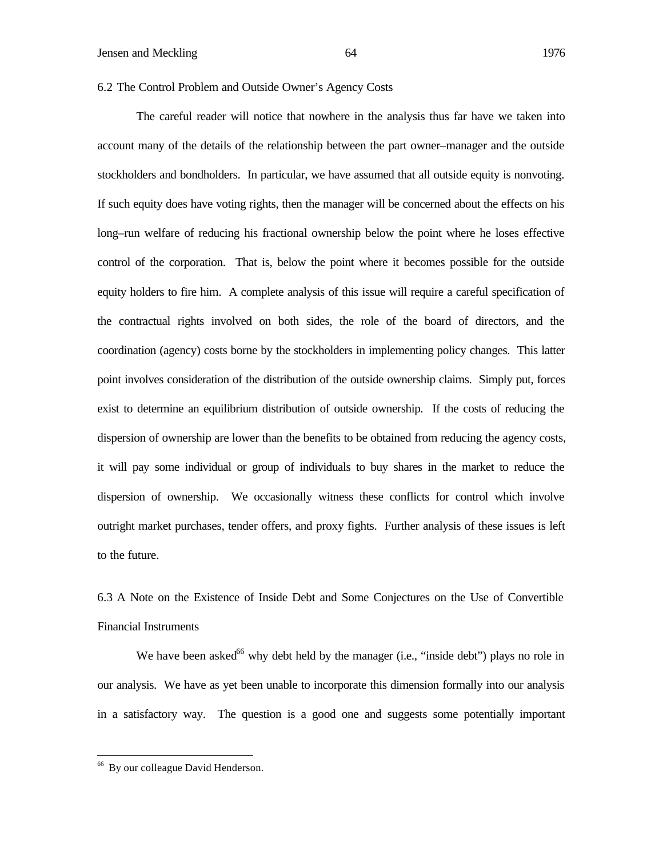#### 6.2 The Control Problem and Outside Owner's Agency Costs

The careful reader will notice that nowhere in the analysis thus far have we taken into account many of the details of the relationship between the part owner–manager and the outside stockholders and bondholders. In particular, we have assumed that all outside equity is nonvoting. If such equity does have voting rights, then the manager will be concerned about the effects on his long–run welfare of reducing his fractional ownership below the point where he loses effective control of the corporation. That is, below the point where it becomes possible for the outside equity holders to fire him. A complete analysis of this issue will require a careful specification of the contractual rights involved on both sides, the role of the board of directors, and the coordination (agency) costs borne by the stockholders in implementing policy changes. This latter point involves consideration of the distribution of the outside ownership claims. Simply put, forces exist to determine an equilibrium distribution of outside ownership. If the costs of reducing the dispersion of ownership are lower than the benefits to be obtained from reducing the agency costs, it will pay some individual or group of individuals to buy shares in the market to reduce the dispersion of ownership. We occasionally witness these conflicts for control which involve outright market purchases, tender offers, and proxy fights. Further analysis of these issues is left to the future.

6.3 A Note on the Existence of Inside Debt and Some Conjectures on the Use of Convertible Financial Instruments

We have been asked $66$  why debt held by the manager (i.e., "inside debt") plays no role in our analysis. We have as yet been unable to incorporate this dimension formally into our analysis in a satisfactory way. The question is a good one and suggests some potentially important

l

<sup>&</sup>lt;sup>66</sup> By our colleague David Henderson.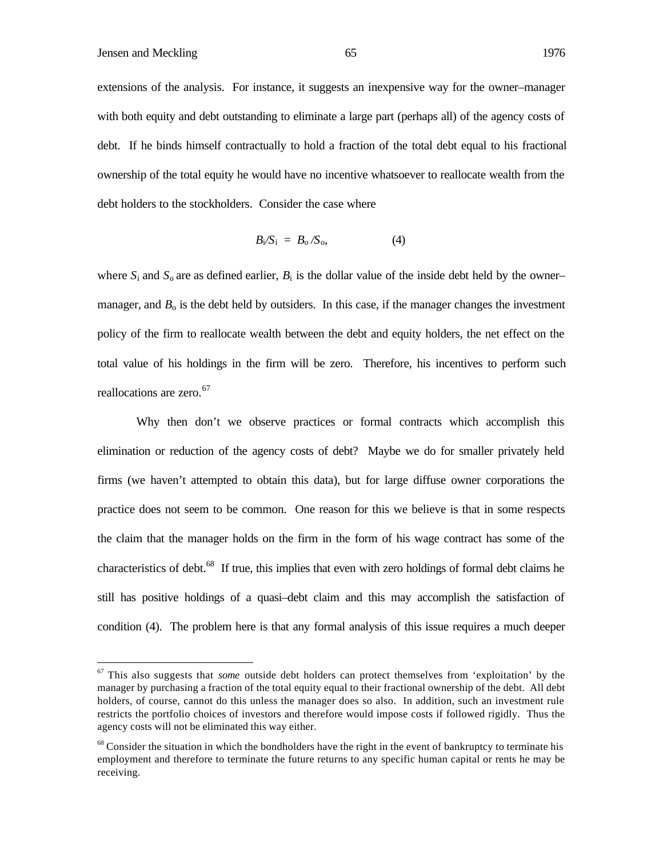extensions of the analysis. For instance, it suggests an inexpensive way for the owner–manager with both equity and debt outstanding to eliminate a large part (perhaps all) of the agency costs of debt. If he binds himself contractually to hold a fraction of the total debt equal to his fractional ownership of the total equity he would have no incentive whatsoever to reallocate wealth from the

$$
B_{\rm i}/S_{\rm i} = B_{\rm o}/S_{\rm o}, \tag{4}
$$

debt holders to the stockholders. Consider the case where

where  $S_i$  and  $S_o$  are as defined earlier,  $B_i$  is the dollar value of the inside debt held by the owner– manager, and  $B<sub>o</sub>$  is the debt held by outsiders. In this case, if the manager changes the investment policy of the firm to reallocate wealth between the debt and equity holders, the net effect on the total value of his holdings in the firm will be zero. Therefore, his incentives to perform such reallocations are zero.<sup>67</sup>

Why then don't we observe practices or formal contracts which accomplish this elimination or reduction of the agency costs of debt? Maybe we do for smaller privately held firms (we haven't attempted to obtain this data), but for large diffuse owner corporations the practice does not seem to be common. One reason for this we believe is that in some respects the claim that the manager holds on the firm in the form of his wage contract has some of the characteristics of debt.<sup>68</sup> If true, this implies that even with zero holdings of formal debt claims he still has positive holdings of a quasi–debt claim and this may accomplish the satisfaction of condition (4). The problem here is that any formal analysis of this issue requires a much deeper

<sup>67</sup> This also suggests that *some* outside debt holders can protect themselves from 'exploitation' by the manager by purchasing a fraction of the total equity equal to their fractional ownership of the debt. All debt holders, of course, cannot do this unless the manager does so also. In addition, such an investment rule restricts the portfolio choices of investors and therefore would impose costs if followed rigidly. Thus the agency costs will not be eliminated this way either.

<sup>&</sup>lt;sup>68</sup> Consider the situation in which the bondholders have the right in the event of bankruptcy to terminate his employment and therefore to terminate the future returns to any specific human capital or rents he may be receiving.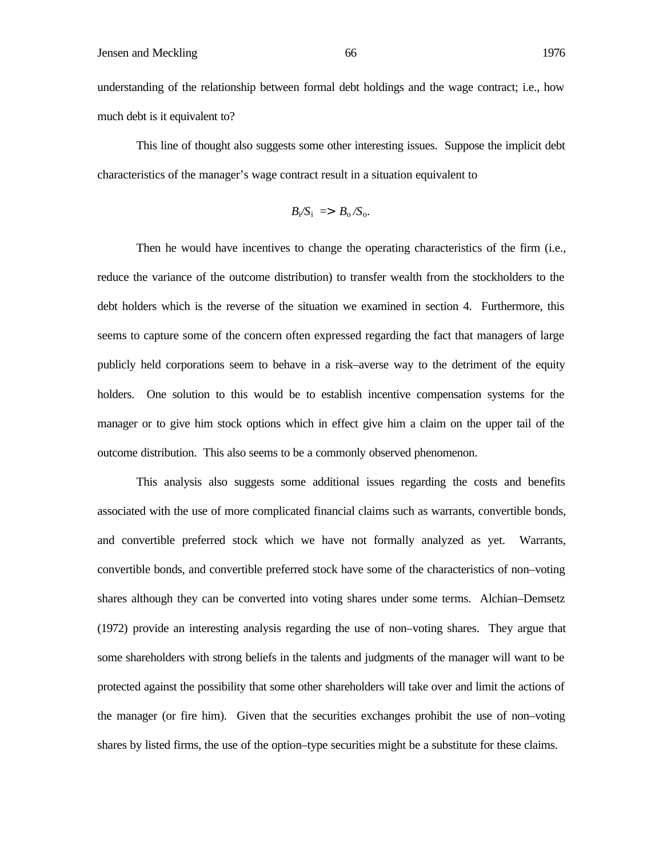understanding of the relationship between formal debt holdings and the wage contract; i.e., how much debt is it equivalent to?

This line of thought also suggests some other interesting issues. Suppose the implicit debt characteristics of the manager's wage contract result in a situation equivalent to

$$
B_{\mathrm{i}}/S_{\mathrm{i}} \implies B_{\mathrm{o}}/S_{\mathrm{o}}.
$$

Then he would have incentives to change the operating characteristics of the firm (i.e., reduce the variance of the outcome distribution) to transfer wealth from the stockholders to the debt holders which is the reverse of the situation we examined in section 4. Furthermore, this seems to capture some of the concern often expressed regarding the fact that managers of large publicly held corporations seem to behave in a risk–averse way to the detriment of the equity holders. One solution to this would be to establish incentive compensation systems for the manager or to give him stock options which in effect give him a claim on the upper tail of the outcome distribution. This also seems to be a commonly observed phenomenon.

This analysis also suggests some additional issues regarding the costs and benefits associated with the use of more complicated financial claims such as warrants, convertible bonds, and convertible preferred stock which we have not formally analyzed as yet. Warrants, convertible bonds, and convertible preferred stock have some of the characteristics of non–voting shares although they can be converted into voting shares under some terms. Alchian–Demsetz (1972) provide an interesting analysis regarding the use of non–voting shares. They argue that some shareholders with strong beliefs in the talents and judgments of the manager will want to be protected against the possibility that some other shareholders will take over and limit the actions of the manager (or fire him). Given that the securities exchanges prohibit the use of non–voting shares by listed firms, the use of the option–type securities might be a substitute for these claims.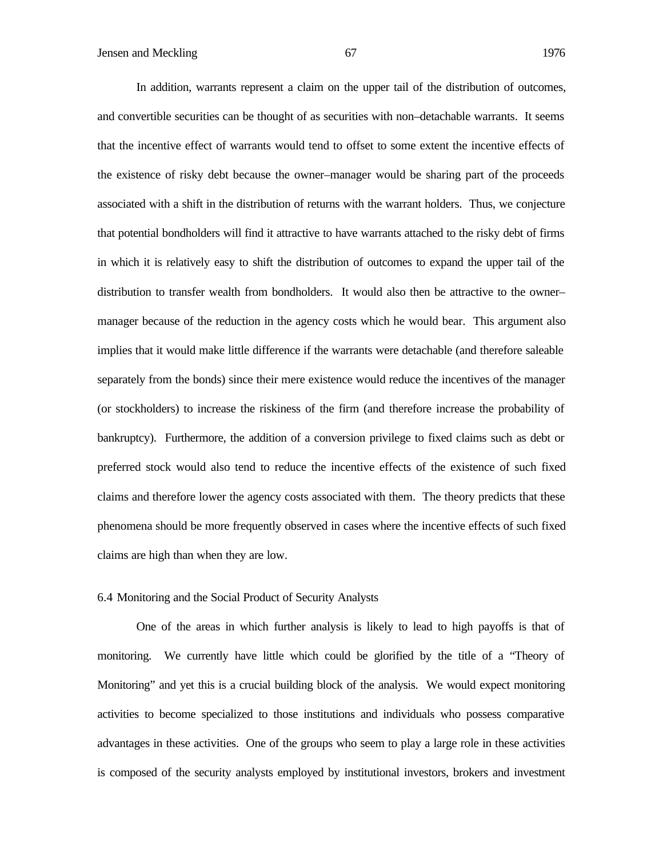In addition, warrants represent a claim on the upper tail of the distribution of outcomes, and convertible securities can be thought of as securities with non–detachable warrants. It seems that the incentive effect of warrants would tend to offset to some extent the incentive effects of the existence of risky debt because the owner–manager would be sharing part of the proceeds associated with a shift in the distribution of returns with the warrant holders. Thus, we conjecture that potential bondholders will find it attractive to have warrants attached to the risky debt of firms in which it is relatively easy to shift the distribution of outcomes to expand the upper tail of the distribution to transfer wealth from bondholders. It would also then be attractive to the owner– manager because of the reduction in the agency costs which he would bear. This argument also implies that it would make little difference if the warrants were detachable (and therefore saleable separately from the bonds) since their mere existence would reduce the incentives of the manager (or stockholders) to increase the riskiness of the firm (and therefore increase the probability of bankruptcy). Furthermore, the addition of a conversion privilege to fixed claims such as debt or preferred stock would also tend to reduce the incentive effects of the existence of such fixed claims and therefore lower the agency costs associated with them. The theory predicts that these phenomena should be more frequently observed in cases where the incentive effects of such fixed claims are high than when they are low.

## 6.4 Monitoring and the Social Product of Security Analysts

One of the areas in which further analysis is likely to lead to high payoffs is that of monitoring. We currently have little which could be glorified by the title of a "Theory of Monitoring" and yet this is a crucial building block of the analysis. We would expect monitoring activities to become specialized to those institutions and individuals who possess comparative advantages in these activities. One of the groups who seem to play a large role in these activities is composed of the security analysts employed by institutional investors, brokers and investment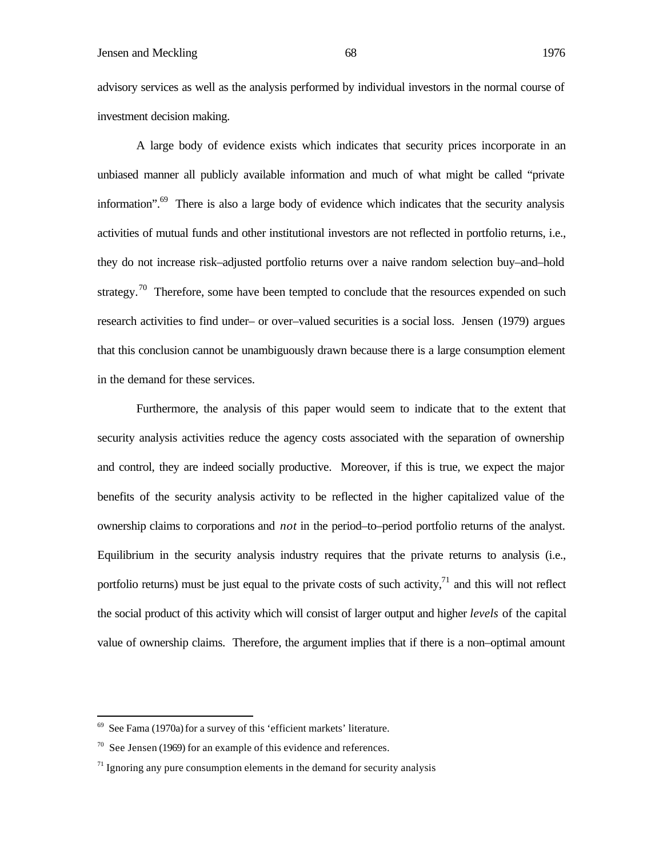advisory services as well as the analysis performed by individual investors in the normal course of investment decision making.

A large body of evidence exists which indicates that security prices incorporate in an unbiased manner all publicly available information and much of what might be called "private information".<sup>69</sup> There is also a large body of evidence which indicates that the security analysis activities of mutual funds and other institutional investors are not reflected in portfolio returns, i.e., they do not increase risk–adjusted portfolio returns over a naive random selection buy–and–hold strategy.<sup>70</sup> Therefore, some have been tempted to conclude that the resources expended on such research activities to find under– or over–valued securities is a social loss. Jensen (1979) argues that this conclusion cannot be unambiguously drawn because there is a large consumption element in the demand for these services.

Furthermore, the analysis of this paper would seem to indicate that to the extent that security analysis activities reduce the agency costs associated with the separation of ownership and control, they are indeed socially productive. Moreover, if this is true, we expect the major benefits of the security analysis activity to be reflected in the higher capitalized value of the ownership claims to corporations and *not* in the period–to–period portfolio returns of the analyst. Equilibrium in the security analysis industry requires that the private returns to analysis (i.e., portfolio returns) must be just equal to the private costs of such activity, $71$  and this will not reflect the social product of this activity which will consist of larger output and higher *levels* of the capital value of ownership claims. Therefore, the argument implies that if there is a non–optimal amount

l

 $69$  See Fama (1970a) for a survey of this 'efficient markets' literature.

 $70$  See Jensen (1969) for an example of this evidence and references.

 $71$  Ignoring any pure consumption elements in the demand for security analysis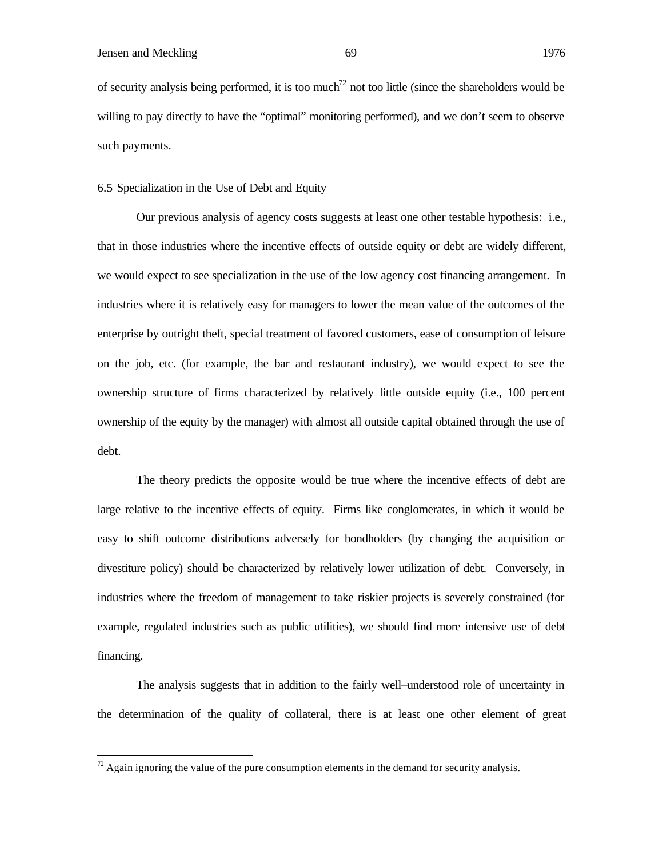of security analysis being performed, it is too much<sup>72</sup> not too little (since the shareholders would be willing to pay directly to have the "optimal" monitoring performed), and we don't seem to observe such payments.

### 6.5 Specialization in the Use of Debt and Equity

Our previous analysis of agency costs suggests at least one other testable hypothesis: i.e., that in those industries where the incentive effects of outside equity or debt are widely different, we would expect to see specialization in the use of the low agency cost financing arrangement. In industries where it is relatively easy for managers to lower the mean value of the outcomes of the enterprise by outright theft, special treatment of favored customers, ease of consumption of leisure on the job, etc. (for example, the bar and restaurant industry), we would expect to see the ownership structure of firms characterized by relatively little outside equity (i.e., 100 percent ownership of the equity by the manager) with almost all outside capital obtained through the use of debt.

The theory predicts the opposite would be true where the incentive effects of debt are large relative to the incentive effects of equity. Firms like conglomerates, in which it would be easy to shift outcome distributions adversely for bondholders (by changing the acquisition or divestiture policy) should be characterized by relatively lower utilization of debt. Conversely, in industries where the freedom of management to take riskier projects is severely constrained (for example, regulated industries such as public utilities), we should find more intensive use of debt financing.

The analysis suggests that in addition to the fairly well–understood role of uncertainty in the determination of the quality of collateral, there is at least one other element of great

 $72$  Again ignoring the value of the pure consumption elements in the demand for security analysis.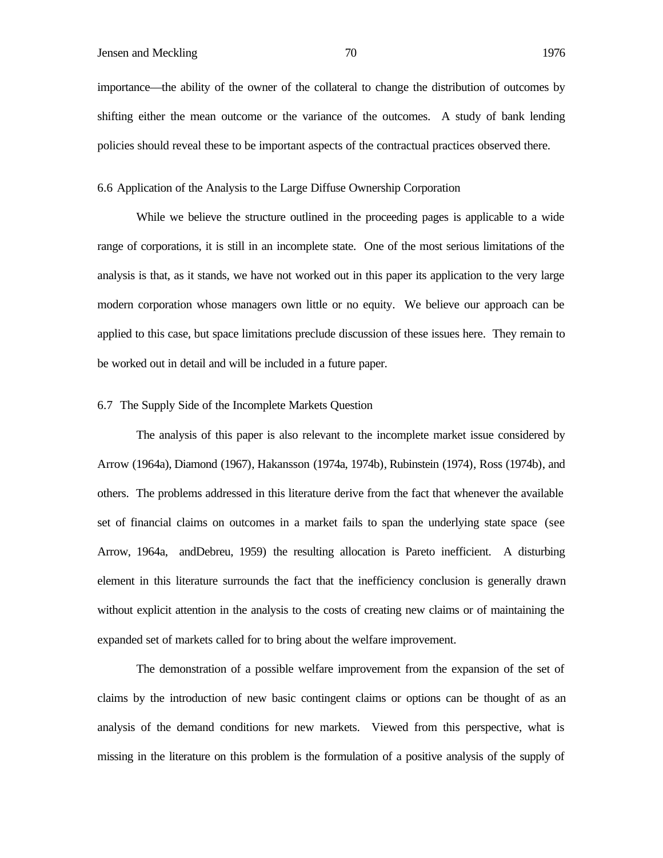importance—the ability of the owner of the collateral to change the distribution of outcomes by shifting either the mean outcome or the variance of the outcomes. A study of bank lending policies should reveal these to be important aspects of the contractual practices observed there.

### 6.6 Application of the Analysis to the Large Diffuse Ownership Corporation

While we believe the structure outlined in the proceeding pages is applicable to a wide range of corporations, it is still in an incomplete state. One of the most serious limitations of the analysis is that, as it stands, we have not worked out in this paper its application to the very large modern corporation whose managers own little or no equity. We believe our approach can be applied to this case, but space limitations preclude discussion of these issues here. They remain to be worked out in detail and will be included in a future paper.

### 6.7 The Supply Side of the Incomplete Markets Question

The analysis of this paper is also relevant to the incomplete market issue considered by Arrow (1964a), Diamond (1967), Hakansson (1974a, 1974b), Rubinstein (1974), Ross (1974b), and others. The problems addressed in this literature derive from the fact that whenever the available set of financial claims on outcomes in a market fails to span the underlying state space (see Arrow, 1964a, andDebreu, 1959) the resulting allocation is Pareto inefficient. A disturbing element in this literature surrounds the fact that the inefficiency conclusion is generally drawn without explicit attention in the analysis to the costs of creating new claims or of maintaining the expanded set of markets called for to bring about the welfare improvement.

The demonstration of a possible welfare improvement from the expansion of the set of claims by the introduction of new basic contingent claims or options can be thought of as an analysis of the demand conditions for new markets. Viewed from this perspective, what is missing in the literature on this problem is the formulation of a positive analysis of the supply of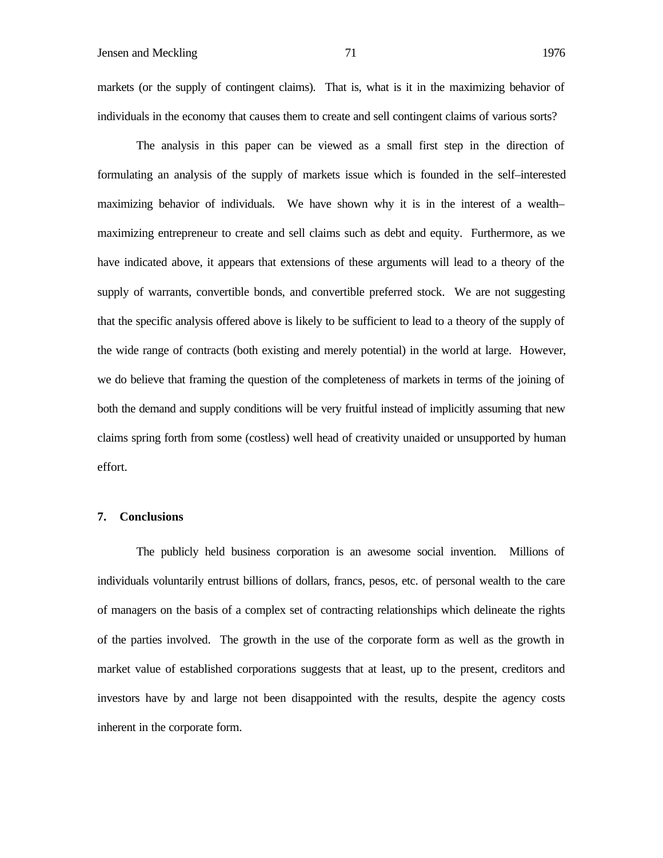markets (or the supply of contingent claims). That is, what is it in the maximizing behavior of individuals in the economy that causes them to create and sell contingent claims of various sorts?

The analysis in this paper can be viewed as a small first step in the direction of formulating an analysis of the supply of markets issue which is founded in the self–interested maximizing behavior of individuals. We have shown why it is in the interest of a wealth– maximizing entrepreneur to create and sell claims such as debt and equity. Furthermore, as we have indicated above, it appears that extensions of these arguments will lead to a theory of the supply of warrants, convertible bonds, and convertible preferred stock. We are not suggesting that the specific analysis offered above is likely to be sufficient to lead to a theory of the supply of the wide range of contracts (both existing and merely potential) in the world at large. However, we do believe that framing the question of the completeness of markets in terms of the joining of both the demand and supply conditions will be very fruitful instead of implicitly assuming that new claims spring forth from some (costless) well head of creativity unaided or unsupported by human effort.

## **7. Conclusions**

The publicly held business corporation is an awesome social invention. Millions of individuals voluntarily entrust billions of dollars, francs, pesos, etc. of personal wealth to the care of managers on the basis of a complex set of contracting relationships which delineate the rights of the parties involved. The growth in the use of the corporate form as well as the growth in market value of established corporations suggests that at least, up to the present, creditors and investors have by and large not been disappointed with the results, despite the agency costs inherent in the corporate form.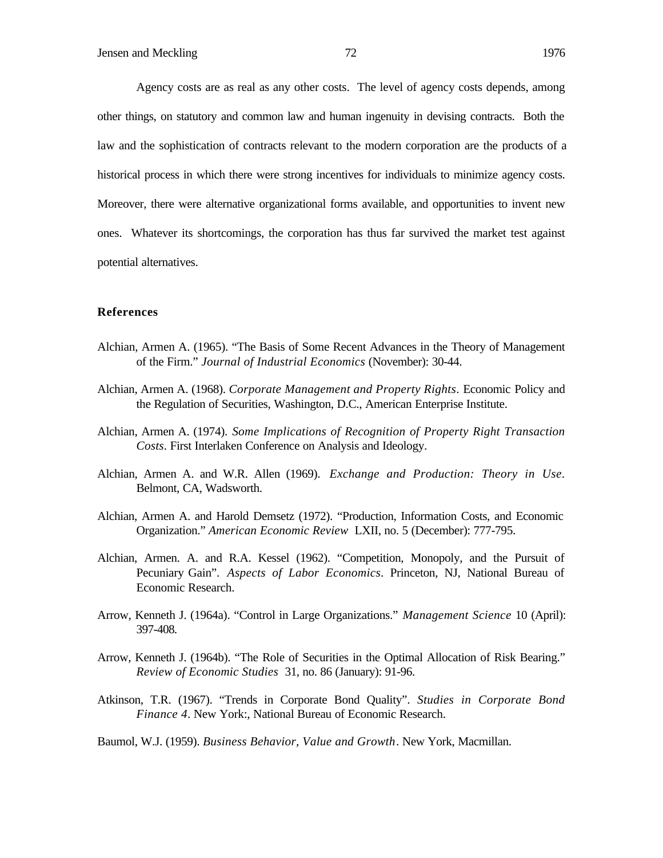Agency costs are as real as any other costs. The level of agency costs depends, among other things, on statutory and common law and human ingenuity in devising contracts. Both the law and the sophistication of contracts relevant to the modern corporation are the products of a historical process in which there were strong incentives for individuals to minimize agency costs. Moreover, there were alternative organizational forms available, and opportunities to invent new

ones. Whatever its shortcomings, the corporation has thus far survived the market test against

potential alternatives.

## **References**

- Alchian, Armen A. (1965). "The Basis of Some Recent Advances in the Theory of Management of the Firm." *Journal of Industrial Economics* (November): 30-44.
- Alchian, Armen A. (1968). *Corporate Management and Property Rights*. Economic Policy and the Regulation of Securities, Washington, D.C., American Enterprise Institute.
- Alchian, Armen A. (1974). *Some Implications of Recognition of Property Right Transaction Costs*. First Interlaken Conference on Analysis and Ideology.
- Alchian, Armen A. and W.R. Allen (1969). *Exchange and Production: Theory in Use*. Belmont, CA, Wadsworth.
- Alchian, Armen A. and Harold Demsetz (1972). "Production, Information Costs, and Economic Organization." *American Economic Review* LXII, no. 5 (December): 777-795.
- Alchian, Armen. A. and R.A. Kessel (1962). "Competition, Monopoly, and the Pursuit of Pecuniary Gain". *Aspects of Labor Economics*. Princeton, NJ, National Bureau of Economic Research.
- Arrow, Kenneth J. (1964a). "Control in Large Organizations." *Management Science* 10 (April): 397-408.
- Arrow, Kenneth J. (1964b). "The Role of Securities in the Optimal Allocation of Risk Bearing." *Review of Economic Studies* 31, no. 86 (January): 91-96.
- Atkinson, T.R. (1967). "Trends in Corporate Bond Quality". *Studies in Corporate Bond Finance 4*. New York:, National Bureau of Economic Research.

Baumol, W.J. (1959). *Business Behavior, Value and Growth*. New York, Macmillan.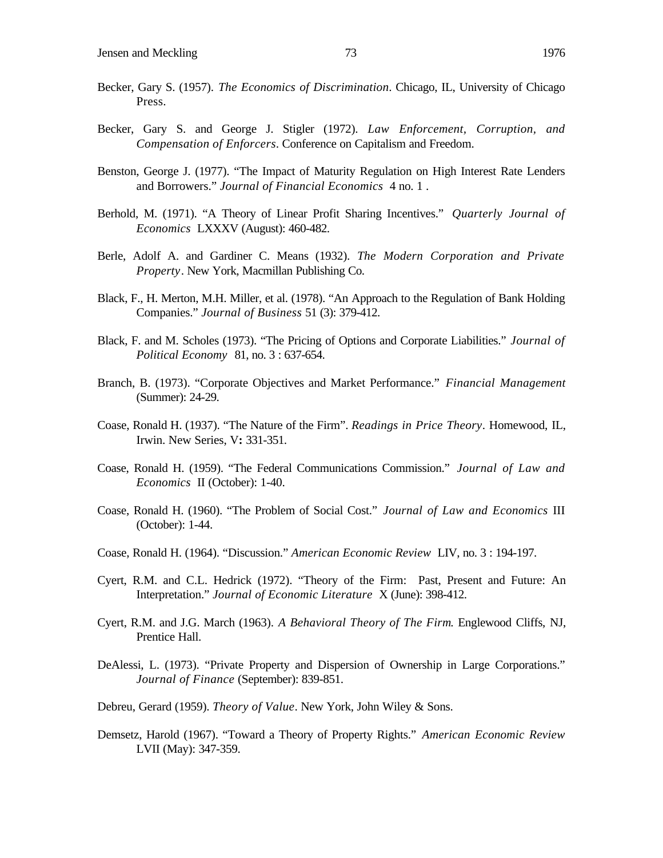- Becker, Gary S. and George J. Stigler (1972). *Law Enforcement, Corruption, and Compensation of Enforcers*. Conference on Capitalism and Freedom.
- Benston, George J. (1977). "The Impact of Maturity Regulation on High Interest Rate Lenders and Borrowers." *Journal of Financial Economics* 4 no. 1 .
- Berhold, M. (1971). "A Theory of Linear Profit Sharing Incentives." *Quarterly Journal of Economics* LXXXV (August): 460-482.
- Berle, Adolf A. and Gardiner C. Means (1932). *The Modern Corporation and Private Property*. New York, Macmillan Publishing Co.
- Black, F., H. Merton, M.H. Miller, et al. (1978). "An Approach to the Regulation of Bank Holding Companies." *Journal of Business* 51 (3): 379-412.
- Black, F. and M. Scholes (1973). "The Pricing of Options and Corporate Liabilities." *Journal of Political Economy* 81, no. 3 : 637-654.
- Branch, B. (1973). "Corporate Objectives and Market Performance." *Financial Management* (Summer): 24-29.
- Coase, Ronald H. (1937). "The Nature of the Firm". *Readings in Price Theory*. Homewood, IL, Irwin. New Series, V**:** 331-351.
- Coase, Ronald H. (1959). "The Federal Communications Commission." *Journal of Law and Economics* II (October): 1-40.
- Coase, Ronald H. (1960). "The Problem of Social Cost." *Journal of Law and Economics* III (October): 1-44.
- Coase, Ronald H. (1964). "Discussion." *American Economic Review* LIV, no. 3 : 194-197.
- Cyert, R.M. and C.L. Hedrick (1972). "Theory of the Firm: Past, Present and Future: An Interpretation." *Journal of Economic Literature* X (June): 398-412.
- Cyert, R.M. and J.G. March (1963). *A Behavioral Theory of The Firm*. Englewood Cliffs, NJ, Prentice Hall.
- DeAlessi, L. (1973). "Private Property and Dispersion of Ownership in Large Corporations." *Journal of Finance* (September): 839-851.
- Debreu, Gerard (1959). *Theory of Value*. New York, John Wiley & Sons.
- Demsetz, Harold (1967). "Toward a Theory of Property Rights." *American Economic Review* LVII (May): 347-359.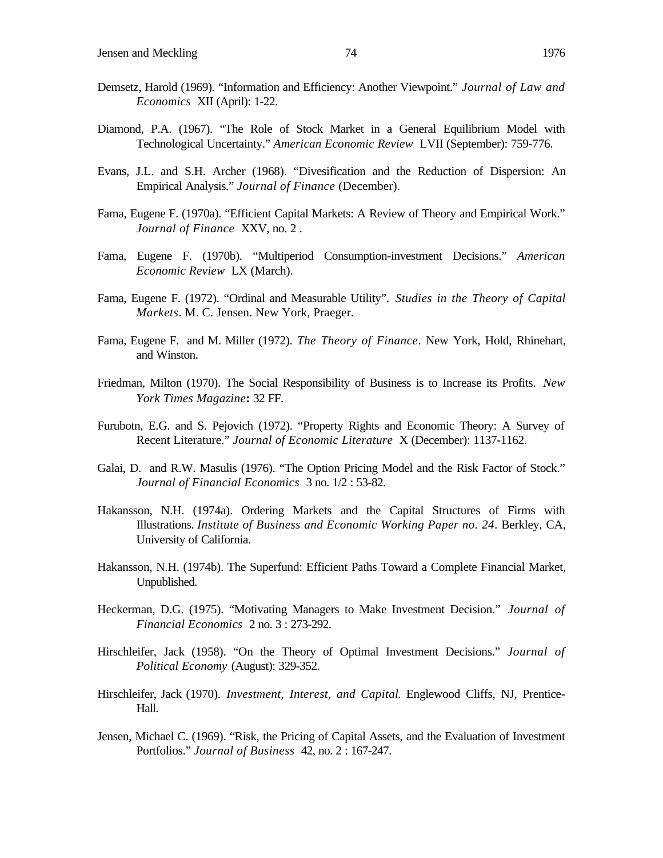- Diamond, P.A. (1967). "The Role of Stock Market in a General Equilibrium Model with Technological Uncertainty." *American Economic Review* LVII (September): 759-776.
- Evans, J.L. and S.H. Archer (1968). "Divesification and the Reduction of Dispersion: An Empirical Analysis." *Journal of Finance* (December).
- Fama, Eugene F. (1970a). "Efficient Capital Markets: A Review of Theory and Empirical Work." *Journal of Finance* XXV, no. 2 .
- Fama, Eugene F. (1970b). "Multiperiod Consumption-investment Decisions." *American Economic Review* LX (March).
- Fama, Eugene F. (1972). "Ordinal and Measurable Utility". *Studies in the Theory of Capital Markets*. M. C. Jensen. New York, Praeger.
- Fama, Eugene F. and M. Miller (1972). *The Theory of Finance*. New York, Hold, Rhinehart, and Winston.
- Friedman, Milton (1970). The Social Responsibility of Business is to Increase its Profits. *New York Times Magazine***:** 32 FF.
- Furubotn, E.G. and S. Pejovich (1972). "Property Rights and Economic Theory: A Survey of Recent Literature." *Journal of Economic Literature* X (December): 1137-1162.
- Galai, D. and R.W. Masulis (1976). "The Option Pricing Model and the Risk Factor of Stock." *Journal of Financial Economics* 3 no. 1/2 : 53-82.
- Hakansson, N.H. (1974a). Ordering Markets and the Capital Structures of Firms with Illustrations. *Institute of Business and Economic Working Paper no. 24*. Berkley, CA, University of California.
- Hakansson, N.H. (1974b). The Superfund: Efficient Paths Toward a Complete Financial Market, Unpublished.
- Heckerman, D.G. (1975). "Motivating Managers to Make Investment Decision." *Journal of Financial Economics* 2 no. 3 : 273-292.
- Hirschleifer, Jack (1958). "On the Theory of Optimal Investment Decisions." *Journal of Political Economy* (August): 329-352.
- Hirschleifer, Jack (1970). *Investment, Interest, and Capital*. Englewood Cliffs, NJ, Prentice-Hall.
- Jensen, Michael C. (1969). "Risk, the Pricing of Capital Assets, and the Evaluation of Investment Portfolios." *Journal of Business* 42, no. 2 : 167-247.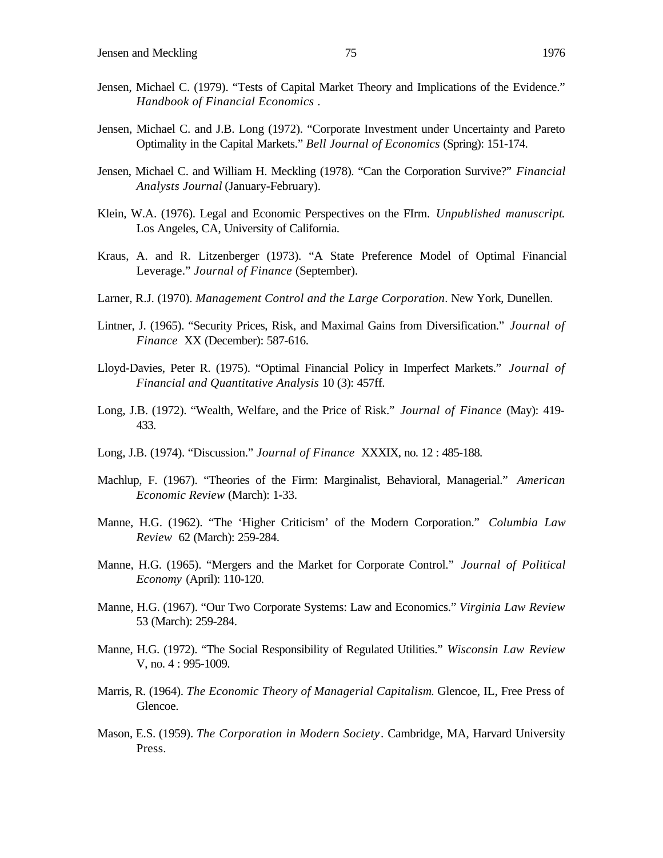- Jensen, Michael C. (1979). "Tests of Capital Market Theory and Implications of the Evidence." *Handbook of Financial Economics* .
- Jensen, Michael C. and J.B. Long (1972). "Corporate Investment under Uncertainty and Pareto Optimality in the Capital Markets." *Bell Journal of Economics* (Spring): 151-174.
- Jensen, Michael C. and William H. Meckling (1978). "Can the Corporation Survive?" *Financial Analysts Journal* (January-February).
- Klein, W.A. (1976). Legal and Economic Perspectives on the FIrm. *Unpublished manuscript*. Los Angeles, CA, University of California.
- Kraus, A. and R. Litzenberger (1973). "A State Preference Model of Optimal Financial Leverage." *Journal of Finance* (September).
- Larner, R.J. (1970). *Management Control and the Large Corporation*. New York, Dunellen.
- Lintner, J. (1965). "Security Prices, Risk, and Maximal Gains from Diversification." *Journal of Finance* XX (December): 587-616.
- Lloyd-Davies, Peter R. (1975). "Optimal Financial Policy in Imperfect Markets." *Journal of Financial and Quantitative Analysis* 10 (3): 457ff.
- Long, J.B. (1972). "Wealth, Welfare, and the Price of Risk." *Journal of Finance* (May): 419- 433.
- Long, J.B. (1974). "Discussion." *Journal of Finance* XXXIX, no. 12 : 485-188.
- Machlup, F. (1967). "Theories of the Firm: Marginalist, Behavioral, Managerial." *American Economic Review* (March): 1-33.
- Manne, H.G. (1962). "The 'Higher Criticism' of the Modern Corporation." *Columbia Law Review* 62 (March): 259-284.
- Manne, H.G. (1965). "Mergers and the Market for Corporate Control." *Journal of Political Economy* (April): 110-120.
- Manne, H.G. (1967). "Our Two Corporate Systems: Law and Economics." *Virginia Law Review* 53 (March): 259-284.
- Manne, H.G. (1972). "The Social Responsibility of Regulated Utilities." *Wisconsin Law Review* V, no. 4 : 995-1009.
- Marris, R. (1964). *The Economic Theory of Managerial Capitalism*. Glencoe, IL, Free Press of Glencoe.
- Mason, E.S. (1959). *The Corporation in Modern Society*. Cambridge, MA, Harvard University Press.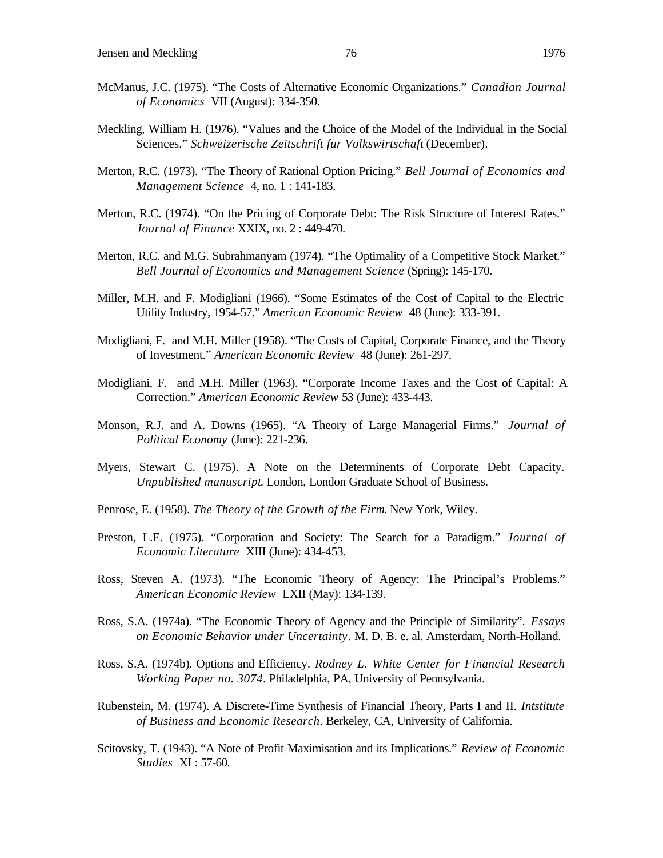- Meckling, William H. (1976). "Values and the Choice of the Model of the Individual in the Social Sciences." *Schweizerische Zeitschrift fur Volkswirtschaft* (December).
- Merton, R.C. (1973). "The Theory of Rational Option Pricing." *Bell Journal of Economics and Management Science* 4, no. 1 : 141-183.
- Merton, R.C. (1974). "On the Pricing of Corporate Debt: The Risk Structure of Interest Rates." *Journal of Finance* XXIX, no. 2 : 449-470.
- Merton, R.C. and M.G. Subrahmanyam (1974). "The Optimality of a Competitive Stock Market." *Bell Journal of Economics and Management Science* (Spring): 145-170.
- Miller, M.H. and F. Modigliani (1966). "Some Estimates of the Cost of Capital to the Electric Utility Industry, 1954-57." *American Economic Review* 48 (June): 333-391.
- Modigliani, F. and M.H. Miller (1958). "The Costs of Capital, Corporate Finance, and the Theory of Investment." *American Economic Review* 48 (June): 261-297.
- Modigliani, F. and M.H. Miller (1963). "Corporate Income Taxes and the Cost of Capital: A Correction." *American Economic Review* 53 (June): 433-443.
- Monson, R.J. and A. Downs (1965). "A Theory of Large Managerial Firms." *Journal of Political Economy* (June): 221-236.
- Myers, Stewart C. (1975). A Note on the Determinents of Corporate Debt Capacity. *Unpublished manuscript*. London, London Graduate School of Business.
- Penrose, E. (1958). *The Theory of the Growth of the Firm*. New York, Wiley.
- Preston, L.E. (1975). "Corporation and Society: The Search for a Paradigm." *Journal of Economic Literature* XIII (June): 434-453.
- Ross, Steven A. (1973). "The Economic Theory of Agency: The Principal's Problems." *American Economic Review* LXII (May): 134-139.
- Ross, S.A. (1974a). "The Economic Theory of Agency and the Principle of Similarity". *Essays on Economic Behavior under Uncertainty*. M. D. B. e. al. Amsterdam, North-Holland.
- Ross, S.A. (1974b). Options and Efficiency. *Rodney L. White Center for Financial Research Working Paper no. 3074*. Philadelphia, PA, University of Pennsylvania.
- Rubenstein, M. (1974). A Discrete-Time Synthesis of Financial Theory, Parts I and II. *Intstitute of Business and Economic Research*. Berkeley, CA, University of California.
- Scitovsky, T. (1943). "A Note of Profit Maximisation and its Implications." *Review of Economic Studies* XI : 57-60.